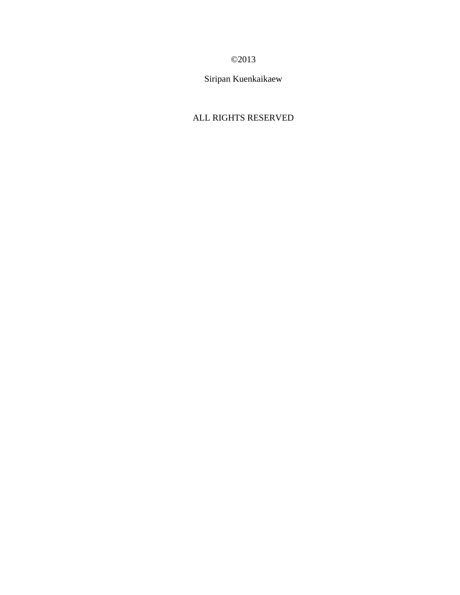# ©2013

Siripan Kuenkaikaew

# ALL RIGHTS RESERVED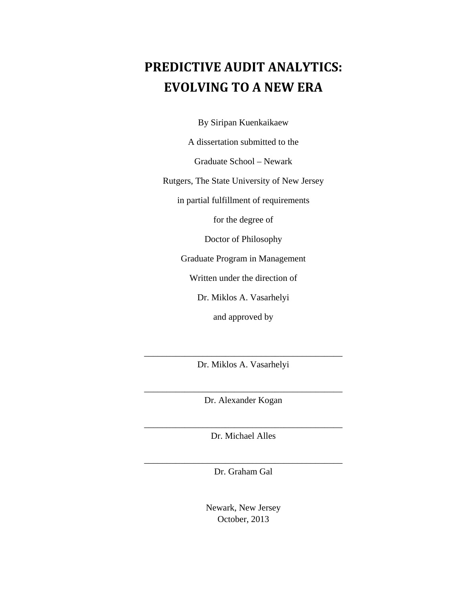# **PREDICTIVE AUDIT ANALYTICS: EVOLVING TO A NEW ERA**

By Siripan Kuenkaikaew

A dissertation submitted to the

Graduate School – Newark

Rutgers, The State University of New Jersey

in partial fulfillment of requirements

for the degree of

Doctor of Philosophy

Graduate Program in Management

Written under the direction of

Dr. Miklos A. Vasarhelyi

and approved by

\_\_\_\_\_\_\_\_\_\_\_\_\_\_\_\_\_\_\_\_\_\_\_\_\_\_\_\_\_\_\_\_\_\_\_\_\_\_\_\_\_\_\_\_ Dr. Miklos A. Vasarhelyi

\_\_\_\_\_\_\_\_\_\_\_\_\_\_\_\_\_\_\_\_\_\_\_\_\_\_\_\_\_\_\_\_\_\_\_\_\_\_\_\_\_\_\_\_ Dr. Alexander Kogan

\_\_\_\_\_\_\_\_\_\_\_\_\_\_\_\_\_\_\_\_\_\_\_\_\_\_\_\_\_\_\_\_\_\_\_\_\_\_\_\_\_\_\_\_ Dr. Michael Alles

\_\_\_\_\_\_\_\_\_\_\_\_\_\_\_\_\_\_\_\_\_\_\_\_\_\_\_\_\_\_\_\_\_\_\_\_\_\_\_\_\_\_\_\_ Dr. Graham Gal

> Newark, New Jersey October, 2013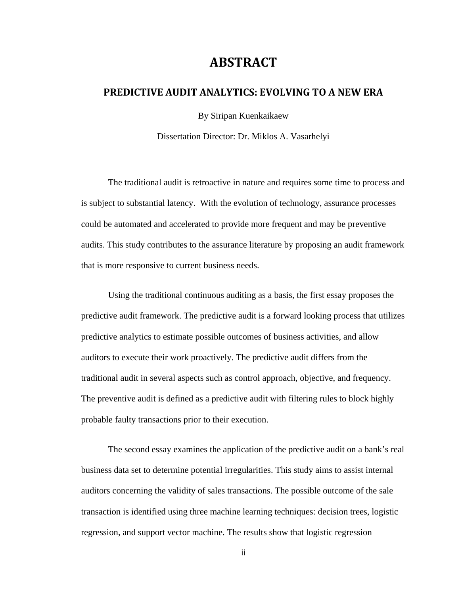# **ABSTRACT**

# **PREDICTIVE AUDIT ANALYTICS: EVOLVING TO A NEW ERA**

By Siripan Kuenkaikaew

Dissertation Director: Dr. Miklos A. Vasarhelyi

The traditional audit is retroactive in nature and requires some time to process and is subject to substantial latency. With the evolution of technology, assurance processes could be automated and accelerated to provide more frequent and may be preventive audits. This study contributes to the assurance literature by proposing an audit framework that is more responsive to current business needs.

Using the traditional continuous auditing as a basis, the first essay proposes the predictive audit framework. The predictive audit is a forward looking process that utilizes predictive analytics to estimate possible outcomes of business activities, and allow auditors to execute their work proactively. The predictive audit differs from the traditional audit in several aspects such as control approach, objective, and frequency. The preventive audit is defined as a predictive audit with filtering rules to block highly probable faulty transactions prior to their execution.

The second essay examines the application of the predictive audit on a bank's real business data set to determine potential irregularities. This study aims to assist internal auditors concerning the validity of sales transactions. The possible outcome of the sale transaction is identified using three machine learning techniques: decision trees, logistic regression, and support vector machine. The results show that logistic regression

ii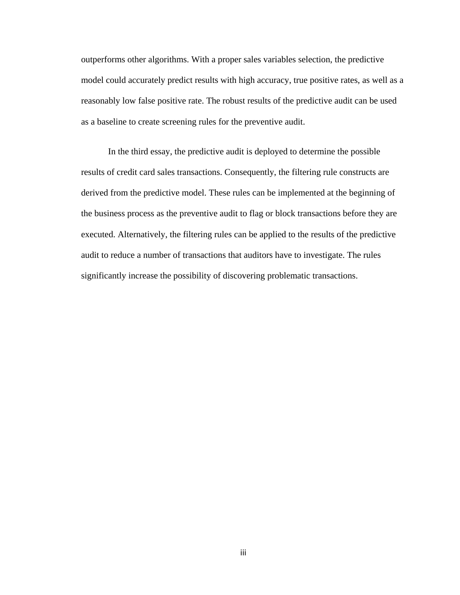outperforms other algorithms. With a proper sales variables selection, the predictive model could accurately predict results with high accuracy, true positive rates, as well as a reasonably low false positive rate. The robust results of the predictive audit can be used as a baseline to create screening rules for the preventive audit.

In the third essay, the predictive audit is deployed to determine the possible results of credit card sales transactions. Consequently, the filtering rule constructs are derived from the predictive model. These rules can be implemented at the beginning of the business process as the preventive audit to flag or block transactions before they are executed. Alternatively, the filtering rules can be applied to the results of the predictive audit to reduce a number of transactions that auditors have to investigate. The rules significantly increase the possibility of discovering problematic transactions.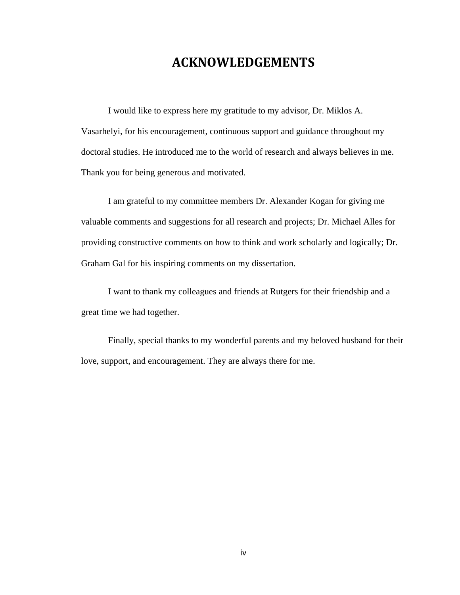# **ACKNOWLEDGEMENTS**

I would like to express here my gratitude to my advisor, Dr. Miklos A. Vasarhelyi, for his encouragement, continuous support and guidance throughout my doctoral studies. He introduced me to the world of research and always believes in me. Thank you for being generous and motivated.

I am grateful to my committee members Dr. Alexander Kogan for giving me valuable comments and suggestions for all research and projects; Dr. Michael Alles for providing constructive comments on how to think and work scholarly and logically; Dr. Graham Gal for his inspiring comments on my dissertation.

I want to thank my colleagues and friends at Rutgers for their friendship and a great time we had together.

Finally, special thanks to my wonderful parents and my beloved husband for their love, support, and encouragement. They are always there for me.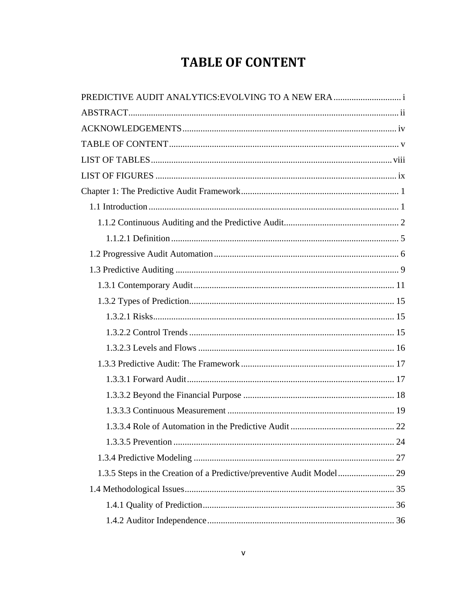# **TABLE OF CONTENT**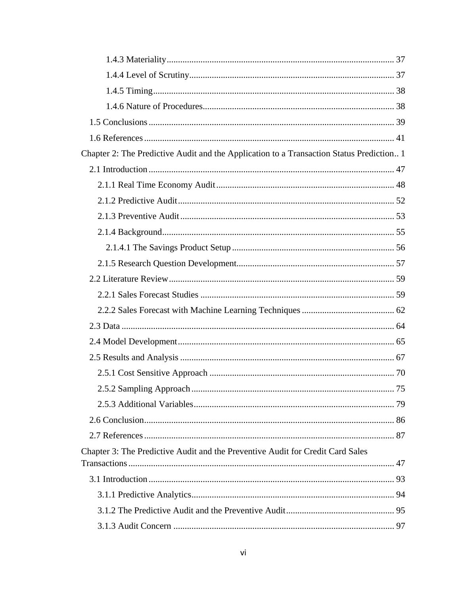| Chapter 2: The Predictive Audit and the Application to a Transaction Status Prediction 1 |  |
|------------------------------------------------------------------------------------------|--|
|                                                                                          |  |
|                                                                                          |  |
|                                                                                          |  |
|                                                                                          |  |
|                                                                                          |  |
|                                                                                          |  |
|                                                                                          |  |
|                                                                                          |  |
|                                                                                          |  |
|                                                                                          |  |
|                                                                                          |  |
|                                                                                          |  |
|                                                                                          |  |
|                                                                                          |  |
|                                                                                          |  |
|                                                                                          |  |
|                                                                                          |  |
|                                                                                          |  |
| Chapter 3: The Predictive Audit and the Preventive Audit for Credit Card Sales           |  |
|                                                                                          |  |
|                                                                                          |  |
|                                                                                          |  |
|                                                                                          |  |
|                                                                                          |  |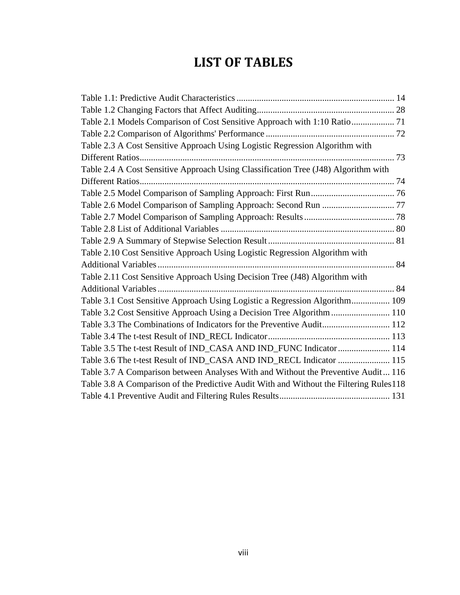# **LIST OF TABLES**

| Table 2.3 A Cost Sensitive Approach Using Logistic Regression Algorithm with           |  |
|----------------------------------------------------------------------------------------|--|
|                                                                                        |  |
| Table 2.4 A Cost Sensitive Approach Using Classification Tree (J48) Algorithm with     |  |
|                                                                                        |  |
|                                                                                        |  |
|                                                                                        |  |
|                                                                                        |  |
|                                                                                        |  |
|                                                                                        |  |
| Table 2.10 Cost Sensitive Approach Using Logistic Regression Algorithm with            |  |
|                                                                                        |  |
| Table 2.11 Cost Sensitive Approach Using Decision Tree (J48) Algorithm with            |  |
|                                                                                        |  |
| Table 3.1 Cost Sensitive Approach Using Logistic a Regression Algorithm 109            |  |
| Table 3.2 Cost Sensitive Approach Using a Decision Tree Algorithm 110                  |  |
| Table 3.3 The Combinations of Indicators for the Preventive Audit 112                  |  |
|                                                                                        |  |
| Table 3.5 The t-test Result of IND_CASA AND IND_FUNC Indicator  114                    |  |
| Table 3.6 The t-test Result of IND_CASA AND IND_RECL Indicator  115                    |  |
| Table 3.7 A Comparison between Analyses With and Without the Preventive Audit 116      |  |
| Table 3.8 A Comparison of the Predictive Audit With and Without the Filtering Rules118 |  |
|                                                                                        |  |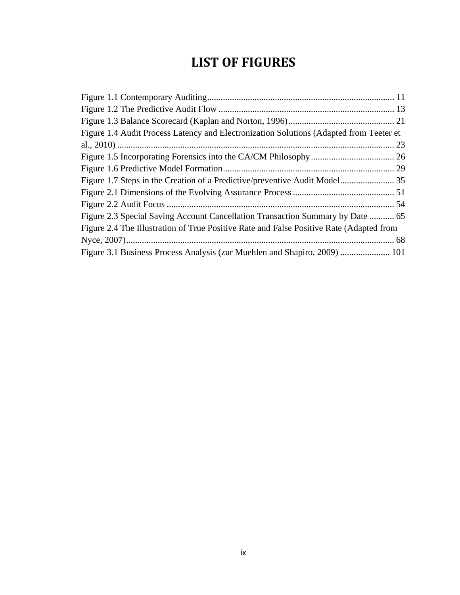# **LIST OF FIGURES**

| Figure 1.4 Audit Process Latency and Electronization Solutions (Adapted from Teeter et  |  |
|-----------------------------------------------------------------------------------------|--|
|                                                                                         |  |
|                                                                                         |  |
|                                                                                         |  |
|                                                                                         |  |
|                                                                                         |  |
|                                                                                         |  |
| Figure 2.3 Special Saving Account Cancellation Transaction Summary by Date  65          |  |
| Figure 2.4 The Illustration of True Positive Rate and False Positive Rate (Adapted from |  |
|                                                                                         |  |
| Figure 3.1 Business Process Analysis (zur Muehlen and Shapiro, 2009)  101               |  |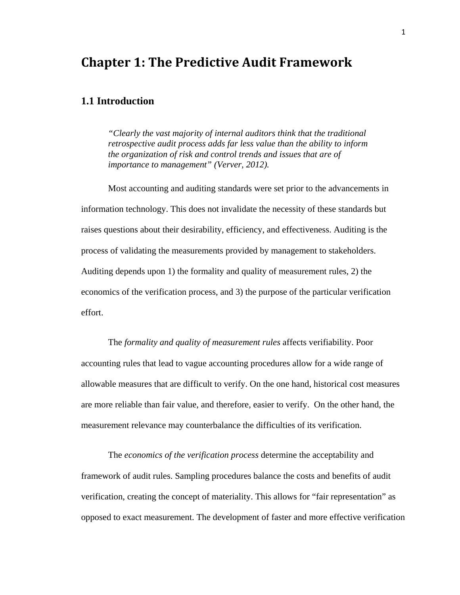# **Chapter 1: The Predictive Audit Framework**

## **1.1 Introduction**

*"Clearly the vast majority of internal auditors think that the traditional retrospective audit process adds far less value than the ability to inform the organization of risk and control trends and issues that are of importance to management" (Verver, 2012).* 

Most accounting and auditing standards were set prior to the advancements in information technology. This does not invalidate the necessity of these standards but raises questions about their desirability, efficiency, and effectiveness. Auditing is the process of validating the measurements provided by management to stakeholders. Auditing depends upon 1) the formality and quality of measurement rules, 2) the economics of the verification process, and 3) the purpose of the particular verification effort.

The *formality and quality of measurement rules* affects verifiability. Poor accounting rules that lead to vague accounting procedures allow for a wide range of allowable measures that are difficult to verify. On the one hand, historical cost measures are more reliable than fair value, and therefore, easier to verify. On the other hand, the measurement relevance may counterbalance the difficulties of its verification.

The *economics of the verification process* determine the acceptability and framework of audit rules. Sampling procedures balance the costs and benefits of audit verification, creating the concept of materiality. This allows for "fair representation" as opposed to exact measurement. The development of faster and more effective verification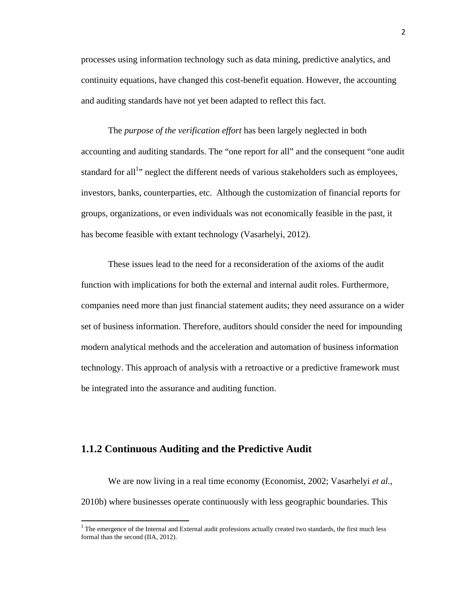processes using information technology such as data mining, predictive analytics, and continuity equations, have changed this cost-benefit equation. However, the accounting and auditing standards have not yet been adapted to reflect this fact.

The *purpose of the verification effort* has been largely neglected in both accounting and auditing standards. The "one report for all" and the consequent "one audit standard for all<sup>1</sup> neglect the different needs of various stakeholders such as employees, investors, banks, counterparties, etc. Although the customization of financial reports for groups, organizations, or even individuals was not economically feasible in the past, it has become feasible with extant technology (Vasarhelyi, 2012).

These issues lead to the need for a reconsideration of the axioms of the audit function with implications for both the external and internal audit roles. Furthermore, companies need more than just financial statement audits; they need assurance on a wider set of business information. Therefore, auditors should consider the need for impounding modern analytical methods and the acceleration and automation of business information technology. This approach of analysis with a retroactive or a predictive framework must be integrated into the assurance and auditing function.

### **1.1.2 Continuous Auditing and the Predictive Audit**

We are now living in a real time economy (Economist, 2002; Vasarhelyi *et al.*, 2010b) where businesses operate continuously with less geographic boundaries. This

 $1$ <sup>1</sup> The emergence of the Internal and External audit professions actually created two standards, the first much less formal than the second (IIA, 2012).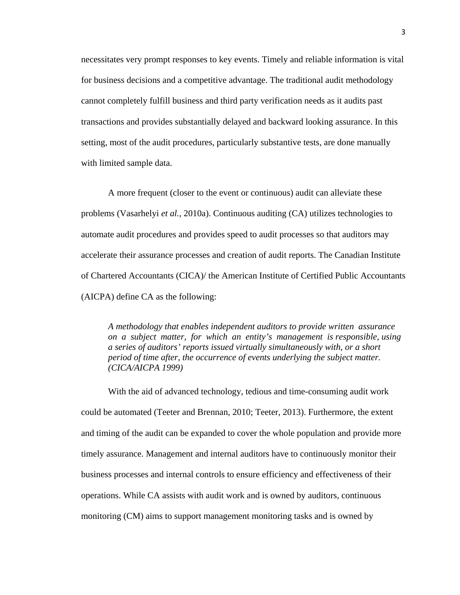necessitates very prompt responses to key events. Timely and reliable information is vital for business decisions and a competitive advantage. The traditional audit methodology cannot completely fulfill business and third party verification needs as it audits past transactions and provides substantially delayed and backward looking assurance. In this setting, most of the audit procedures, particularly substantive tests, are done manually with limited sample data.

A more frequent (closer to the event or continuous) audit can alleviate these problems (Vasarhelyi *et al.*, 2010a). Continuous auditing (CA) utilizes technologies to automate audit procedures and provides speed to audit processes so that auditors may accelerate their assurance processes and creation of audit reports. The Canadian Institute of Chartered Accountants (CICA)/ the American Institute of Certified Public Accountants (AICPA) define CA as the following:

*A methodology that enables independent auditors to provide written assurance on a subject matter, for which an entity's management is responsible, using a series of auditors' reports issued virtually simultaneously with, or a short period of time after, the occurrence of events underlying the subject matter. (CICA/AICPA 1999)* 

With the aid of advanced technology, tedious and time-consuming audit work could be automated (Teeter and Brennan, 2010; Teeter, 2013). Furthermore, the extent and timing of the audit can be expanded to cover the whole population and provide more timely assurance. Management and internal auditors have to continuously monitor their business processes and internal controls to ensure efficiency and effectiveness of their operations. While CA assists with audit work and is owned by auditors, continuous monitoring (CM) aims to support management monitoring tasks and is owned by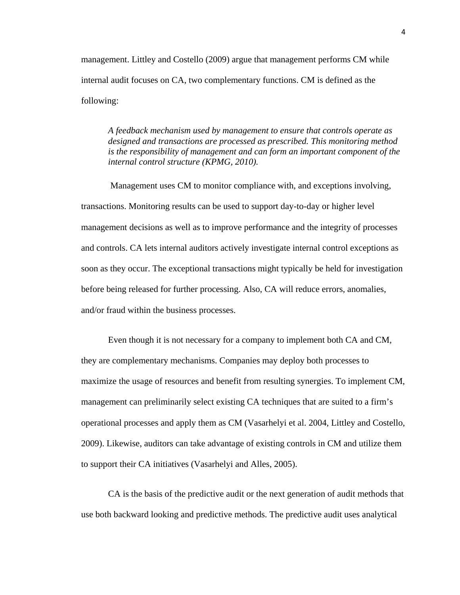management. Littley and Costello (2009) argue that management performs CM while internal audit focuses on CA, two complementary functions. CM is defined as the following:

*A feedback mechanism used by management to ensure that controls operate as designed and transactions are processed as prescribed. This monitoring method is the responsibility of management and can form an important component of the internal control structure (KPMG, 2010).* 

Management uses CM to monitor compliance with, and exceptions involving, transactions. Monitoring results can be used to support day-to-day or higher level management decisions as well as to improve performance and the integrity of processes and controls. CA lets internal auditors actively investigate internal control exceptions as soon as they occur. The exceptional transactions might typically be held for investigation before being released for further processing. Also, CA will reduce errors, anomalies, and/or fraud within the business processes.

Even though it is not necessary for a company to implement both CA and CM, they are complementary mechanisms. Companies may deploy both processes to maximize the usage of resources and benefit from resulting synergies. To implement CM, management can preliminarily select existing CA techniques that are suited to a firm's operational processes and apply them as CM (Vasarhelyi et al. 2004, Littley and Costello, 2009). Likewise, auditors can take advantage of existing controls in CM and utilize them to support their CA initiatives (Vasarhelyi and Alles, 2005).

CA is the basis of the predictive audit or the next generation of audit methods that use both backward looking and predictive methods. The predictive audit uses analytical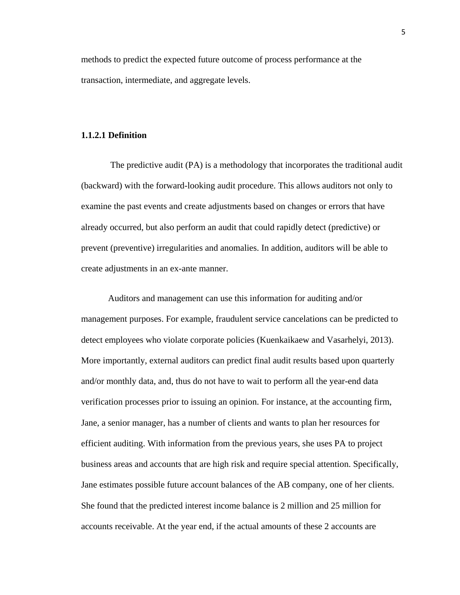methods to predict the expected future outcome of process performance at the transaction, intermediate, and aggregate levels.

#### **1.1.2.1 Definition**

 The predictive audit (PA) is a methodology that incorporates the traditional audit (backward) with the forward-looking audit procedure. This allows auditors not only to examine the past events and create adjustments based on changes or errors that have already occurred, but also perform an audit that could rapidly detect (predictive) or prevent (preventive) irregularities and anomalies. In addition, auditors will be able to create adjustments in an ex-ante manner.

Auditors and management can use this information for auditing and/or management purposes. For example, fraudulent service cancelations can be predicted to detect employees who violate corporate policies (Kuenkaikaew and Vasarhelyi, 2013). More importantly, external auditors can predict final audit results based upon quarterly and/or monthly data, and, thus do not have to wait to perform all the year-end data verification processes prior to issuing an opinion. For instance, at the accounting firm, Jane, a senior manager, has a number of clients and wants to plan her resources for efficient auditing. With information from the previous years, she uses PA to project business areas and accounts that are high risk and require special attention. Specifically, Jane estimates possible future account balances of the AB company, one of her clients. She found that the predicted interest income balance is 2 million and 25 million for accounts receivable. At the year end, if the actual amounts of these 2 accounts are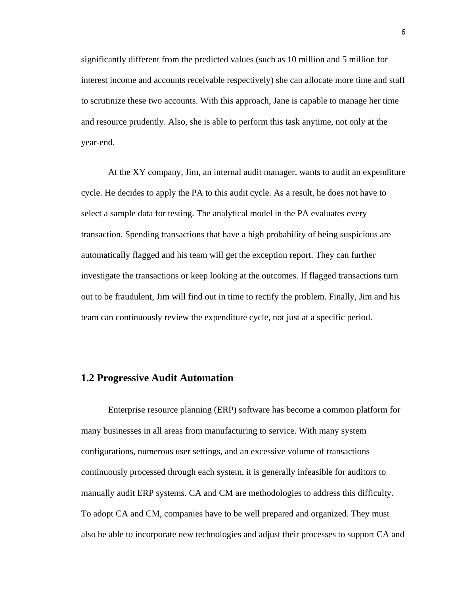significantly different from the predicted values (such as 10 million and 5 million for interest income and accounts receivable respectively) she can allocate more time and staff to scrutinize these two accounts. With this approach, Jane is capable to manage her time and resource prudently. Also, she is able to perform this task anytime, not only at the year-end.

At the XY company, Jim, an internal audit manager, wants to audit an expenditure cycle. He decides to apply the PA to this audit cycle. As a result, he does not have to select a sample data for testing. The analytical model in the PA evaluates every transaction. Spending transactions that have a high probability of being suspicious are automatically flagged and his team will get the exception report. They can further investigate the transactions or keep looking at the outcomes. If flagged transactions turn out to be fraudulent, Jim will find out in time to rectify the problem. Finally, Jim and his team can continuously review the expenditure cycle, not just at a specific period.

#### **1.2 Progressive Audit Automation**

Enterprise resource planning (ERP) software has become a common platform for many businesses in all areas from manufacturing to service. With many system configurations, numerous user settings, and an excessive volume of transactions continuously processed through each system, it is generally infeasible for auditors to manually audit ERP systems. CA and CM are methodologies to address this difficulty. To adopt CA and CM, companies have to be well prepared and organized. They must also be able to incorporate new technologies and adjust their processes to support CA and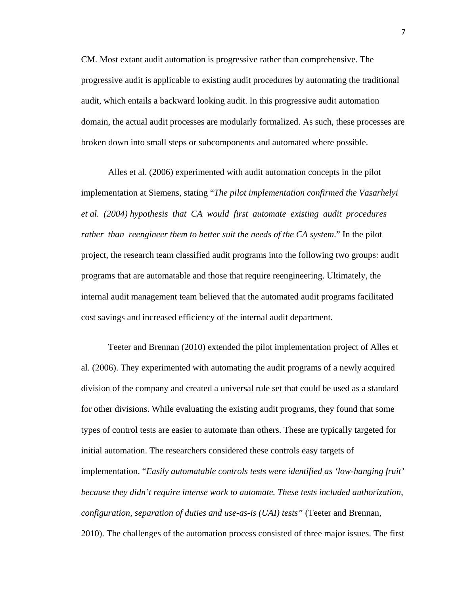CM. Most extant audit automation is progressive rather than comprehensive. The progressive audit is applicable to existing audit procedures by automating the traditional audit, which entails a backward looking audit. In this progressive audit automation domain, the actual audit processes are modularly formalized. As such, these processes are broken down into small steps or subcomponents and automated where possible.

Alles et al. (2006) experimented with audit automation concepts in the pilot implementation at Siemens, stating "*The pilot implementation confirmed the Vasarhelyi et al. (2004) hypothesis that CA would first automate existing audit procedures rather than reengineer them to better suit the needs of the CA system*." In the pilot project, the research team classified audit programs into the following two groups: audit programs that are automatable and those that require reengineering. Ultimately, the internal audit management team believed that the automated audit programs facilitated cost savings and increased efficiency of the internal audit department.

Teeter and Brennan (2010) extended the pilot implementation project of Alles et al. (2006). They experimented with automating the audit programs of a newly acquired division of the company and created a universal rule set that could be used as a standard for other divisions. While evaluating the existing audit programs, they found that some types of control tests are easier to automate than others. These are typically targeted for initial automation. The researchers considered these controls easy targets of implementation. "*Easily automatable controls tests were identified as 'low-hanging fruit' because they didn't require intense work to automate. These tests included authorization, configuration, separation of duties and use-as-is (UAI) tests"* (Teeter and Brennan, 2010). The challenges of the automation process consisted of three major issues. The first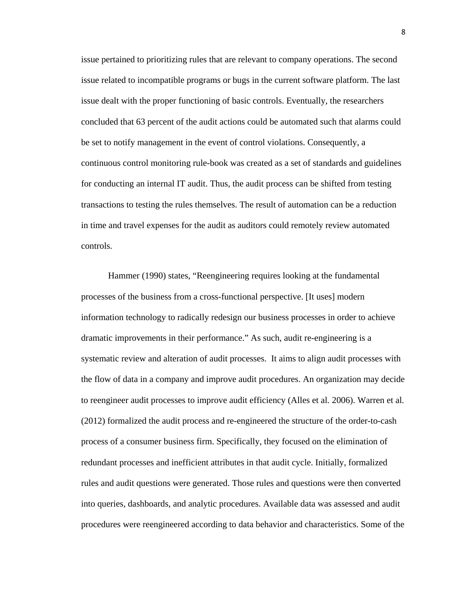issue pertained to prioritizing rules that are relevant to company operations. The second issue related to incompatible programs or bugs in the current software platform. The last issue dealt with the proper functioning of basic controls. Eventually, the researchers concluded that 63 percent of the audit actions could be automated such that alarms could be set to notify management in the event of control violations. Consequently, a continuous control monitoring rule-book was created as a set of standards and guidelines for conducting an internal IT audit. Thus, the audit process can be shifted from testing transactions to testing the rules themselves. The result of automation can be a reduction in time and travel expenses for the audit as auditors could remotely review automated controls.

Hammer (1990) states, "Reengineering requires looking at the fundamental processes of the business from a cross-functional perspective. [It uses] modern information technology to radically redesign our business processes in order to achieve dramatic improvements in their performance." As such, audit re-engineering is a systematic review and alteration of audit processes. It aims to align audit processes with the flow of data in a company and improve audit procedures. An organization may decide to reengineer audit processes to improve audit efficiency (Alles et al*.* 2006). Warren et al*.* (2012) formalized the audit process and re-engineered the structure of the order-to-cash process of a consumer business firm. Specifically, they focused on the elimination of redundant processes and inefficient attributes in that audit cycle. Initially, formalized rules and audit questions were generated. Those rules and questions were then converted into queries, dashboards, and analytic procedures. Available data was assessed and audit procedures were reengineered according to data behavior and characteristics. Some of the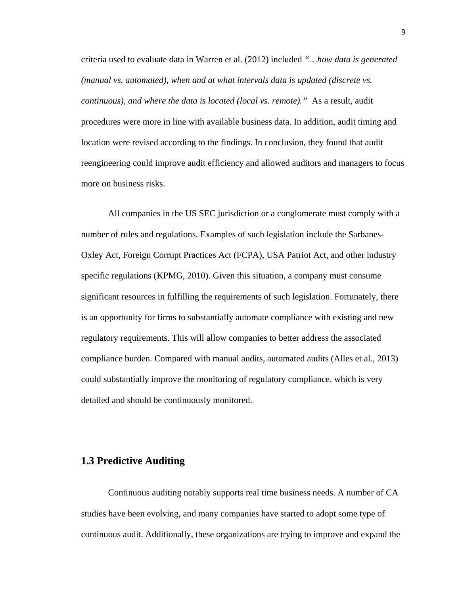criteria used to evaluate data in Warren et al. (2012) included *"…how data is generated (manual vs. automated), when and at what intervals data is updated (discrete vs. continuous), and where the data is located (local vs. remote)."* As a result, audit procedures were more in line with available business data. In addition, audit timing and location were revised according to the findings. In conclusion, they found that audit reengineering could improve audit efficiency and allowed auditors and managers to focus more on business risks.

All companies in the US SEC jurisdiction or a conglomerate must comply with a number of rules and regulations. Examples of such legislation include the Sarbanes-Oxley Act, Foreign Corrupt Practices Act (FCPA), USA Patriot Act, and other industry specific regulations (KPMG, 2010). Given this situation, a company must consume significant resources in fulfilling the requirements of such legislation. Fortunately, there is an opportunity for firms to substantially automate compliance with existing and new regulatory requirements. This will allow companies to better address the associated compliance burden. Compared with manual audits, automated audits (Alles et al*.*, 2013) could substantially improve the monitoring of regulatory compliance, which is very detailed and should be continuously monitored.

#### **1.3 Predictive Auditing**

Continuous auditing notably supports real time business needs. A number of CA studies have been evolving, and many companies have started to adopt some type of continuous audit. Additionally, these organizations are trying to improve and expand the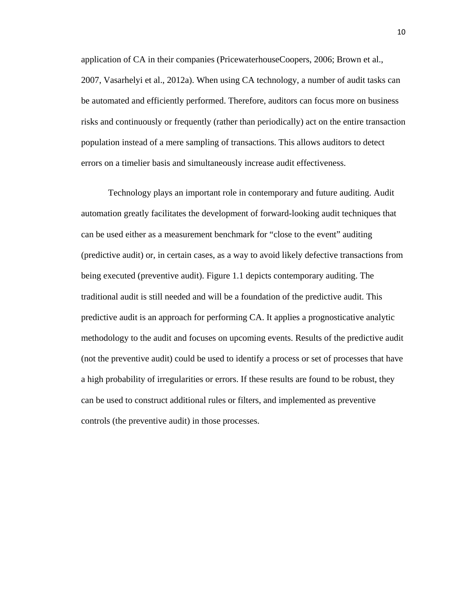application of CA in their companies (PricewaterhouseCoopers, 2006; Brown et al., 2007, Vasarhelyi et al., 2012a). When using CA technology, a number of audit tasks can be automated and efficiently performed. Therefore, auditors can focus more on business risks and continuously or frequently (rather than periodically) act on the entire transaction population instead of a mere sampling of transactions. This allows auditors to detect errors on a timelier basis and simultaneously increase audit effectiveness.

Technology plays an important role in contemporary and future auditing. Audit automation greatly facilitates the development of forward-looking audit techniques that can be used either as a measurement benchmark for "close to the event" auditing (predictive audit) or, in certain cases, as a way to avoid likely defective transactions from being executed (preventive audit). Figure 1.1 depicts contemporary auditing. The traditional audit is still needed and will be a foundation of the predictive audit. This predictive audit is an approach for performing CA. It applies a prognosticative analytic methodology to the audit and focuses on upcoming events. Results of the predictive audit (not the preventive audit) could be used to identify a process or set of processes that have a high probability of irregularities or errors. If these results are found to be robust, they can be used to construct additional rules or filters, and implemented as preventive controls (the preventive audit) in those processes.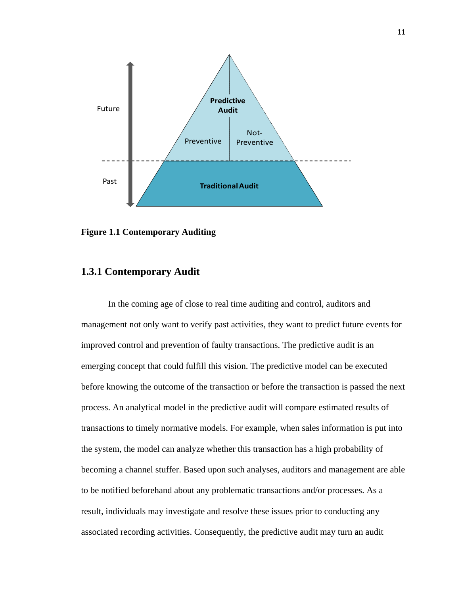

**Figure 1.1 Contemporary Auditing** 

## **1.3.1 Contemporary Audit**

In the coming age of close to real time auditing and control, auditors and management not only want to verify past activities, they want to predict future events for improved control and prevention of faulty transactions. The predictive audit is an emerging concept that could fulfill this vision. The predictive model can be executed before knowing the outcome of the transaction or before the transaction is passed the next process. An analytical model in the predictive audit will compare estimated results of transactions to timely normative models. For example, when sales information is put into the system, the model can analyze whether this transaction has a high probability of becoming a channel stuffer. Based upon such analyses, auditors and management are able to be notified beforehand about any problematic transactions and/or processes. As a result, individuals may investigate and resolve these issues prior to conducting any associated recording activities. Consequently, the predictive audit may turn an audit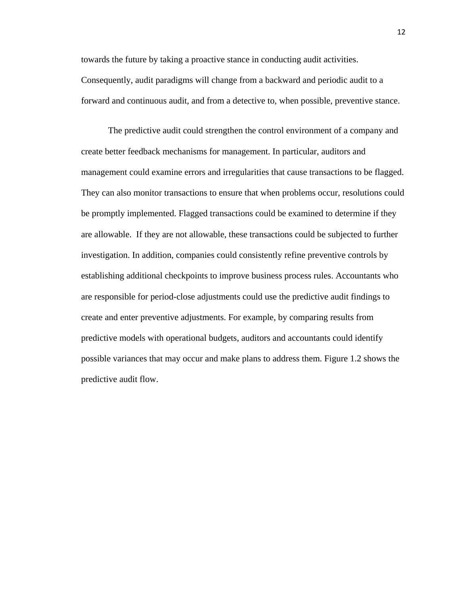towards the future by taking a proactive stance in conducting audit activities. Consequently, audit paradigms will change from a backward and periodic audit to a forward and continuous audit, and from a detective to, when possible, preventive stance.

The predictive audit could strengthen the control environment of a company and create better feedback mechanisms for management. In particular, auditors and management could examine errors and irregularities that cause transactions to be flagged. They can also monitor transactions to ensure that when problems occur, resolutions could be promptly implemented. Flagged transactions could be examined to determine if they are allowable. If they are not allowable, these transactions could be subjected to further investigation. In addition, companies could consistently refine preventive controls by establishing additional checkpoints to improve business process rules. Accountants who are responsible for period-close adjustments could use the predictive audit findings to create and enter preventive adjustments. For example, by comparing results from predictive models with operational budgets, auditors and accountants could identify possible variances that may occur and make plans to address them. Figure 1.2 shows the predictive audit flow.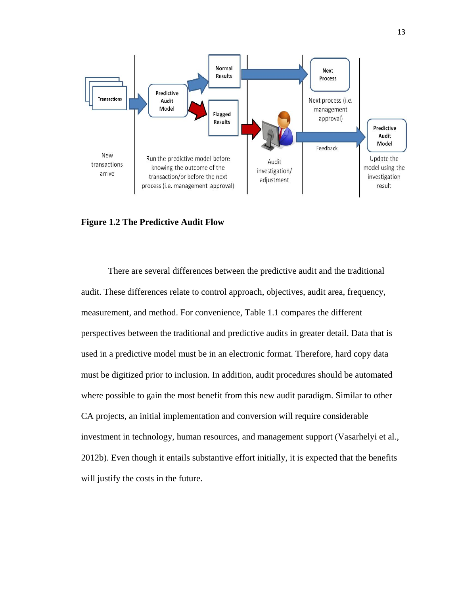

#### **Figure 1.2 The Predictive Audit Flow**

There are several differences between the predictive audit and the traditional audit. These differences relate to control approach, objectives, audit area, frequency, measurement, and method. For convenience, Table 1.1 compares the different perspectives between the traditional and predictive audits in greater detail. Data that is used in a predictive model must be in an electronic format. Therefore, hard copy data must be digitized prior to inclusion. In addition, audit procedures should be automated where possible to gain the most benefit from this new audit paradigm. Similar to other CA projects, an initial implementation and conversion will require considerable investment in technology, human resources, and management support (Vasarhelyi et al*.*, 2012b). Even though it entails substantive effort initially, it is expected that the benefits will justify the costs in the future.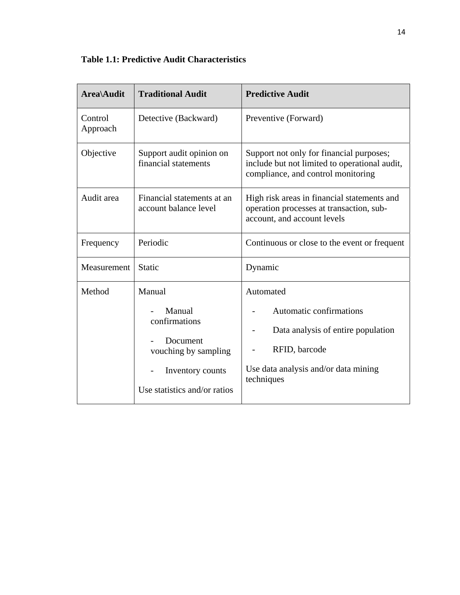# **Table 1.1: Predictive Audit Characteristics**

| Area\Audit          | <b>Traditional Audit</b>                                                                                                  | <b>Predictive Audit</b>                                                                                                                           |
|---------------------|---------------------------------------------------------------------------------------------------------------------------|---------------------------------------------------------------------------------------------------------------------------------------------------|
| Control<br>Approach | Detective (Backward)                                                                                                      | Preventive (Forward)                                                                                                                              |
| Objective           | Support audit opinion on<br>financial statements                                                                          | Support not only for financial purposes;<br>include but not limited to operational audit,<br>compliance, and control monitoring                   |
| Audit area          | Financial statements at an<br>account balance level                                                                       | High risk areas in financial statements and<br>operation processes at transaction, sub-<br>account, and account levels                            |
| Frequency           | Periodic                                                                                                                  | Continuous or close to the event or frequent                                                                                                      |
| Measurement         | Static                                                                                                                    | Dynamic                                                                                                                                           |
| Method              | Manual<br>Manual<br>confirmations<br>Document<br>vouching by sampling<br>Inventory counts<br>Use statistics and/or ratios | Automated<br>Automatic confirmations<br>Data analysis of entire population<br>RFID, barcode<br>Use data analysis and/or data mining<br>techniques |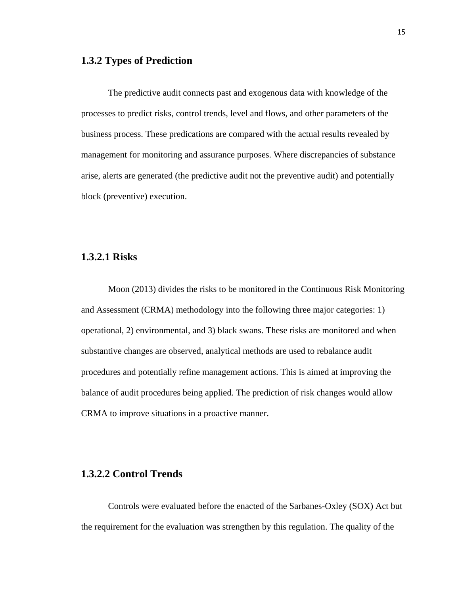#### **1.3.2 Types of Prediction**

The predictive audit connects past and exogenous data with knowledge of the processes to predict risks, control trends, level and flows, and other parameters of the business process. These predications are compared with the actual results revealed by management for monitoring and assurance purposes. Where discrepancies of substance arise, alerts are generated (the predictive audit not the preventive audit) and potentially block (preventive) execution.

## **1.3.2.1 Risks**

Moon (2013) divides the risks to be monitored in the Continuous Risk Monitoring and Assessment (CRMA) methodology into the following three major categories: 1) operational, 2) environmental, and 3) black swans. These risks are monitored and when substantive changes are observed, analytical methods are used to rebalance audit procedures and potentially refine management actions. This is aimed at improving the balance of audit procedures being applied. The prediction of risk changes would allow CRMA to improve situations in a proactive manner.

### **1.3.2.2 Control Trends**

Controls were evaluated before the enacted of the Sarbanes-Oxley (SOX) Act but the requirement for the evaluation was strengthen by this regulation. The quality of the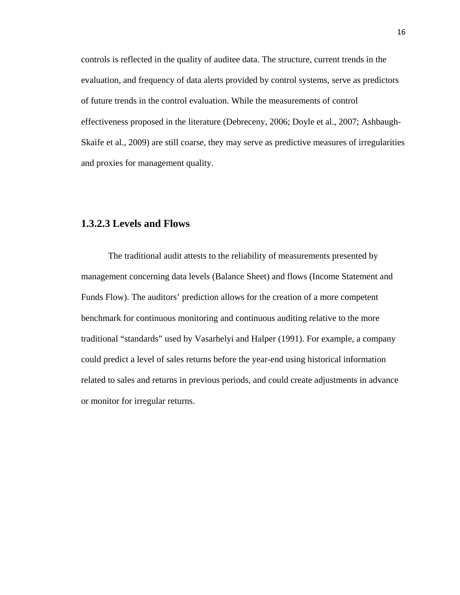controls is reflected in the quality of auditee data. The structure, current trends in the evaluation, and frequency of data alerts provided by control systems, serve as predictors of future trends in the control evaluation. While the measurements of control effectiveness proposed in the literature (Debreceny, 2006; Doyle et al., 2007; Ashbaugh-Skaife et al., 2009) are still coarse, they may serve as predictive measures of irregularities and proxies for management quality.

## **1.3.2.3 Levels and Flows**

The traditional audit attests to the reliability of measurements presented by management concerning data levels (Balance Sheet) and flows (Income Statement and Funds Flow). The auditors' prediction allows for the creation of a more competent benchmark for continuous monitoring and continuous auditing relative to the more traditional "standards" used by Vasarhelyi and Halper (1991). For example, a company could predict a level of sales returns before the year-end using historical information related to sales and returns in previous periods, and could create adjustments in advance or monitor for irregular returns.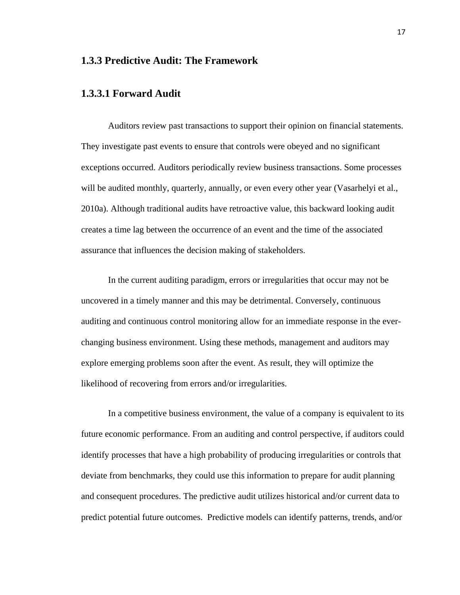# **1.3.3 Predictive Audit: The Framework**

### **1.3.3.1 Forward Audit**

Auditors review past transactions to support their opinion on financial statements. They investigate past events to ensure that controls were obeyed and no significant exceptions occurred. Auditors periodically review business transactions. Some processes will be audited monthly, quarterly, annually, or even every other year (Vasarhelyi et al., 2010a). Although traditional audits have retroactive value, this backward looking audit creates a time lag between the occurrence of an event and the time of the associated assurance that influences the decision making of stakeholders.

In the current auditing paradigm, errors or irregularities that occur may not be uncovered in a timely manner and this may be detrimental. Conversely, continuous auditing and continuous control monitoring allow for an immediate response in the everchanging business environment. Using these methods, management and auditors may explore emerging problems soon after the event. As result, they will optimize the likelihood of recovering from errors and/or irregularities.

In a competitive business environment, the value of a company is equivalent to its future economic performance. From an auditing and control perspective, if auditors could identify processes that have a high probability of producing irregularities or controls that deviate from benchmarks, they could use this information to prepare for audit planning and consequent procedures. The predictive audit utilizes historical and/or current data to predict potential future outcomes. Predictive models can identify patterns, trends, and/or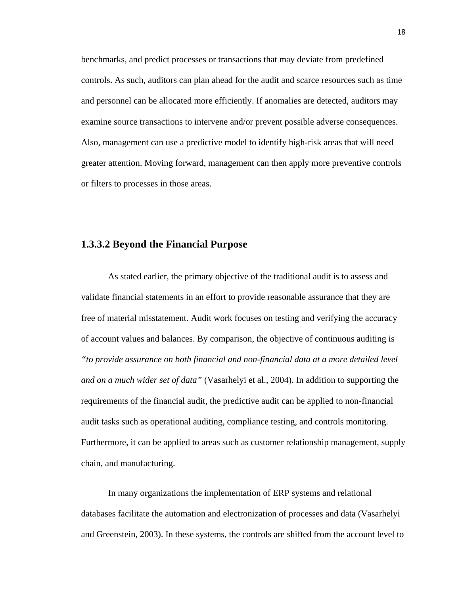benchmarks, and predict processes or transactions that may deviate from predefined controls. As such, auditors can plan ahead for the audit and scarce resources such as time and personnel can be allocated more efficiently. If anomalies are detected, auditors may examine source transactions to intervene and/or prevent possible adverse consequences. Also, management can use a predictive model to identify high-risk areas that will need greater attention. Moving forward, management can then apply more preventive controls or filters to processes in those areas.

### **1.3.3.2 Beyond the Financial Purpose**

As stated earlier, the primary objective of the traditional audit is to assess and validate financial statements in an effort to provide reasonable assurance that they are free of material misstatement. Audit work focuses on testing and verifying the accuracy of account values and balances. By comparison, the objective of continuous auditing is *"to provide assurance on both financial and non-financial data at a more detailed level and on a much wider set of data"* (Vasarhelyi et al., 2004). In addition to supporting the requirements of the financial audit, the predictive audit can be applied to non-financial audit tasks such as operational auditing, compliance testing, and controls monitoring. Furthermore, it can be applied to areas such as customer relationship management, supply chain, and manufacturing.

In many organizations the implementation of ERP systems and relational databases facilitate the automation and electronization of processes and data (Vasarhelyi and Greenstein, 2003). In these systems, the controls are shifted from the account level to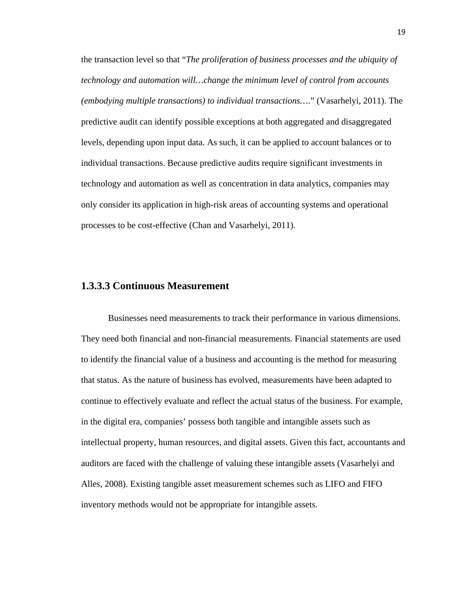the transaction level so that "*The proliferation of business processes and the ubiquity of technology and automation will…change the minimum level of control from accounts (embodying multiple transactions) to individual transactions…*." (Vasarhelyi, 2011). The predictive audit can identify possible exceptions at both aggregated and disaggregated levels, depending upon input data. As such, it can be applied to account balances or to individual transactions. Because predictive audits require significant investments in technology and automation as well as concentration in data analytics, companies may only consider its application in high-risk areas of accounting systems and operational processes to be cost-effective (Chan and Vasarhelyi, 2011).

#### **1.3.3.3 Continuous Measurement**

Businesses need measurements to track their performance in various dimensions. They need both financial and non-financial measurements. Financial statements are used to identify the financial value of a business and accounting is the method for measuring that status. As the nature of business has evolved, measurements have been adapted to continue to effectively evaluate and reflect the actual status of the business. For example, in the digital era, companies' possess both tangible and intangible assets such as intellectual property, human resources, and digital assets. Given this fact, accountants and auditors are faced with the challenge of valuing these intangible assets (Vasarhelyi and Alles, 2008). Existing tangible asset measurement schemes such as LIFO and FIFO inventory methods would not be appropriate for intangible assets.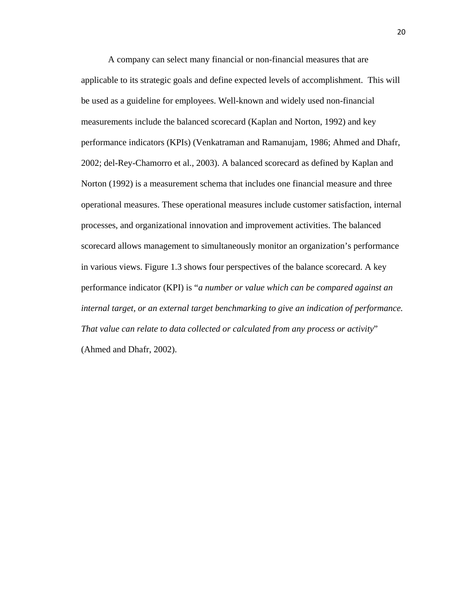A company can select many financial or non-financial measures that are applicable to its strategic goals and define expected levels of accomplishment. This will be used as a guideline for employees. Well-known and widely used non-financial measurements include the balanced scorecard (Kaplan and Norton, 1992) and key performance indicators (KPIs) (Venkatraman and Ramanujam, 1986; Ahmed and Dhafr, 2002; del-Rey-Chamorro et al., 2003). A balanced scorecard as defined by Kaplan and Norton (1992) is a measurement schema that includes one financial measure and three operational measures. These operational measures include customer satisfaction, internal processes, and organizational innovation and improvement activities. The balanced scorecard allows management to simultaneously monitor an organization's performance in various views. Figure 1.3 shows four perspectives of the balance scorecard. A key performance indicator (KPI) is "*a number or value which can be compared against an internal target, or an external target benchmarking to give an indication of performance. That value can relate to data collected or calculated from any process or activity*" (Ahmed and Dhafr, 2002).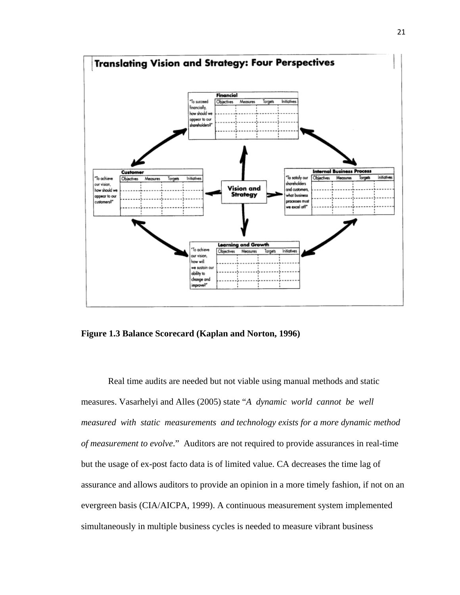

**Figure 1.3 Balance Scorecard (Kaplan and Norton, 1996)** 

Real time audits are needed but not viable using manual methods and static measures. Vasarhelyi and Alles (2005) state "*A dynamic world cannot be well measured with static measurements and technology exists for a more dynamic method of measurement to evolve*." Auditors are not required to provide assurances in real-time but the usage of ex-post facto data is of limited value. CA decreases the time lag of assurance and allows auditors to provide an opinion in a more timely fashion, if not on an evergreen basis (CIA/AICPA, 1999). A continuous measurement system implemented simultaneously in multiple business cycles is needed to measure vibrant business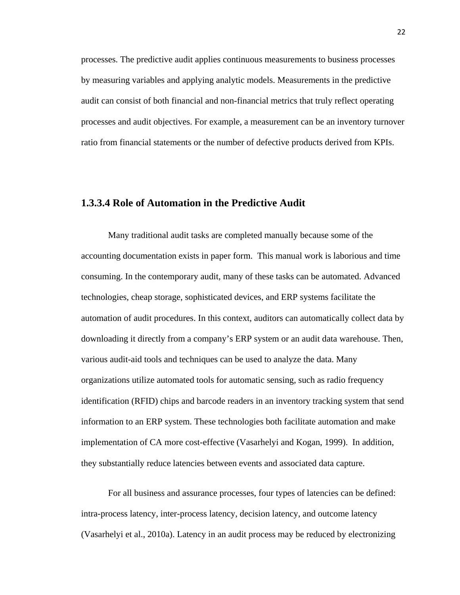processes. The predictive audit applies continuous measurements to business processes by measuring variables and applying analytic models. Measurements in the predictive audit can consist of both financial and non-financial metrics that truly reflect operating processes and audit objectives. For example, a measurement can be an inventory turnover ratio from financial statements or the number of defective products derived from KPIs.

### **1.3.3.4 Role of Automation in the Predictive Audit**

Many traditional audit tasks are completed manually because some of the accounting documentation exists in paper form. This manual work is laborious and time consuming. In the contemporary audit, many of these tasks can be automated. Advanced technologies, cheap storage, sophisticated devices, and ERP systems facilitate the automation of audit procedures. In this context, auditors can automatically collect data by downloading it directly from a company's ERP system or an audit data warehouse. Then, various audit-aid tools and techniques can be used to analyze the data. Many organizations utilize automated tools for automatic sensing, such as radio frequency identification (RFID) chips and barcode readers in an inventory tracking system that send information to an ERP system. These technologies both facilitate automation and make implementation of CA more cost-effective (Vasarhelyi and Kogan, 1999). In addition, they substantially reduce latencies between events and associated data capture.

For all business and assurance processes, four types of latencies can be defined: intra-process latency, inter-process latency, decision latency, and outcome latency (Vasarhelyi et al., 2010a). Latency in an audit process may be reduced by electronizing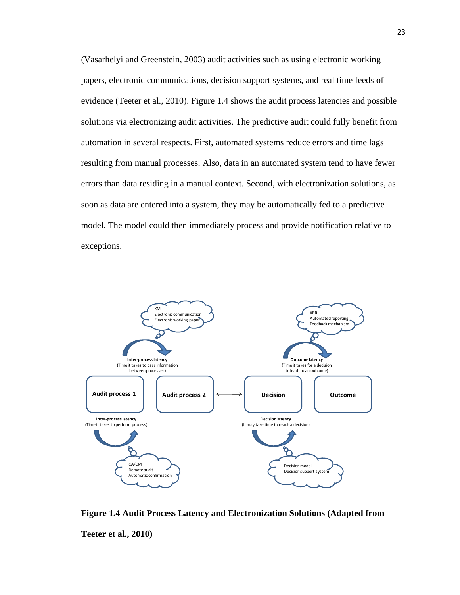(Vasarhelyi and Greenstein, 2003) audit activities such as using electronic working papers, electronic communications, decision support systems, and real time feeds of evidence (Teeter et al., 2010). Figure 1.4 shows the audit process latencies and possible solutions via electronizing audit activities. The predictive audit could fully benefit from automation in several respects. First, automated systems reduce errors and time lags resulting from manual processes. Also, data in an automated system tend to have fewer errors than data residing in a manual context. Second, with electronization solutions, as soon as data are entered into a system, they may be automatically fed to a predictive model. The model could then immediately process and provide notification relative to exceptions.



**Figure 1.4 Audit Process Latency and Electronization Solutions (Adapted from Teeter et al., 2010)**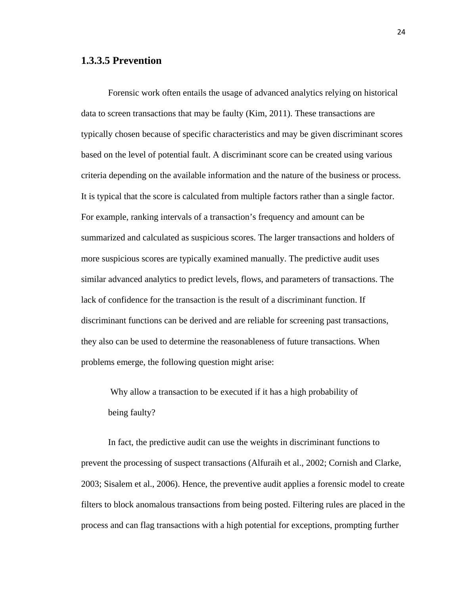## **1.3.3.5 Prevention**

Forensic work often entails the usage of advanced analytics relying on historical data to screen transactions that may be faulty (Kim, 2011). These transactions are typically chosen because of specific characteristics and may be given discriminant scores based on the level of potential fault. A discriminant score can be created using various criteria depending on the available information and the nature of the business or process. It is typical that the score is calculated from multiple factors rather than a single factor. For example, ranking intervals of a transaction's frequency and amount can be summarized and calculated as suspicious scores. The larger transactions and holders of more suspicious scores are typically examined manually. The predictive audit uses similar advanced analytics to predict levels, flows, and parameters of transactions. The lack of confidence for the transaction is the result of a discriminant function. If discriminant functions can be derived and are reliable for screening past transactions, they also can be used to determine the reasonableness of future transactions. When problems emerge, the following question might arise:

 Why allow a transaction to be executed if it has a high probability of being faulty?

In fact, the predictive audit can use the weights in discriminant functions to prevent the processing of suspect transactions (Alfuraih et al., 2002; Cornish and Clarke, 2003; Sisalem et al., 2006). Hence, the preventive audit applies a forensic model to create filters to block anomalous transactions from being posted. Filtering rules are placed in the process and can flag transactions with a high potential for exceptions, prompting further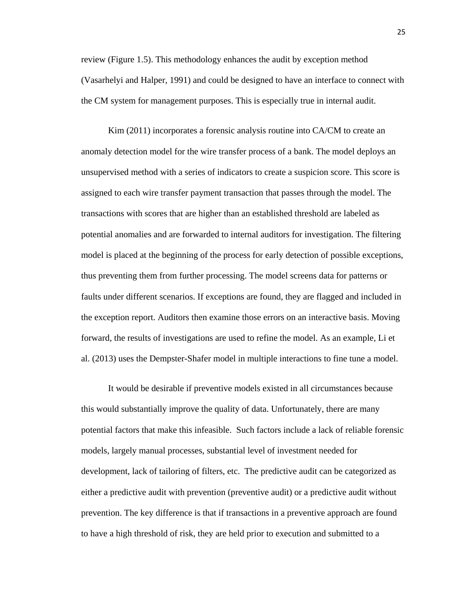review (Figure 1.5). This methodology enhances the audit by exception method (Vasarhelyi and Halper, 1991) and could be designed to have an interface to connect with the CM system for management purposes. This is especially true in internal audit.

Kim (2011) incorporates a forensic analysis routine into CA/CM to create an anomaly detection model for the wire transfer process of a bank. The model deploys an unsupervised method with a series of indicators to create a suspicion score. This score is assigned to each wire transfer payment transaction that passes through the model. The transactions with scores that are higher than an established threshold are labeled as potential anomalies and are forwarded to internal auditors for investigation. The filtering model is placed at the beginning of the process for early detection of possible exceptions, thus preventing them from further processing. The model screens data for patterns or faults under different scenarios. If exceptions are found, they are flagged and included in the exception report. Auditors then examine those errors on an interactive basis. Moving forward, the results of investigations are used to refine the model. As an example, Li et al. (2013) uses the Dempster-Shafer model in multiple interactions to fine tune a model.

It would be desirable if preventive models existed in all circumstances because this would substantially improve the quality of data. Unfortunately, there are many potential factors that make this infeasible. Such factors include a lack of reliable forensic models, largely manual processes, substantial level of investment needed for development, lack of tailoring of filters, etc. The predictive audit can be categorized as either a predictive audit with prevention (preventive audit) or a predictive audit without prevention. The key difference is that if transactions in a preventive approach are found to have a high threshold of risk, they are held prior to execution and submitted to a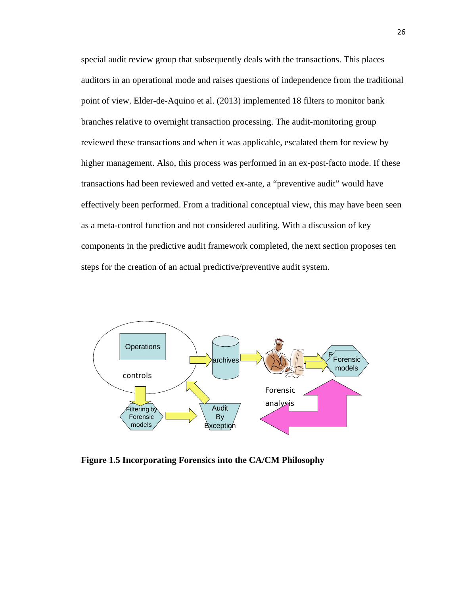special audit review group that subsequently deals with the transactions. This places auditors in an operational mode and raises questions of independence from the traditional point of view. Elder-de-Aquino et al. (2013) implemented 18 filters to monitor bank branches relative to overnight transaction processing. The audit-monitoring group reviewed these transactions and when it was applicable, escalated them for review by higher management. Also, this process was performed in an ex-post-facto mode. If these transactions had been reviewed and vetted ex-ante, a "preventive audit" would have effectively been performed. From a traditional conceptual view, this may have been seen as a meta-control function and not considered auditing. With a discussion of key components in the predictive audit framework completed, the next section proposes ten steps for the creation of an actual predictive/preventive audit system.



**Figure 1.5 Incorporating Forensics into the CA/CM Philosophy**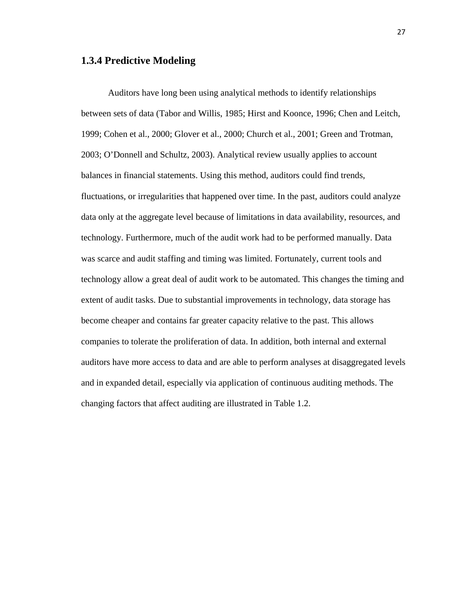#### **1.3.4 Predictive Modeling**

Auditors have long been using analytical methods to identify relationships between sets of data (Tabor and Willis, 1985; Hirst and Koonce, 1996; Chen and Leitch, 1999; Cohen et al., 2000; Glover et al., 2000; Church et al., 2001; Green and Trotman, 2003; O'Donnell and Schultz, 2003). Analytical review usually applies to account balances in financial statements. Using this method, auditors could find trends, fluctuations, or irregularities that happened over time. In the past, auditors could analyze data only at the aggregate level because of limitations in data availability, resources, and technology. Furthermore, much of the audit work had to be performed manually. Data was scarce and audit staffing and timing was limited. Fortunately, current tools and technology allow a great deal of audit work to be automated. This changes the timing and extent of audit tasks. Due to substantial improvements in technology, data storage has become cheaper and contains far greater capacity relative to the past. This allows companies to tolerate the proliferation of data. In addition, both internal and external auditors have more access to data and are able to perform analyses at disaggregated levels and in expanded detail, especially via application of continuous auditing methods. The changing factors that affect auditing are illustrated in Table 1.2.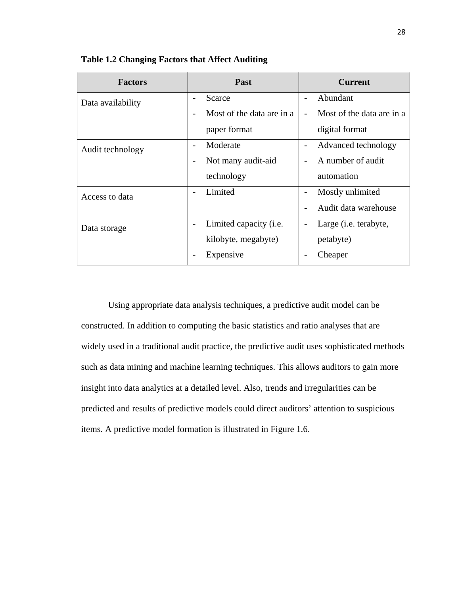| <b>Factors</b>    | Past                      | <b>Current</b>                |
|-------------------|---------------------------|-------------------------------|
| Data availability | Scarce                    | Abundant                      |
|                   | Most of the data are in a | Most of the data are in a     |
|                   | paper format              | digital format                |
| Audit technology  | Moderate                  | Advanced technology           |
|                   | Not many audit-aid        | A number of audit             |
|                   | technology                | automation                    |
| Access to data    | Limited                   | Mostly unlimited              |
|                   |                           | Audit data warehouse          |
| Data storage      | Limited capacity (i.e.    | Large ( <i>i.e.</i> terabyte, |
|                   | kilobyte, megabyte)       | petabyte)                     |
|                   | Expensive                 | Cheaper                       |

**Table 1.2 Changing Factors that Affect Auditing** 

Using appropriate data analysis techniques, a predictive audit model can be constructed. In addition to computing the basic statistics and ratio analyses that are widely used in a traditional audit practice, the predictive audit uses sophisticated methods such as data mining and machine learning techniques. This allows auditors to gain more insight into data analytics at a detailed level. Also, trends and irregularities can be predicted and results of predictive models could direct auditors' attention to suspicious items. A predictive model formation is illustrated in Figure 1.6.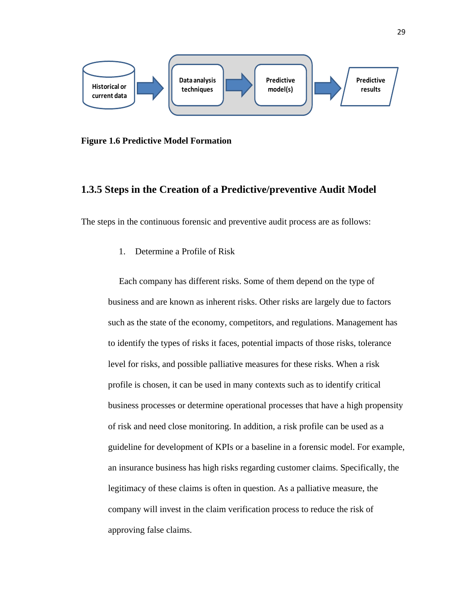

**Figure 1.6 Predictive Model Formation** 

#### **1.3.5 Steps in the Creation of a Predictive/preventive Audit Model**

The steps in the continuous forensic and preventive audit process are as follows:

1. Determine a Profile of Risk

Each company has different risks. Some of them depend on the type of business and are known as inherent risks. Other risks are largely due to factors such as the state of the economy, competitors, and regulations. Management has to identify the types of risks it faces, potential impacts of those risks, tolerance level for risks, and possible palliative measures for these risks. When a risk profile is chosen, it can be used in many contexts such as to identify critical business processes or determine operational processes that have a high propensity of risk and need close monitoring. In addition, a risk profile can be used as a guideline for development of KPIs or a baseline in a forensic model. For example, an insurance business has high risks regarding customer claims. Specifically, the legitimacy of these claims is often in question. As a palliative measure, the company will invest in the claim verification process to reduce the risk of approving false claims.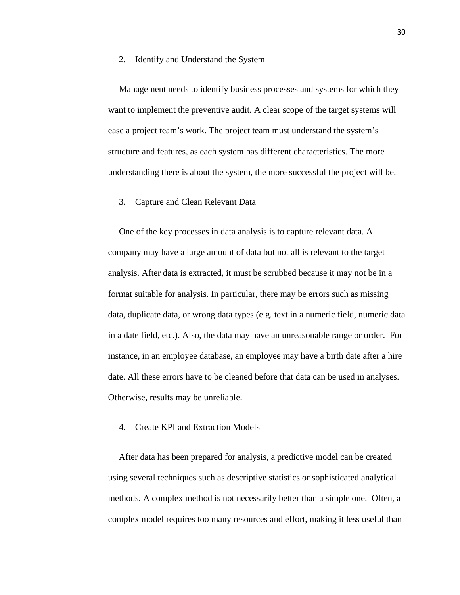#### 2. Identify and Understand the System

Management needs to identify business processes and systems for which they want to implement the preventive audit. A clear scope of the target systems will ease a project team's work. The project team must understand the system's structure and features, as each system has different characteristics. The more understanding there is about the system, the more successful the project will be.

#### 3. Capture and Clean Relevant Data

One of the key processes in data analysis is to capture relevant data. A company may have a large amount of data but not all is relevant to the target analysis. After data is extracted, it must be scrubbed because it may not be in a format suitable for analysis. In particular, there may be errors such as missing data, duplicate data, or wrong data types (e.g. text in a numeric field, numeric data in a date field, etc.). Also, the data may have an unreasonable range or order. For instance, in an employee database, an employee may have a birth date after a hire date. All these errors have to be cleaned before that data can be used in analyses. Otherwise, results may be unreliable.

#### 4. Create KPI and Extraction Models

After data has been prepared for analysis, a predictive model can be created using several techniques such as descriptive statistics or sophisticated analytical methods. A complex method is not necessarily better than a simple one. Often, a complex model requires too many resources and effort, making it less useful than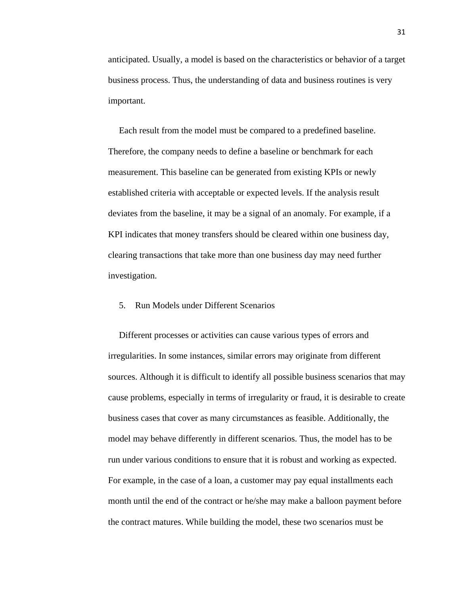anticipated. Usually, a model is based on the characteristics or behavior of a target business process. Thus, the understanding of data and business routines is very important.

Each result from the model must be compared to a predefined baseline. Therefore, the company needs to define a baseline or benchmark for each measurement. This baseline can be generated from existing KPIs or newly established criteria with acceptable or expected levels. If the analysis result deviates from the baseline, it may be a signal of an anomaly. For example, if a KPI indicates that money transfers should be cleared within one business day, clearing transactions that take more than one business day may need further investigation.

#### 5. Run Models under Different Scenarios

Different processes or activities can cause various types of errors and irregularities. In some instances, similar errors may originate from different sources. Although it is difficult to identify all possible business scenarios that may cause problems, especially in terms of irregularity or fraud, it is desirable to create business cases that cover as many circumstances as feasible. Additionally, the model may behave differently in different scenarios. Thus, the model has to be run under various conditions to ensure that it is robust and working as expected. For example, in the case of a loan, a customer may pay equal installments each month until the end of the contract or he/she may make a balloon payment before the contract matures. While building the model, these two scenarios must be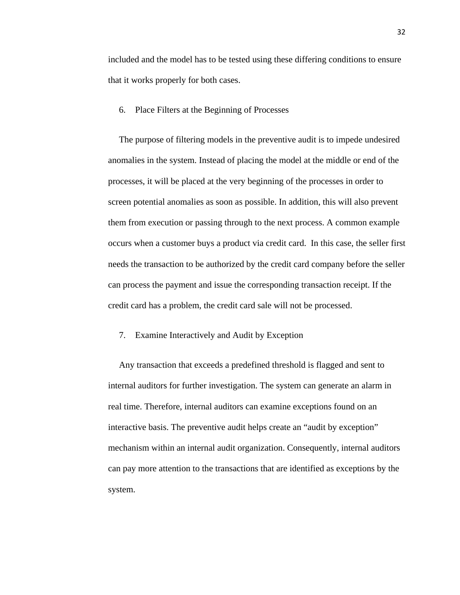included and the model has to be tested using these differing conditions to ensure that it works properly for both cases.

6. Place Filters at the Beginning of Processes

The purpose of filtering models in the preventive audit is to impede undesired anomalies in the system. Instead of placing the model at the middle or end of the processes, it will be placed at the very beginning of the processes in order to screen potential anomalies as soon as possible. In addition, this will also prevent them from execution or passing through to the next process. A common example occurs when a customer buys a product via credit card. In this case, the seller first needs the transaction to be authorized by the credit card company before the seller can process the payment and issue the corresponding transaction receipt. If the credit card has a problem, the credit card sale will not be processed.

7. Examine Interactively and Audit by Exception

Any transaction that exceeds a predefined threshold is flagged and sent to internal auditors for further investigation. The system can generate an alarm in real time. Therefore, internal auditors can examine exceptions found on an interactive basis. The preventive audit helps create an "audit by exception" mechanism within an internal audit organization. Consequently, internal auditors can pay more attention to the transactions that are identified as exceptions by the system.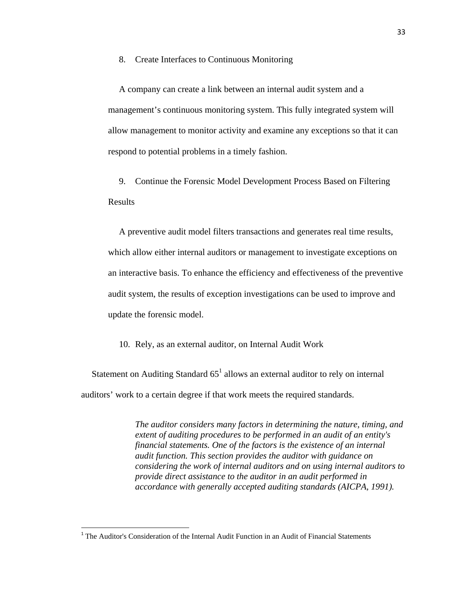8. Create Interfaces to Continuous Monitoring

A company can create a link between an internal audit system and a management's continuous monitoring system. This fully integrated system will allow management to monitor activity and examine any exceptions so that it can respond to potential problems in a timely fashion.

9. Continue the Forensic Model Development Process Based on Filtering Results

A preventive audit model filters transactions and generates real time results, which allow either internal auditors or management to investigate exceptions on an interactive basis. To enhance the efficiency and effectiveness of the preventive audit system, the results of exception investigations can be used to improve and update the forensic model.

10. Rely, as an external auditor, on Internal Audit Work

Statement on Auditing Standard  $65<sup>1</sup>$  allows an external auditor to rely on internal auditors' work to a certain degree if that work meets the required standards.

> *The auditor considers many factors in determining the nature, timing, and extent of auditing procedures to be performed in an audit of an entity's financial statements. One of the factors is the existence of an internal audit function. This section provides the auditor with guidance on considering the work of internal auditors and on using internal auditors to provide direct assistance to the auditor in an audit performed in accordance with generally accepted auditing standards (AICPA, 1991).*

<sup>&</sup>lt;sup>1</sup> The Auditor's Consideration of the Internal Audit Function in an Audit of Financial Statements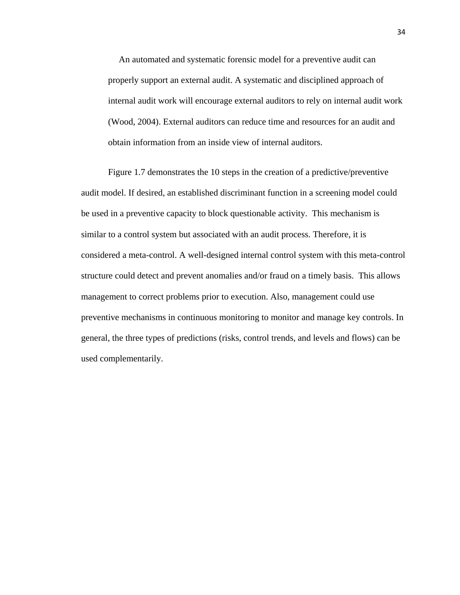An automated and systematic forensic model for a preventive audit can properly support an external audit. A systematic and disciplined approach of internal audit work will encourage external auditors to rely on internal audit work (Wood, 2004). External auditors can reduce time and resources for an audit and obtain information from an inside view of internal auditors.

Figure 1.7 demonstrates the 10 steps in the creation of a predictive/preventive audit model. If desired, an established discriminant function in a screening model could be used in a preventive capacity to block questionable activity. This mechanism is similar to a control system but associated with an audit process. Therefore, it is considered a meta-control. A well-designed internal control system with this meta-control structure could detect and prevent anomalies and/or fraud on a timely basis. This allows management to correct problems prior to execution. Also, management could use preventive mechanisms in continuous monitoring to monitor and manage key controls. In general, the three types of predictions (risks, control trends, and levels and flows) can be used complementarily.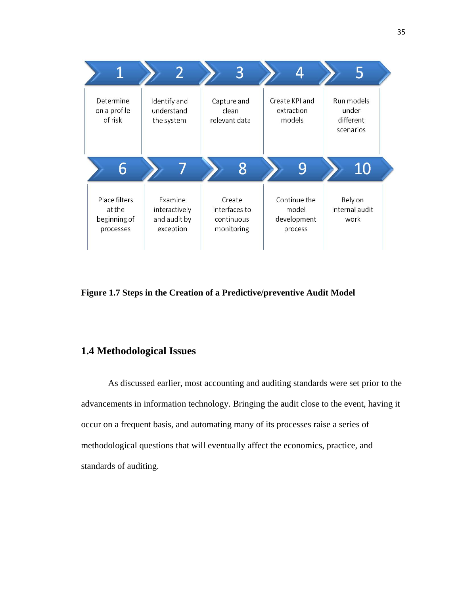

**Figure 1.7 Steps in the Creation of a Predictive/preventive Audit Model** 

# **1.4 Methodological Issues**

As discussed earlier, most accounting and auditing standards were set prior to the advancements in information technology. Bringing the audit close to the event, having it occur on a frequent basis, and automating many of its processes raise a series of methodological questions that will eventually affect the economics, practice, and standards of auditing.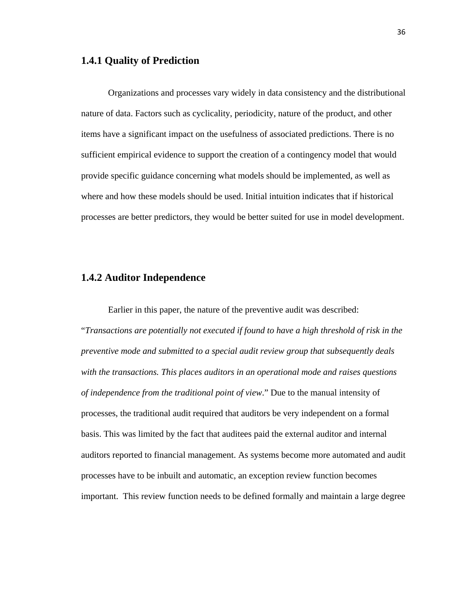#### **1.4.1 Quality of Prediction**

Organizations and processes vary widely in data consistency and the distributional nature of data. Factors such as cyclicality, periodicity, nature of the product, and other items have a significant impact on the usefulness of associated predictions. There is no sufficient empirical evidence to support the creation of a contingency model that would provide specific guidance concerning what models should be implemented, as well as where and how these models should be used. Initial intuition indicates that if historical processes are better predictors, they would be better suited for use in model development.

# **1.4.2 Auditor Independence**

Earlier in this paper, the nature of the preventive audit was described: "*Transactions are potentially not executed if found to have a high threshold of risk in the preventive mode and submitted to a special audit review group that subsequently deals with the transactions. This places auditors in an operational mode and raises questions of independence from the traditional point of view*." Due to the manual intensity of processes, the traditional audit required that auditors be very independent on a formal basis. This was limited by the fact that auditees paid the external auditor and internal auditors reported to financial management. As systems become more automated and audit processes have to be inbuilt and automatic, an exception review function becomes important. This review function needs to be defined formally and maintain a large degree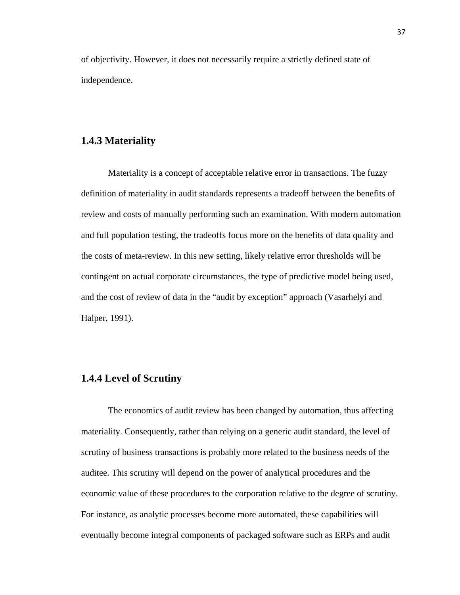of objectivity. However, it does not necessarily require a strictly defined state of independence.

#### **1.4.3 Materiality**

Materiality is a concept of acceptable relative error in transactions. The fuzzy definition of materiality in audit standards represents a tradeoff between the benefits of review and costs of manually performing such an examination. With modern automation and full population testing, the tradeoffs focus more on the benefits of data quality and the costs of meta-review. In this new setting, likely relative error thresholds will be contingent on actual corporate circumstances, the type of predictive model being used, and the cost of review of data in the "audit by exception" approach (Vasarhelyi and Halper, 1991).

## **1.4.4 Level of Scrutiny**

The economics of audit review has been changed by automation, thus affecting materiality. Consequently, rather than relying on a generic audit standard, the level of scrutiny of business transactions is probably more related to the business needs of the auditee. This scrutiny will depend on the power of analytical procedures and the economic value of these procedures to the corporation relative to the degree of scrutiny. For instance, as analytic processes become more automated, these capabilities will eventually become integral components of packaged software such as ERPs and audit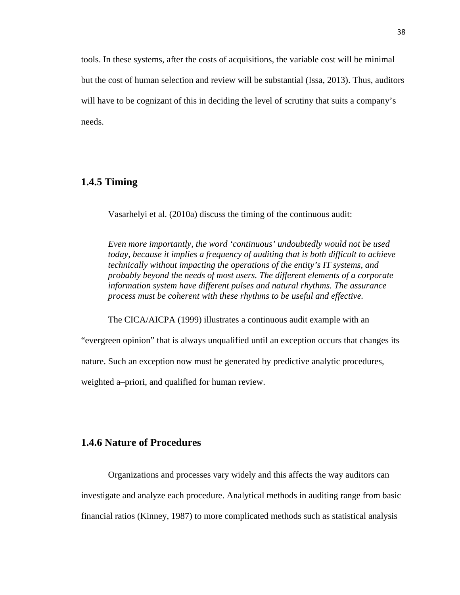tools. In these systems, after the costs of acquisitions, the variable cost will be minimal but the cost of human selection and review will be substantial (Issa, 2013). Thus, auditors will have to be cognizant of this in deciding the level of scrutiny that suits a company's needs.

## **1.4.5 Timing**

Vasarhelyi et al. (2010a) discuss the timing of the continuous audit:

*Even more importantly, the word 'continuous' undoubtedly would not be used today, because it implies a frequency of auditing that is both difficult to achieve technically without impacting the operations of the entity's IT systems, and probably beyond the needs of most users. The different elements of a corporate information system have different pulses and natural rhythms. The assurance process must be coherent with these rhythms to be useful and effective.*

The CICA/AICPA (1999) illustrates a continuous audit example with an

"evergreen opinion" that is always unqualified until an exception occurs that changes its

nature. Such an exception now must be generated by predictive analytic procedures,

weighted a–priori, and qualified for human review.

# **1.4.6 Nature of Procedures**

Organizations and processes vary widely and this affects the way auditors can investigate and analyze each procedure. Analytical methods in auditing range from basic financial ratios (Kinney, 1987) to more complicated methods such as statistical analysis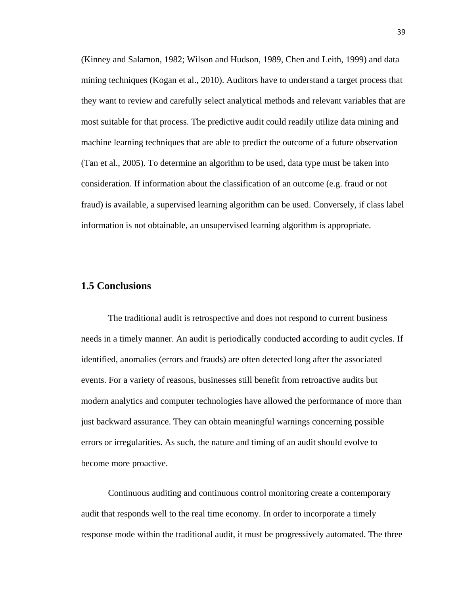(Kinney and Salamon, 1982; Wilson and Hudson, 1989, Chen and Leith, 1999) and data mining techniques (Kogan et al., 2010). Auditors have to understand a target process that they want to review and carefully select analytical methods and relevant variables that are most suitable for that process. The predictive audit could readily utilize data mining and machine learning techniques that are able to predict the outcome of a future observation (Tan et al., 2005). To determine an algorithm to be used, data type must be taken into consideration. If information about the classification of an outcome (e.g. fraud or not fraud) is available, a supervised learning algorithm can be used. Conversely, if class label information is not obtainable, an unsupervised learning algorithm is appropriate.

### **1.5 Conclusions**

The traditional audit is retrospective and does not respond to current business needs in a timely manner. An audit is periodically conducted according to audit cycles. If identified, anomalies (errors and frauds) are often detected long after the associated events. For a variety of reasons, businesses still benefit from retroactive audits but modern analytics and computer technologies have allowed the performance of more than just backward assurance. They can obtain meaningful warnings concerning possible errors or irregularities. As such, the nature and timing of an audit should evolve to become more proactive.

Continuous auditing and continuous control monitoring create a contemporary audit that responds well to the real time economy. In order to incorporate a timely response mode within the traditional audit, it must be progressively automated. The three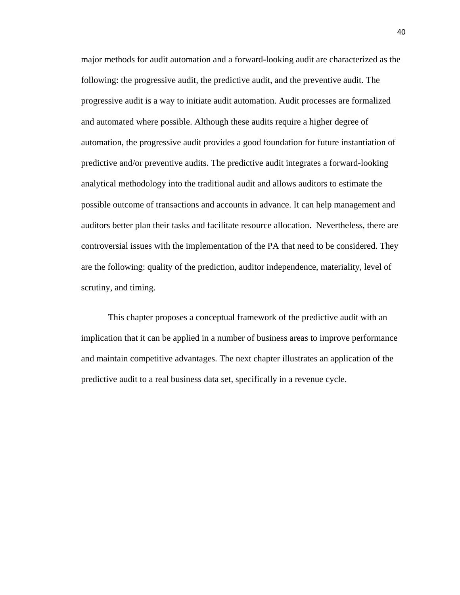major methods for audit automation and a forward-looking audit are characterized as the following: the progressive audit, the predictive audit, and the preventive audit. The progressive audit is a way to initiate audit automation. Audit processes are formalized and automated where possible. Although these audits require a higher degree of automation, the progressive audit provides a good foundation for future instantiation of predictive and/or preventive audits. The predictive audit integrates a forward-looking analytical methodology into the traditional audit and allows auditors to estimate the possible outcome of transactions and accounts in advance. It can help management and auditors better plan their tasks and facilitate resource allocation. Nevertheless, there are controversial issues with the implementation of the PA that need to be considered. They are the following: quality of the prediction, auditor independence, materiality, level of scrutiny, and timing.

This chapter proposes a conceptual framework of the predictive audit with an implication that it can be applied in a number of business areas to improve performance and maintain competitive advantages. The next chapter illustrates an application of the predictive audit to a real business data set, specifically in a revenue cycle.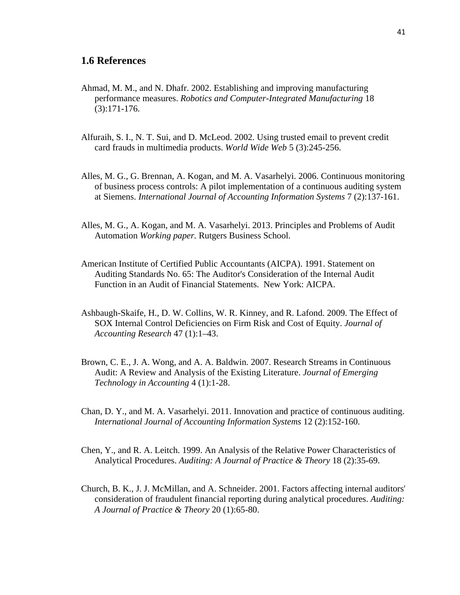### **1.6 References**

- Ahmad, M. M., and N. Dhafr. 2002. Establishing and improving manufacturing performance measures. *Robotics and Computer-Integrated Manufacturing* 18 (3):171-176.
- Alfuraih, S. I., N. T. Sui, and D. McLeod. 2002. Using trusted email to prevent credit card frauds in multimedia products. *World Wide Web* 5 (3):245-256.
- Alles, M. G., G. Brennan, A. Kogan, and M. A. Vasarhelyi. 2006. Continuous monitoring of business process controls: A pilot implementation of a continuous auditing system at Siemens. *International Journal of Accounting Information Systems* 7 (2):137-161.
- Alles, M. G., A. Kogan, and M. A. Vasarhelyi. 2013. Principles and Problems of Audit Automation *Working paper.* Rutgers Business School.
- American Institute of Certified Public Accountants (AICPA). 1991. Statement on Auditing Standards No. 65: The Auditor's Consideration of the Internal Audit Function in an Audit of Financial Statements. New York: AICPA.
- Ashbaugh-Skaife, H., D. W. Collins, W. R. Kinney, and R. Lafond. 2009. The Effect of SOX Internal Control Deficiencies on Firm Risk and Cost of Equity. *Journal of Accounting Research* 47 (1):1–43.
- Brown, C. E., J. A. Wong, and A. A. Baldwin. 2007. Research Streams in Continuous Audit: A Review and Analysis of the Existing Literature. *Journal of Emerging Technology in Accounting* 4 (1):1-28.
- Chan, D. Y., and M. A. Vasarhelyi. 2011. Innovation and practice of continuous auditing. *International Journal of Accounting Information Systems* 12 (2):152-160.
- Chen, Y., and R. A. Leitch. 1999. An Analysis of the Relative Power Characteristics of Analytical Procedures. *Auditing: A Journal of Practice & Theory* 18 (2):35-69.
- Church, B. K., J. J. McMillan, and A. Schneider. 2001. Factors affecting internal auditors' consideration of fraudulent financial reporting during analytical procedures. *Auditing: A Journal of Practice & Theory* 20 (1):65-80.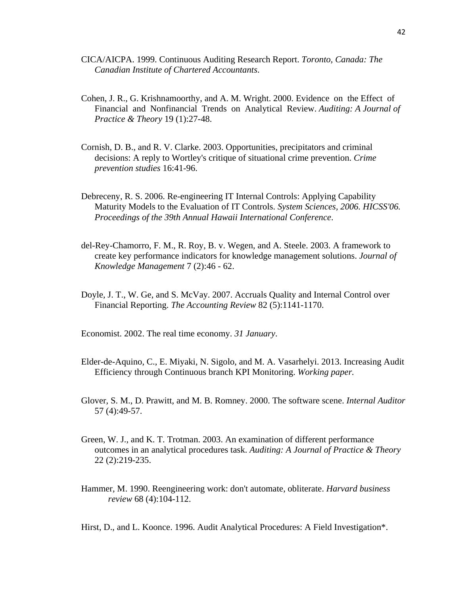- CICA/AICPA. 1999. Continuous Auditing Research Report. *Toronto, Canada: The Canadian Institute of Chartered Accountants*.
- Cohen, J. R., G. Krishnamoorthy, and A. M. Wright. 2000. Evidence on the Effect of Financial and Nonfinancial Trends on Analytical Review. *Auditing: A Journal of Practice & Theory* 19 (1):27-48.
- Cornish, D. B., and R. V. Clarke. 2003. Opportunities, precipitators and criminal decisions: A reply to Wortley's critique of situational crime prevention. *Crime prevention studies* 16:41-96.
- Debreceny, R. S. 2006. Re-engineering IT Internal Controls: Applying Capability Maturity Models to the Evaluation of IT Controls. *System Sciences, 2006. HICSS'06. Proceedings of the 39th Annual Hawaii International Conference*.
- del-Rey-Chamorro, F. M., R. Roy, B. v. Wegen, and A. Steele. 2003. A framework to create key performance indicators for knowledge management solutions. *Journal of Knowledge Management* 7 (2):46 - 62.
- Doyle, J. T., W. Ge, and S. McVay. 2007. Accruals Quality and Internal Control over Financial Reporting. *The Accounting Review* 82 (5):1141-1170.
- Economist. 2002. The real time economy. *31 January*.
- Elder-de-Aquino, C., E. Miyaki, N. Sigolo, and M. A. Vasarhelyi. 2013. Increasing Audit Efficiency through Continuous branch KPI Monitoring. *Working paper.*
- Glover, S. M., D. Prawitt, and M. B. Romney. 2000. The software scene. *Internal Auditor* 57 (4):49-57.
- Green, W. J., and K. T. Trotman. 2003. An examination of different performance outcomes in an analytical procedures task. *Auditing: A Journal of Practice & Theory* 22 (2):219-235.
- Hammer, M. 1990. Reengineering work: don't automate, obliterate. *Harvard business review* 68 (4):104-112.

Hirst, D., and L. Koonce. 1996. Audit Analytical Procedures: A Field Investigation\*.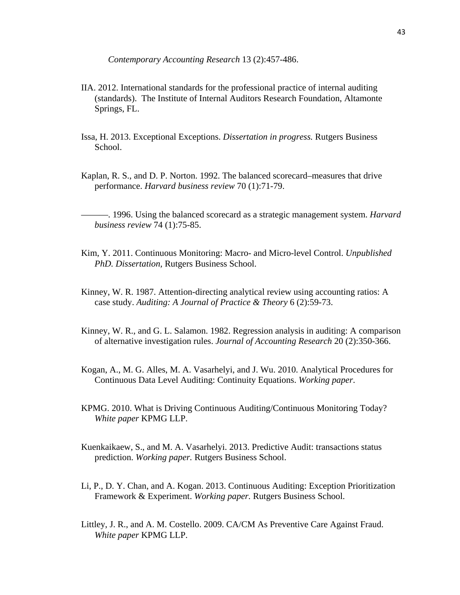*Contemporary Accounting Research* 13 (2):457-486.

- IIA. 2012. International standards for the professional practice of internal auditing (standards). The Institute of Internal Auditors Research Foundation, Altamonte Springs, FL.
- Issa, H. 2013. Exceptional Exceptions. *Dissertation in progress.* Rutgers Business School.
- Kaplan, R. S., and D. P. Norton. 1992. The balanced scorecard–measures that drive performance. *Harvard business review* 70 (1):71-79.

———. 1996. Using the balanced scorecard as a strategic management system. *Harvard business review* 74 (1):75-85.

- Kim, Y. 2011. Continuous Monitoring: Macro- and Micro-level Control. *Unpublished PhD. Dissertation,* Rutgers Business School.
- Kinney, W. R. 1987. Attention-directing analytical review using accounting ratios: A case study. *Auditing: A Journal of Practice & Theory* 6 (2):59-73.
- Kinney, W. R., and G. L. Salamon. 1982. Regression analysis in auditing: A comparison of alternative investigation rules. *Journal of Accounting Research* 20 (2):350-366.
- Kogan, A., M. G. Alles, M. A. Vasarhelyi, and J. Wu. 2010. Analytical Procedures for Continuous Data Level Auditing: Continuity Equations. *Working paper*.
- KPMG. 2010. What is Driving Continuous Auditing/Continuous Monitoring Today? *White paper* KPMG LLP.
- Kuenkaikaew, S., and M. A. Vasarhelyi. 2013. Predictive Audit: transactions status prediction. *Working paper.* Rutgers Business School.
- Li, P., D. Y. Chan, and A. Kogan. 2013. Continuous Auditing: Exception Prioritization Framework & Experiment. *Working paper.* Rutgers Business School.
- Littley, J. R., and A. M. Costello. 2009. CA/CM As Preventive Care Against Fraud. *White paper* KPMG LLP.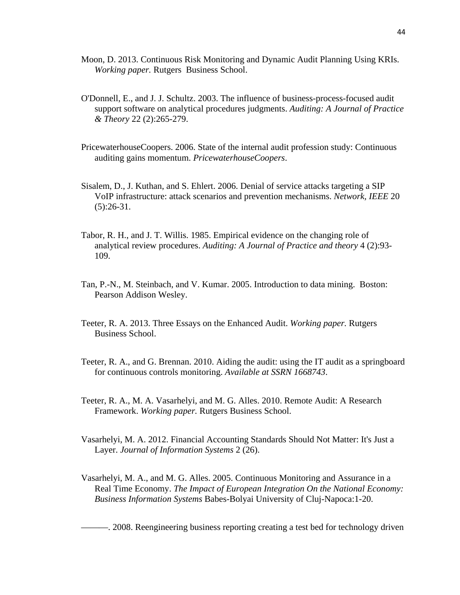- Moon, D. 2013. Continuous Risk Monitoring and Dynamic Audit Planning Using KRIs. *Working paper.* Rutgers Business School.
- O'Donnell, E., and J. J. Schultz. 2003. The influence of business-process-focused audit support software on analytical procedures judgments. *Auditing: A Journal of Practice & Theory* 22 (2):265-279.
- PricewaterhouseCoopers. 2006. State of the internal audit profession study: Continuous auditing gains momentum. *PricewaterhouseCoopers*.
- Sisalem, D., J. Kuthan, and S. Ehlert. 2006. Denial of service attacks targeting a SIP VoIP infrastructure: attack scenarios and prevention mechanisms. *Network, IEEE* 20  $(5):26-31.$
- Tabor, R. H., and J. T. Willis. 1985. Empirical evidence on the changing role of analytical review procedures. *Auditing: A Journal of Practice and theory* 4 (2):93- 109.
- Tan, P.-N., M. Steinbach, and V. Kumar. 2005. Introduction to data mining. Boston: Pearson Addison Wesley.
- Teeter, R. A. 2013. Three Essays on the Enhanced Audit. *Working paper.* Rutgers Business School.
- Teeter, R. A., and G. Brennan. 2010. Aiding the audit: using the IT audit as a springboard for continuous controls monitoring. *Available at SSRN 1668743*.
- Teeter, R. A., M. A. Vasarhelyi, and M. G. Alles. 2010. Remote Audit: A Research Framework. *Working paper.* Rutgers Business School.
- Vasarhelyi, M. A. 2012. Financial Accounting Standards Should Not Matter: It's Just a Layer. *Journal of Information Systems* 2 (26).
- Vasarhelyi, M. A., and M. G. Alles. 2005. Continuous Monitoring and Assurance in a Real Time Economy. *The Impact of European Integration On the National Economy: Business Information Systems* Babes-Bolyai University of Cluj-Napoca:1-20.

———. 2008. Reengineering business reporting creating a test bed for technology driven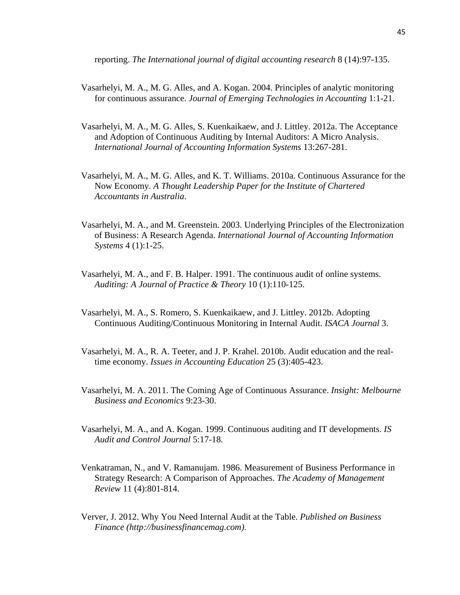reporting. *The International journal of digital accounting research* 8 (14):97-135.

- Vasarhelyi, M. A., M. G. Alles, and A. Kogan. 2004. Principles of analytic monitoring for continuous assurance. *Journal of Emerging Technologies in Accounting* 1:1-21.
- Vasarhelyi, M. A., M. G. Alles, S. Kuenkaikaew, and J. Littley. 2012a. The Acceptance and Adoption of Continuous Auditing by Internal Auditors: A Micro Analysis. *International Journal of Accounting Information Systems* 13:267-281.
- Vasarhelyi, M. A., M. G. Alles, and K. T. Williams. 2010a. Continuous Assurance for the Now Economy. *A Thought Leadership Paper for the Institute of Chartered Accountants in Australia*.
- Vasarhelyi, M. A., and M. Greenstein. 2003. Underlying Principles of the Electronization of Business: A Research Agenda. *International Journal of Accounting Information Systems* 4 (1):1-25.
- Vasarhelyi, M. A., and F. B. Halper. 1991. The continuous audit of online systems. *Auditing: A Journal of Practice & Theory* 10 (1):110-125.
- Vasarhelyi, M. A., S. Romero, S. Kuenkaikaew, and J. Littley. 2012b. Adopting Continuous Auditing/Continuous Monitoring in Internal Audit. *ISACA Journal* 3.
- Vasarhelyi, M. A., R. A. Teeter, and J. P. Krahel. 2010b. Audit education and the realtime economy. *Issues in Accounting Education* 25 (3):405-423.
- Vasarhelyi, M. A. 2011. The Coming Age of Continuous Assurance. *Insight: Melbourne Business and Economics* 9:23-30.
- Vasarhelyi, M. A., and A. Kogan. 1999. Continuous auditing and IT developments. *IS Audit and Control Journal* 5:17-18.
- Venkatraman, N., and V. Ramanujam. 1986. Measurement of Business Performance in Strategy Research: A Comparison of Approaches. *The Academy of Management Review* 11 (4):801-814.
- Verver, J. 2012. Why You Need Internal Audit at the Table. *Published on Business Finance (http://businessfinancemag.com)*.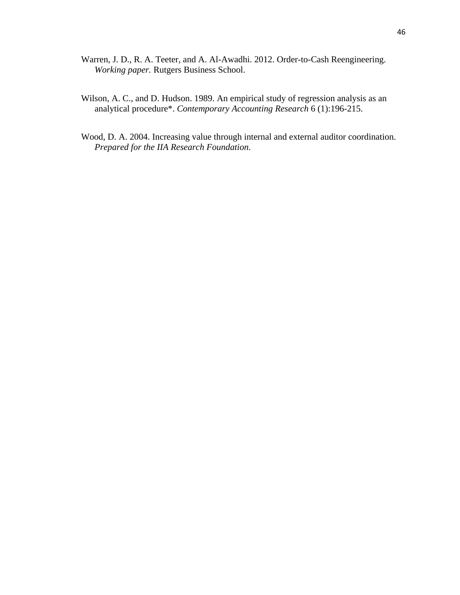- Warren, J. D., R. A. Teeter, and A. Al-Awadhi. 2012. Order-to-Cash Reengineering. *Working paper.* Rutgers Business School.
- Wilson, A. C., and D. Hudson. 1989. An empirical study of regression analysis as an analytical procedure\*. *Contemporary Accounting Research* 6 (1):196-215.
- Wood, D. A. 2004. Increasing value through internal and external auditor coordination. *Prepared for the IIA Research Foundation*.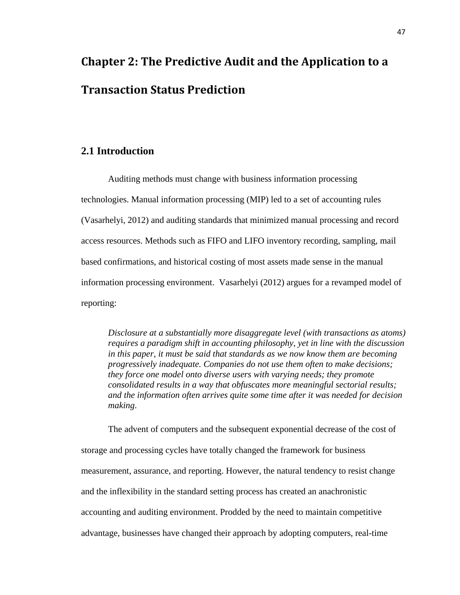# **Chapter 2: The Predictive Audit and the Application to a Transaction Status Prediction**

## **2.1 Introduction**

Auditing methods must change with business information processing technologies. Manual information processing (MIP) led to a set of accounting rules (Vasarhelyi, 2012) and auditing standards that minimized manual processing and record access resources. Methods such as FIFO and LIFO inventory recording, sampling, mail based confirmations, and historical costing of most assets made sense in the manual information processing environment. Vasarhelyi (2012) argues for a revamped model of reporting:

*Disclosure at a substantially more disaggregate level (with transactions as atoms) requires a paradigm shift in accounting philosophy, yet in line with the discussion in this paper, it must be said that standards as we now know them are becoming progressively inadequate. Companies do not use them often to make decisions; they force one model onto diverse users with varying needs; they promote consolidated results in a way that obfuscates more meaningful sectorial results; and the information often arrives quite some time after it was needed for decision making*.

The advent of computers and the subsequent exponential decrease of the cost of storage and processing cycles have totally changed the framework for business measurement, assurance, and reporting. However, the natural tendency to resist change and the inflexibility in the standard setting process has created an anachronistic accounting and auditing environment. Prodded by the need to maintain competitive advantage, businesses have changed their approach by adopting computers, real-time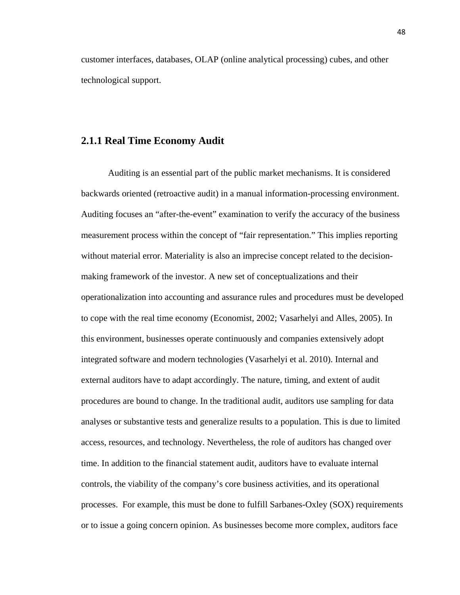customer interfaces, databases, OLAP (online analytical processing) cubes, and other technological support.

#### **2.1.1 Real Time Economy Audit**

Auditing is an essential part of the public market mechanisms. It is considered backwards oriented (retroactive audit) in a manual information-processing environment. Auditing focuses an "after-the-event" examination to verify the accuracy of the business measurement process within the concept of "fair representation." This implies reporting without material error. Materiality is also an imprecise concept related to the decisionmaking framework of the investor. A new set of conceptualizations and their operationalization into accounting and assurance rules and procedures must be developed to cope with the real time economy (Economist, 2002; Vasarhelyi and Alles, 2005). In this environment, businesses operate continuously and companies extensively adopt integrated software and modern technologies (Vasarhelyi et al. 2010). Internal and external auditors have to adapt accordingly. The nature, timing, and extent of audit procedures are bound to change. In the traditional audit, auditors use sampling for data analyses or substantive tests and generalize results to a population. This is due to limited access, resources, and technology. Nevertheless, the role of auditors has changed over time. In addition to the financial statement audit, auditors have to evaluate internal controls, the viability of the company's core business activities, and its operational processes. For example, this must be done to fulfill Sarbanes-Oxley (SOX) requirements or to issue a going concern opinion. As businesses become more complex, auditors face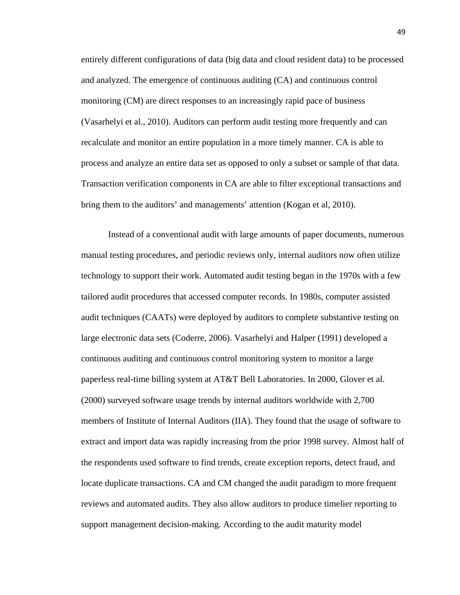entirely different configurations of data (big data and cloud resident data) to be processed and analyzed. The emergence of continuous auditing (CA) and continuous control monitoring (CM) are direct responses to an increasingly rapid pace of business (Vasarhelyi et al., 2010). Auditors can perform audit testing more frequently and can recalculate and monitor an entire population in a more timely manner. CA is able to process and analyze an entire data set as opposed to only a subset or sample of that data. Transaction verification components in CA are able to filter exceptional transactions and bring them to the auditors' and managements' attention (Kogan et al, 2010).

Instead of a conventional audit with large amounts of paper documents, numerous manual testing procedures, and periodic reviews only, internal auditors now often utilize technology to support their work. Automated audit testing began in the 1970s with a few tailored audit procedures that accessed computer records. In 1980s, computer assisted audit techniques (CAATs) were deployed by auditors to complete substantive testing on large electronic data sets (Coderre, 2006). Vasarhelyi and Halper (1991) developed a continuous auditing and continuous control monitoring system to monitor a large paperless real-time billing system at AT&T Bell Laboratories. In 2000, Glover et al. (2000) surveyed software usage trends by internal auditors worldwide with 2,700 members of Institute of Internal Auditors (IIA). They found that the usage of software to extract and import data was rapidly increasing from the prior 1998 survey. Almost half of the respondents used software to find trends, create exception reports, detect fraud, and locate duplicate transactions. CA and CM changed the audit paradigm to more frequent reviews and automated audits. They also allow auditors to produce timelier reporting to support management decision-making. According to the audit maturity model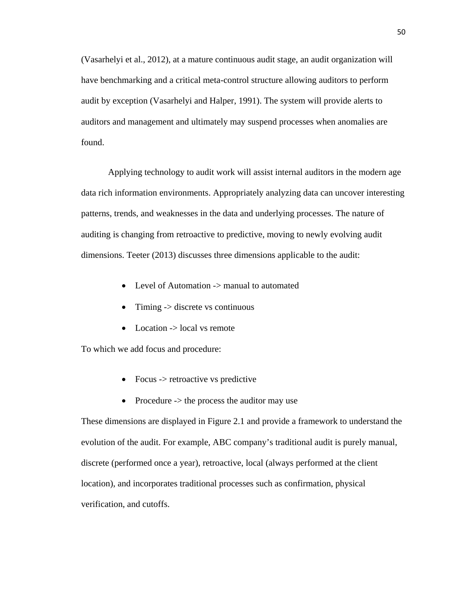(Vasarhelyi et al., 2012), at a mature continuous audit stage, an audit organization will have benchmarking and a critical meta-control structure allowing auditors to perform audit by exception (Vasarhelyi and Halper, 1991). The system will provide alerts to auditors and management and ultimately may suspend processes when anomalies are found.

Applying technology to audit work will assist internal auditors in the modern age data rich information environments. Appropriately analyzing data can uncover interesting patterns, trends, and weaknesses in the data and underlying processes. The nature of auditing is changing from retroactive to predictive, moving to newly evolving audit dimensions. Teeter (2013) discusses three dimensions applicable to the audit:

- Level of Automation -> manual to automated
- $\bullet$  Timing  $\rightarrow$  discrete vs continuous
- $\bullet$  Location  $\geq$  local vs remote

To which we add focus and procedure:

- Focus  $\rightarrow$  retroactive vs predictive
- Procedure  $\rightarrow$  the process the auditor may use

These dimensions are displayed in Figure 2.1 and provide a framework to understand the evolution of the audit. For example, ABC company's traditional audit is purely manual, discrete (performed once a year), retroactive, local (always performed at the client location), and incorporates traditional processes such as confirmation, physical verification, and cutoffs.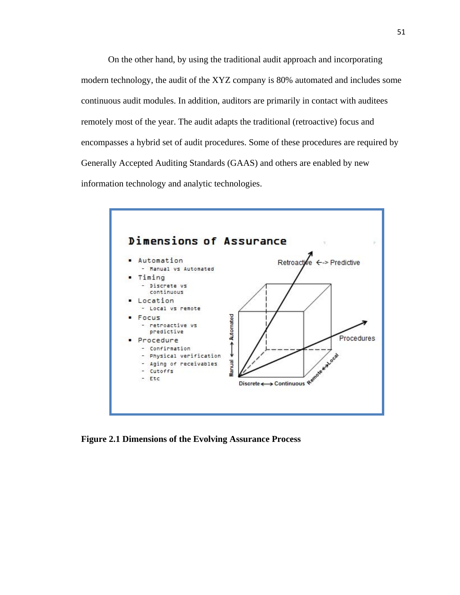On the other hand, by using the traditional audit approach and incorporating modern technology, the audit of the XYZ company is 80% automated and includes some continuous audit modules. In addition, auditors are primarily in contact with auditees remotely most of the year. The audit adapts the traditional (retroactive) focus and encompasses a hybrid set of audit procedures. Some of these procedures are required by Generally Accepted Auditing Standards (GAAS) and others are enabled by new information technology and analytic technologies.



**Figure 2.1 Dimensions of the Evolving Assurance Process**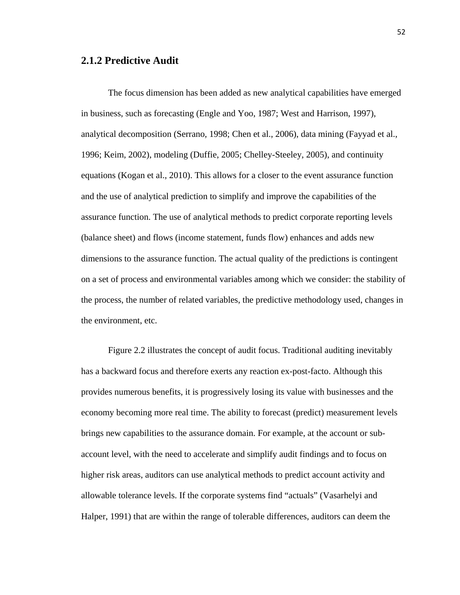#### **2.1.2 Predictive Audit**

The focus dimension has been added as new analytical capabilities have emerged in business, such as forecasting (Engle and Yoo, 1987; West and Harrison, 1997), analytical decomposition (Serrano, 1998; Chen et al., 2006), data mining (Fayyad et al., 1996; Keim, 2002), modeling (Duffie, 2005; Chelley-Steeley, 2005), and continuity equations (Kogan et al., 2010). This allows for a closer to the event assurance function and the use of analytical prediction to simplify and improve the capabilities of the assurance function. The use of analytical methods to predict corporate reporting levels (balance sheet) and flows (income statement, funds flow) enhances and adds new dimensions to the assurance function. The actual quality of the predictions is contingent on a set of process and environmental variables among which we consider: the stability of the process, the number of related variables, the predictive methodology used, changes in the environment, etc.

Figure 2.2 illustrates the concept of audit focus. Traditional auditing inevitably has a backward focus and therefore exerts any reaction ex-post-facto. Although this provides numerous benefits, it is progressively losing its value with businesses and the economy becoming more real time. The ability to forecast (predict) measurement levels brings new capabilities to the assurance domain. For example, at the account or subaccount level, with the need to accelerate and simplify audit findings and to focus on higher risk areas, auditors can use analytical methods to predict account activity and allowable tolerance levels. If the corporate systems find "actuals" (Vasarhelyi and Halper, 1991) that are within the range of tolerable differences, auditors can deem the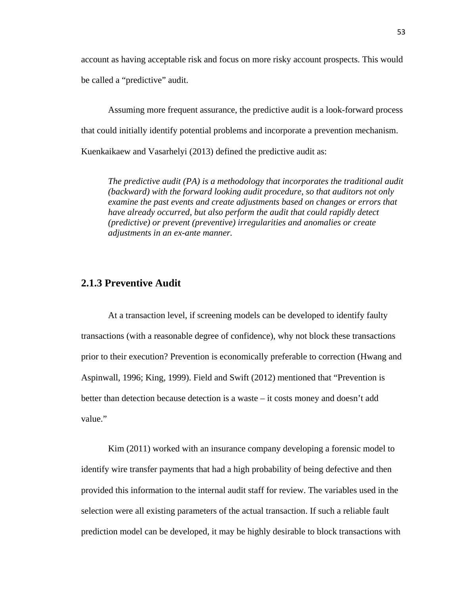account as having acceptable risk and focus on more risky account prospects. This would be called a "predictive" audit.

Assuming more frequent assurance, the predictive audit is a look-forward process that could initially identify potential problems and incorporate a prevention mechanism. Kuenkaikaew and Vasarhelyi (2013) defined the predictive audit as:

*The predictive audit (PA) is a methodology that incorporates the traditional audit (backward) with the forward looking audit procedure, so that auditors not only examine the past events and create adjustments based on changes or errors that have already occurred, but also perform the audit that could rapidly detect (predictive) or prevent (preventive) irregularities and anomalies or create adjustments in an ex-ante manner.*

### **2.1.3 Preventive Audit**

At a transaction level, if screening models can be developed to identify faulty transactions (with a reasonable degree of confidence), why not block these transactions prior to their execution? Prevention is economically preferable to correction (Hwang and Aspinwall, 1996; King, 1999). Field and Swift (2012) mentioned that "Prevention is better than detection because detection is a waste – it costs money and doesn't add value."

Kim (2011) worked with an insurance company developing a forensic model to identify wire transfer payments that had a high probability of being defective and then provided this information to the internal audit staff for review. The variables used in the selection were all existing parameters of the actual transaction. If such a reliable fault prediction model can be developed, it may be highly desirable to block transactions with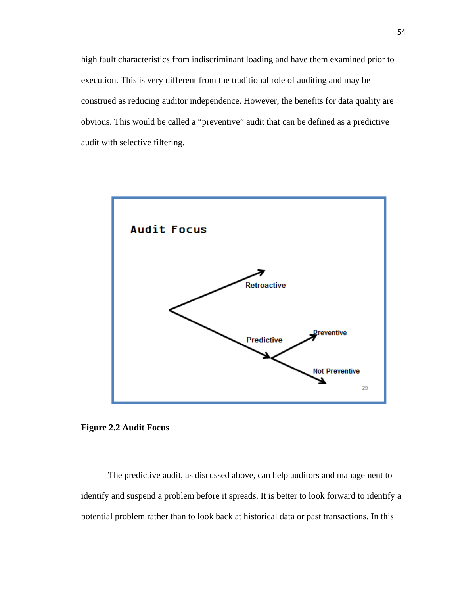high fault characteristics from indiscriminant loading and have them examined prior to execution. This is very different from the traditional role of auditing and may be construed as reducing auditor independence. However, the benefits for data quality are obvious. This would be called a "preventive" audit that can be defined as a predictive audit with selective filtering.





The predictive audit, as discussed above, can help auditors and management to identify and suspend a problem before it spreads. It is better to look forward to identify a potential problem rather than to look back at historical data or past transactions. In this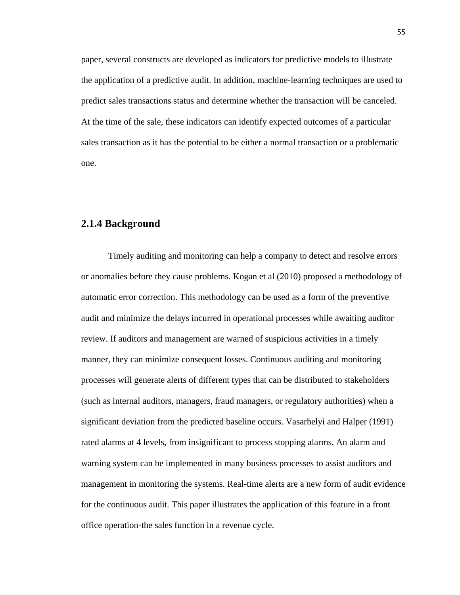paper, several constructs are developed as indicators for predictive models to illustrate the application of a predictive audit. In addition, machine-learning techniques are used to predict sales transactions status and determine whether the transaction will be canceled. At the time of the sale, these indicators can identify expected outcomes of a particular sales transaction as it has the potential to be either a normal transaction or a problematic one.

#### **2.1.4 Background**

Timely auditing and monitoring can help a company to detect and resolve errors or anomalies before they cause problems. Kogan et al (2010) proposed a methodology of automatic error correction. This methodology can be used as a form of the preventive audit and minimize the delays incurred in operational processes while awaiting auditor review. If auditors and management are warned of suspicious activities in a timely manner, they can minimize consequent losses. Continuous auditing and monitoring processes will generate alerts of different types that can be distributed to stakeholders (such as internal auditors, managers, fraud managers, or regulatory authorities) when a significant deviation from the predicted baseline occurs. Vasarhelyi and Halper (1991) rated alarms at 4 levels, from insignificant to process stopping alarms. An alarm and warning system can be implemented in many business processes to assist auditors and management in monitoring the systems. Real-time alerts are a new form of audit evidence for the continuous audit. This paper illustrates the application of this feature in a front office operation-the sales function in a revenue cycle.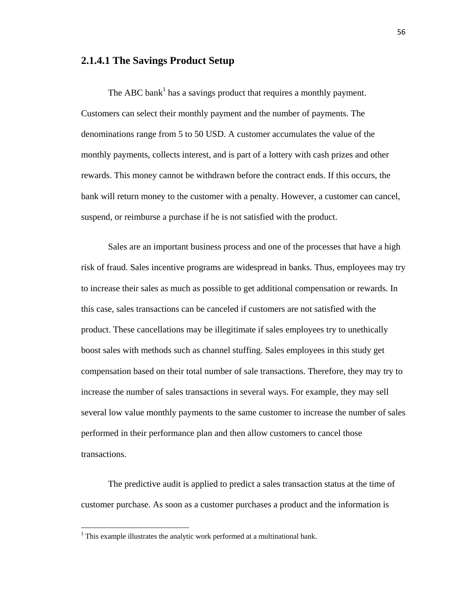#### **2.1.4.1 The Savings Product Setup**

The ABC bank<sup>1</sup> has a savings product that requires a monthly payment. Customers can select their monthly payment and the number of payments. The denominations range from 5 to 50 USD. A customer accumulates the value of the monthly payments, collects interest, and is part of a lottery with cash prizes and other rewards. This money cannot be withdrawn before the contract ends. If this occurs, the bank will return money to the customer with a penalty. However, a customer can cancel, suspend, or reimburse a purchase if he is not satisfied with the product.

Sales are an important business process and one of the processes that have a high risk of fraud. Sales incentive programs are widespread in banks. Thus, employees may try to increase their sales as much as possible to get additional compensation or rewards. In this case, sales transactions can be canceled if customers are not satisfied with the product. These cancellations may be illegitimate if sales employees try to unethically boost sales with methods such as channel stuffing. Sales employees in this study get compensation based on their total number of sale transactions. Therefore, they may try to increase the number of sales transactions in several ways. For example, they may sell several low value monthly payments to the same customer to increase the number of sales performed in their performance plan and then allow customers to cancel those transactions.

The predictive audit is applied to predict a sales transaction status at the time of customer purchase. As soon as a customer purchases a product and the information is

 $1$ <sup>1</sup> This example illustrates the analytic work performed at a multinational bank.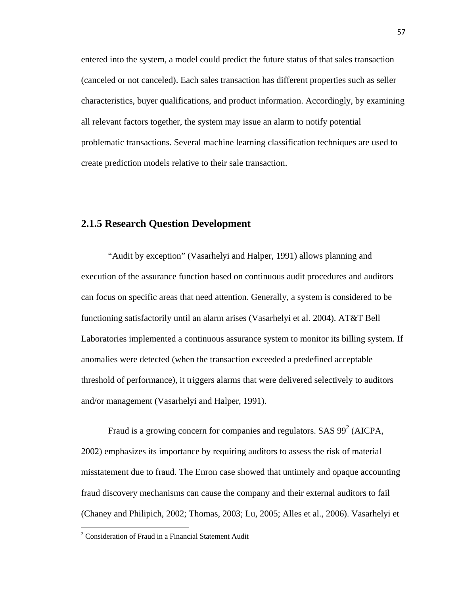entered into the system, a model could predict the future status of that sales transaction (canceled or not canceled). Each sales transaction has different properties such as seller characteristics, buyer qualifications, and product information. Accordingly, by examining all relevant factors together, the system may issue an alarm to notify potential problematic transactions. Several machine learning classification techniques are used to create prediction models relative to their sale transaction.

# **2.1.5 Research Question Development**

"Audit by exception" (Vasarhelyi and Halper, 1991) allows planning and execution of the assurance function based on continuous audit procedures and auditors can focus on specific areas that need attention. Generally, a system is considered to be functioning satisfactorily until an alarm arises (Vasarhelyi et al. 2004). AT&T Bell Laboratories implemented a continuous assurance system to monitor its billing system. If anomalies were detected (when the transaction exceeded a predefined acceptable threshold of performance), it triggers alarms that were delivered selectively to auditors and/or management (Vasarhelyi and Halper, 1991).

Fraud is a growing concern for companies and regulators. SAS  $99^2$  (AICPA, 2002) emphasizes its importance by requiring auditors to assess the risk of material misstatement due to fraud. The Enron case showed that untimely and opaque accounting fraud discovery mechanisms can cause the company and their external auditors to fail (Chaney and Philipich, 2002; Thomas, 2003; Lu, 2005; Alles et al., 2006). Vasarhelyi et

<sup>&</sup>lt;sup>2</sup> Consideration of Fraud in a Financial Statement Audit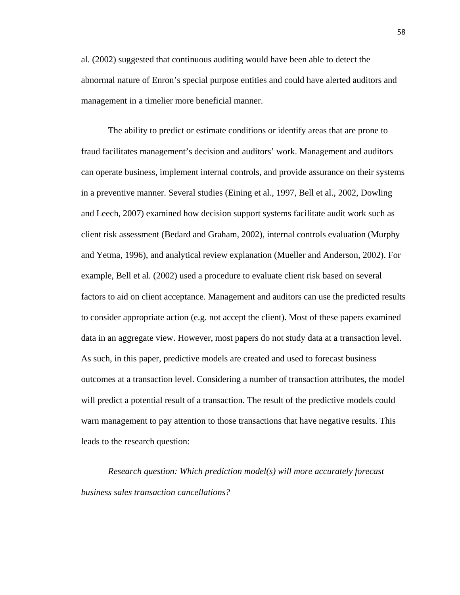al. (2002) suggested that continuous auditing would have been able to detect the abnormal nature of Enron's special purpose entities and could have alerted auditors and management in a timelier more beneficial manner.

The ability to predict or estimate conditions or identify areas that are prone to fraud facilitates management's decision and auditors' work. Management and auditors can operate business, implement internal controls, and provide assurance on their systems in a preventive manner. Several studies (Eining et al., 1997, Bell et al., 2002, Dowling and Leech, 2007) examined how decision support systems facilitate audit work such as client risk assessment (Bedard and Graham, 2002), internal controls evaluation (Murphy and Yetma, 1996), and analytical review explanation (Mueller and Anderson, 2002). For example, Bell et al. (2002) used a procedure to evaluate client risk based on several factors to aid on client acceptance. Management and auditors can use the predicted results to consider appropriate action (e.g. not accept the client). Most of these papers examined data in an aggregate view. However, most papers do not study data at a transaction level. As such, in this paper, predictive models are created and used to forecast business outcomes at a transaction level. Considering a number of transaction attributes, the model will predict a potential result of a transaction. The result of the predictive models could warn management to pay attention to those transactions that have negative results. This leads to the research question:

*Research question: Which prediction model(s) will more accurately forecast business sales transaction cancellations?*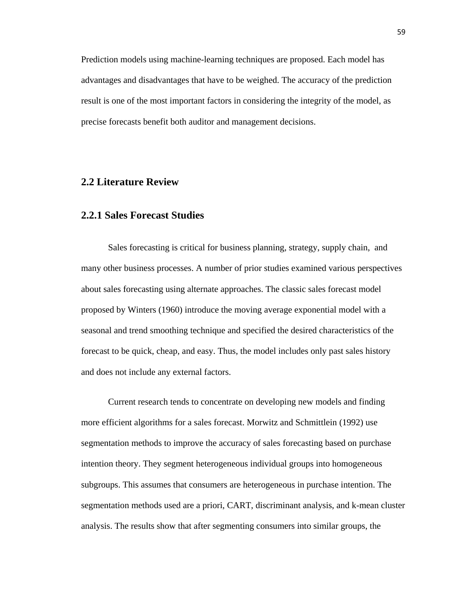Prediction models using machine-learning techniques are proposed. Each model has advantages and disadvantages that have to be weighed. The accuracy of the prediction result is one of the most important factors in considering the integrity of the model, as precise forecasts benefit both auditor and management decisions.

### **2.2 Literature Review**

#### **2.2.1 Sales Forecast Studies**

Sales forecasting is critical for business planning, strategy, supply chain, and many other business processes. A number of prior studies examined various perspectives about sales forecasting using alternate approaches. The classic sales forecast model proposed by Winters (1960) introduce the moving average exponential model with a seasonal and trend smoothing technique and specified the desired characteristics of the forecast to be quick, cheap, and easy. Thus, the model includes only past sales history and does not include any external factors.

Current research tends to concentrate on developing new models and finding more efficient algorithms for a sales forecast. Morwitz and Schmittlein (1992) use segmentation methods to improve the accuracy of sales forecasting based on purchase intention theory. They segment heterogeneous individual groups into homogeneous subgroups. This assumes that consumers are heterogeneous in purchase intention. The segmentation methods used are a priori, CART, discriminant analysis, and k-mean cluster analysis. The results show that after segmenting consumers into similar groups, the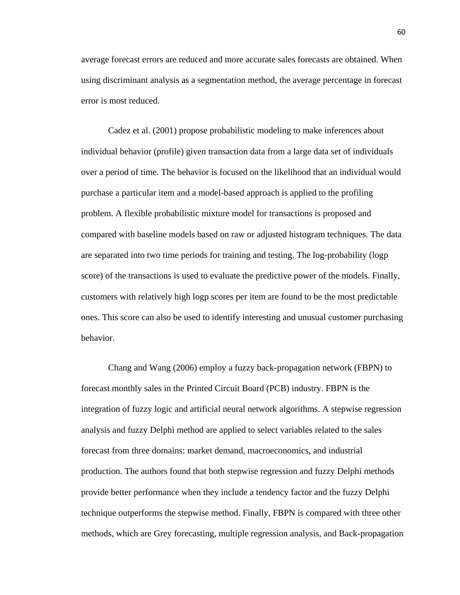average forecast errors are reduced and more accurate sales forecasts are obtained. When using discriminant analysis as a segmentation method, the average percentage in forecast error is most reduced.

Cadez et al. (2001) propose probabilistic modeling to make inferences about individual behavior (profile) given transaction data from a large data set of individuals over a period of time. The behavior is focused on the likelihood that an individual would purchase a particular item and a model-based approach is applied to the profiling problem. A flexible probabilistic mixture model for transactions is proposed and compared with baseline models based on raw or adjusted histogram techniques. The data are separated into two time periods for training and testing. The log-probability (logp score) of the transactions is used to evaluate the predictive power of the models. Finally, customers with relatively high logp scores per item are found to be the most predictable ones. This score can also be used to identify interesting and unusual customer purchasing behavior.

Chang and Wang (2006) employ a fuzzy back-propagation network (FBPN) to forecast monthly sales in the Printed Circuit Board (PCB) industry. FBPN is the integration of fuzzy logic and artificial neural network algorithms. A stepwise regression analysis and fuzzy Delphi method are applied to select variables related to the sales forecast from three domains: market demand, macroeconomics, and industrial production. The authors found that both stepwise regression and fuzzy Delphi methods provide better performance when they include a tendency factor and the fuzzy Delphi technique outperforms the stepwise method. Finally, FBPN is compared with three other methods, which are Grey forecasting, multiple regression analysis, and Back-propagation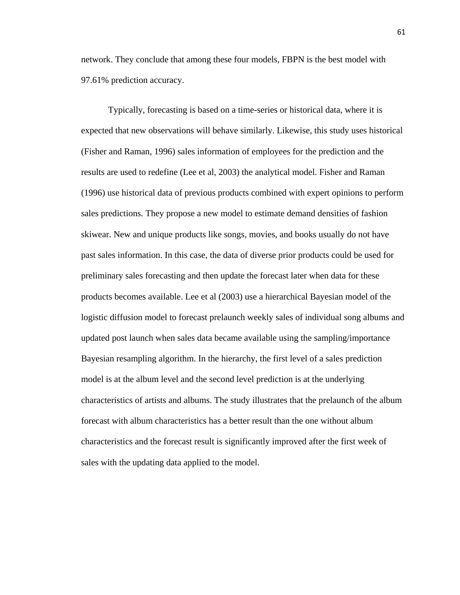network. They conclude that among these four models, FBPN is the best model with 97.61% prediction accuracy.

Typically, forecasting is based on a time-series or historical data, where it is expected that new observations will behave similarly. Likewise, this study uses historical (Fisher and Raman, 1996) sales information of employees for the prediction and the results are used to redefine (Lee et al, 2003) the analytical model. Fisher and Raman (1996) use historical data of previous products combined with expert opinions to perform sales predictions. They propose a new model to estimate demand densities of fashion skiwear. New and unique products like songs, movies, and books usually do not have past sales information. In this case, the data of diverse prior products could be used for preliminary sales forecasting and then update the forecast later when data for these products becomes available. Lee et al (2003) use a hierarchical Bayesian model of the logistic diffusion model to forecast prelaunch weekly sales of individual song albums and updated post launch when sales data became available using the sampling/importance Bayesian resampling algorithm. In the hierarchy, the first level of a sales prediction model is at the album level and the second level prediction is at the underlying characteristics of artists and albums. The study illustrates that the prelaunch of the album forecast with album characteristics has a better result than the one without album characteristics and the forecast result is significantly improved after the first week of sales with the updating data applied to the model.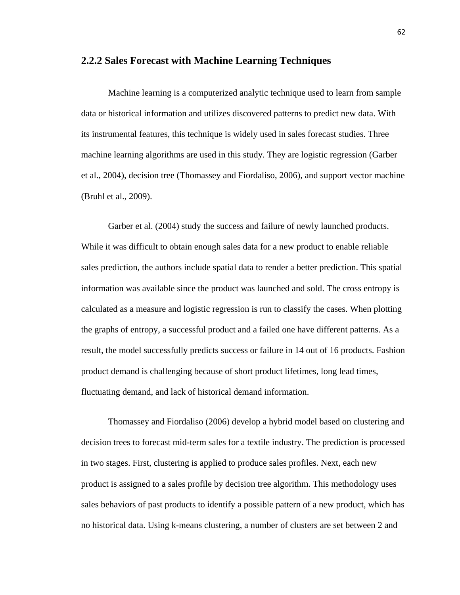#### **2.2.2 Sales Forecast with Machine Learning Techniques**

Machine learning is a computerized analytic technique used to learn from sample data or historical information and utilizes discovered patterns to predict new data. With its instrumental features, this technique is widely used in sales forecast studies. Three machine learning algorithms are used in this study. They are logistic regression (Garber et al., 2004), decision tree (Thomassey and Fiordaliso, 2006), and support vector machine (Bruhl et al., 2009).

Garber et al. (2004) study the success and failure of newly launched products. While it was difficult to obtain enough sales data for a new product to enable reliable sales prediction, the authors include spatial data to render a better prediction. This spatial information was available since the product was launched and sold. The cross entropy is calculated as a measure and logistic regression is run to classify the cases. When plotting the graphs of entropy, a successful product and a failed one have different patterns. As a result, the model successfully predicts success or failure in 14 out of 16 products. Fashion product demand is challenging because of short product lifetimes, long lead times, fluctuating demand, and lack of historical demand information.

Thomassey and Fiordaliso (2006) develop a hybrid model based on clustering and decision trees to forecast mid-term sales for a textile industry. The prediction is processed in two stages. First, clustering is applied to produce sales profiles. Next, each new product is assigned to a sales profile by decision tree algorithm. This methodology uses sales behaviors of past products to identify a possible pattern of a new product, which has no historical data. Using k-means clustering, a number of clusters are set between 2 and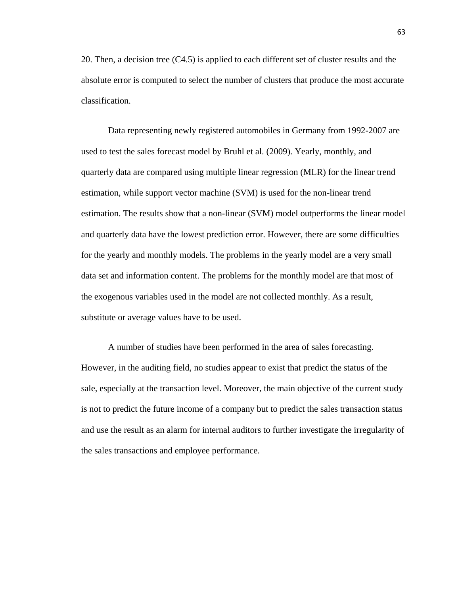20. Then, a decision tree (C4.5) is applied to each different set of cluster results and the absolute error is computed to select the number of clusters that produce the most accurate classification.

Data representing newly registered automobiles in Germany from 1992-2007 are used to test the sales forecast model by Bruhl et al. (2009). Yearly, monthly, and quarterly data are compared using multiple linear regression (MLR) for the linear trend estimation, while support vector machine (SVM) is used for the non-linear trend estimation. The results show that a non-linear (SVM) model outperforms the linear model and quarterly data have the lowest prediction error. However, there are some difficulties for the yearly and monthly models. The problems in the yearly model are a very small data set and information content. The problems for the monthly model are that most of the exogenous variables used in the model are not collected monthly. As a result, substitute or average values have to be used.

A number of studies have been performed in the area of sales forecasting. However, in the auditing field, no studies appear to exist that predict the status of the sale, especially at the transaction level. Moreover, the main objective of the current study is not to predict the future income of a company but to predict the sales transaction status and use the result as an alarm for internal auditors to further investigate the irregularity of the sales transactions and employee performance.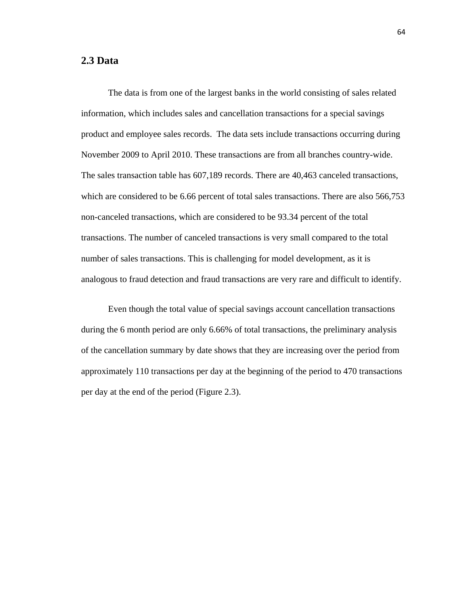#### **2.3 Data**

The data is from one of the largest banks in the world consisting of sales related information, which includes sales and cancellation transactions for a special savings product and employee sales records. The data sets include transactions occurring during November 2009 to April 2010. These transactions are from all branches country-wide. The sales transaction table has 607,189 records. There are 40,463 canceled transactions, which are considered to be 6.66 percent of total sales transactions. There are also 566,753 non-canceled transactions, which are considered to be 93.34 percent of the total transactions. The number of canceled transactions is very small compared to the total number of sales transactions. This is challenging for model development, as it is analogous to fraud detection and fraud transactions are very rare and difficult to identify.

Even though the total value of special savings account cancellation transactions during the 6 month period are only 6.66% of total transactions, the preliminary analysis of the cancellation summary by date shows that they are increasing over the period from approximately 110 transactions per day at the beginning of the period to 470 transactions per day at the end of the period (Figure 2.3).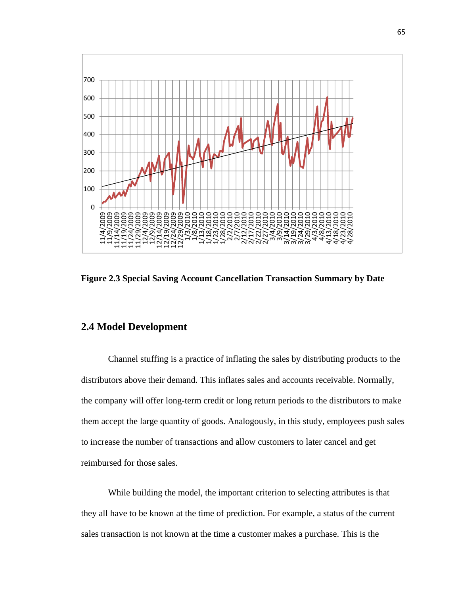

**Figure 2.3 Special Saving Account Cancellation Transaction Summary by Date** 

#### **2.4 Model Development**

Channel stuffing is a practice of inflating the sales by distributing products to the distributors above their demand. This inflates sales and accounts receivable. Normally, the company will offer long-term credit or long return periods to the distributors to make them accept the large quantity of goods. Analogously, in this study, employees push sales to increase the number of transactions and allow customers to later cancel and get reimbursed for those sales.

While building the model, the important criterion to selecting attributes is that they all have to be known at the time of prediction. For example, a status of the current sales transaction is not known at the time a customer makes a purchase. This is the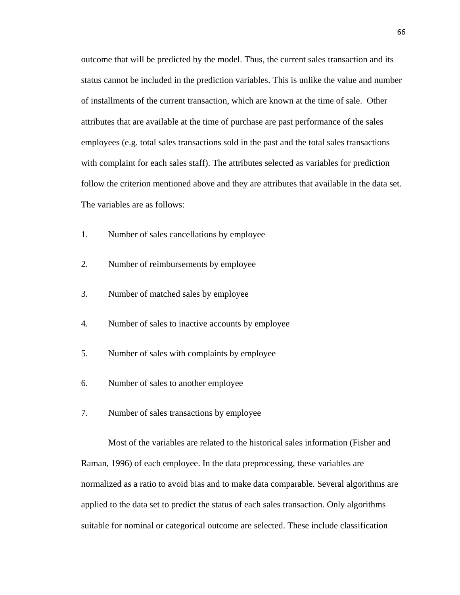outcome that will be predicted by the model. Thus, the current sales transaction and its status cannot be included in the prediction variables. This is unlike the value and number of installments of the current transaction, which are known at the time of sale. Other attributes that are available at the time of purchase are past performance of the sales employees (e.g. total sales transactions sold in the past and the total sales transactions with complaint for each sales staff). The attributes selected as variables for prediction follow the criterion mentioned above and they are attributes that available in the data set. The variables are as follows:

- 1. Number of sales cancellations by employee
- 2. Number of reimbursements by employee
- 3. Number of matched sales by employee
- 4. Number of sales to inactive accounts by employee
- 5. Number of sales with complaints by employee
- 6. Number of sales to another employee
- 7. Number of sales transactions by employee

Most of the variables are related to the historical sales information (Fisher and Raman, 1996) of each employee. In the data preprocessing, these variables are normalized as a ratio to avoid bias and to make data comparable. Several algorithms are applied to the data set to predict the status of each sales transaction. Only algorithms suitable for nominal or categorical outcome are selected. These include classification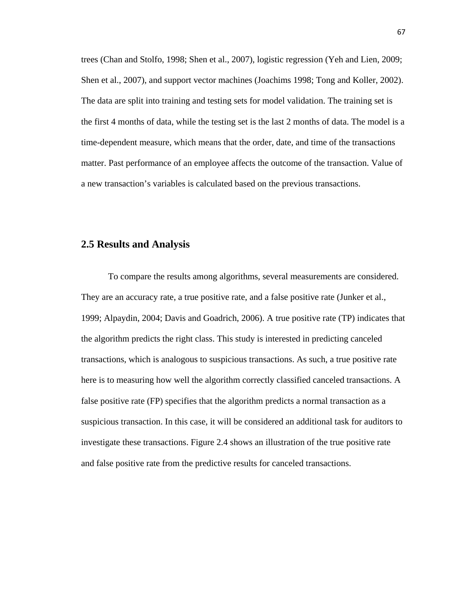trees (Chan and Stolfo, 1998; Shen et al., 2007), logistic regression (Yeh and Lien, 2009; Shen et al., 2007), and support vector machines (Joachims 1998; Tong and Koller, 2002). The data are split into training and testing sets for model validation. The training set is the first 4 months of data, while the testing set is the last 2 months of data. The model is a time-dependent measure, which means that the order, date, and time of the transactions matter. Past performance of an employee affects the outcome of the transaction. Value of a new transaction's variables is calculated based on the previous transactions.

## **2.5 Results and Analysis**

To compare the results among algorithms, several measurements are considered. They are an accuracy rate, a true positive rate, and a false positive rate (Junker et al., 1999; Alpaydin, 2004; Davis and Goadrich, 2006). A true positive rate (TP) indicates that the algorithm predicts the right class. This study is interested in predicting canceled transactions, which is analogous to suspicious transactions. As such, a true positive rate here is to measuring how well the algorithm correctly classified canceled transactions. A false positive rate (FP) specifies that the algorithm predicts a normal transaction as a suspicious transaction. In this case, it will be considered an additional task for auditors to investigate these transactions. Figure 2.4 shows an illustration of the true positive rate and false positive rate from the predictive results for canceled transactions.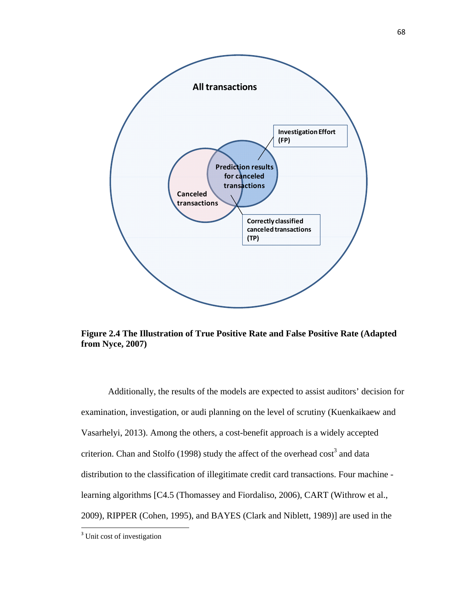

**Figure 2.4 The Illustration of True Positive Rate and False Positive Rate (Adapted from Nyce, 2007)** 

Additionally, the results of the models are expected to assist auditors' decision for examination, investigation, or audi planning on the level of scrutiny (Kuenkaikaew and Vasarhelyi, 2013). Among the others, a cost-benefit approach is a widely accepted criterion. Chan and Stolfo (1998) study the affect of the overhead  $\cos t^3$  and data distribution to the classification of illegitimate credit card transactions. Four machine learning algorithms [C4.5 (Thomassey and Fiordaliso, 2006), CART (Withrow et al., 2009), RIPPER (Cohen, 1995), and BAYES (Clark and Niblett, 1989)] are used in the

<sup>&</sup>lt;sup>3</sup> Unit cost of investigation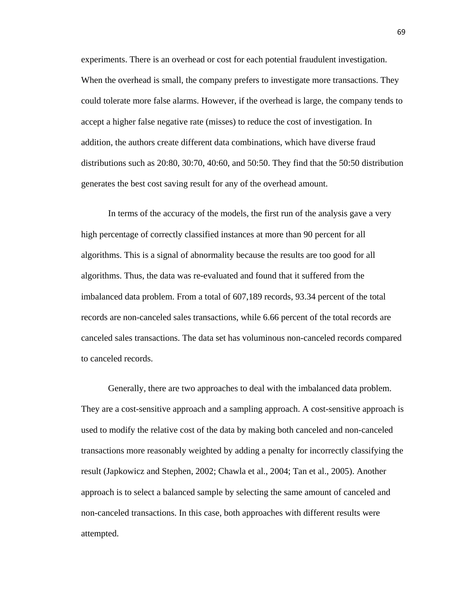experiments. There is an overhead or cost for each potential fraudulent investigation. When the overhead is small, the company prefers to investigate more transactions. They could tolerate more false alarms. However, if the overhead is large, the company tends to accept a higher false negative rate (misses) to reduce the cost of investigation. In addition, the authors create different data combinations, which have diverse fraud distributions such as 20:80, 30:70, 40:60, and 50:50. They find that the 50:50 distribution generates the best cost saving result for any of the overhead amount.

In terms of the accuracy of the models, the first run of the analysis gave a very high percentage of correctly classified instances at more than 90 percent for all algorithms. This is a signal of abnormality because the results are too good for all algorithms. Thus, the data was re-evaluated and found that it suffered from the imbalanced data problem. From a total of 607,189 records, 93.34 percent of the total records are non-canceled sales transactions, while 6.66 percent of the total records are canceled sales transactions. The data set has voluminous non-canceled records compared to canceled records.

Generally, there are two approaches to deal with the imbalanced data problem. They are a cost-sensitive approach and a sampling approach. A cost-sensitive approach is used to modify the relative cost of the data by making both canceled and non-canceled transactions more reasonably weighted by adding a penalty for incorrectly classifying the result (Japkowicz and Stephen, 2002; Chawla et al., 2004; Tan et al., 2005). Another approach is to select a balanced sample by selecting the same amount of canceled and non-canceled transactions. In this case, both approaches with different results were attempted.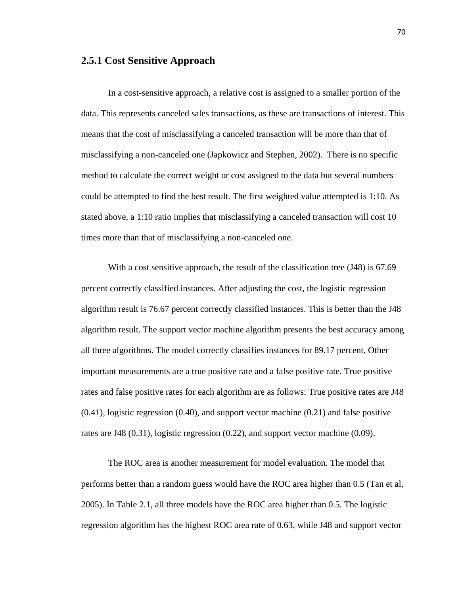#### **2.5.1 Cost Sensitive Approach**

In a cost-sensitive approach, a relative cost is assigned to a smaller portion of the data. This represents canceled sales transactions, as these are transactions of interest. This means that the cost of misclassifying a canceled transaction will be more than that of misclassifying a non-canceled one (Japkowicz and Stephen, 2002). There is no specific method to calculate the correct weight or cost assigned to the data but several numbers could be attempted to find the best result. The first weighted value attempted is 1:10. As stated above, a 1:10 ratio implies that misclassifying a canceled transaction will cost 10 times more than that of misclassifying a non-canceled one.

With a cost sensitive approach, the result of the classification tree (J48) is 67.69 percent correctly classified instances. After adjusting the cost, the logistic regression algorithm result is 76.67 percent correctly classified instances. This is better than the J48 algorithm result. The support vector machine algorithm presents the best accuracy among all three algorithms. The model correctly classifies instances for 89.17 percent. Other important measurements are a true positive rate and a false positive rate. True positive rates and false positive rates for each algorithm are as follows: True positive rates are J48 (0.41), logistic regression (0.40), and support vector machine (0.21) and false positive rates are J48 (0.31), logistic regression (0.22), and support vector machine (0.09).

The ROC area is another measurement for model evaluation. The model that performs better than a random guess would have the ROC area higher than 0.5 (Tan et al, 2005). In Table 2.1, all three models have the ROC area higher than 0.5. The logistic regression algorithm has the highest ROC area rate of 0.63, while J48 and support vector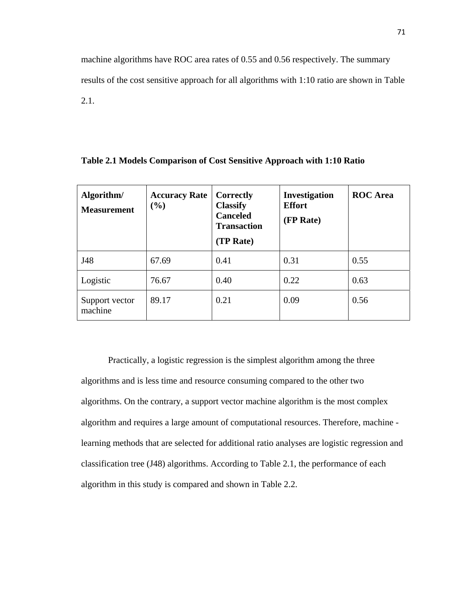machine algorithms have ROC area rates of 0.55 and 0.56 respectively. The summary results of the cost sensitive approach for all algorithms with 1:10 ratio are shown in Table 2.1.

| Algorithm/<br><b>Measurement</b> | <b>Accuracy Rate</b><br>$(\%)$ | Correctly<br><b>Classify</b><br><b>Canceled</b><br><b>Transaction</b><br>(TP Rate) | Investigation<br><b>Effort</b><br>(FP Rate) | <b>ROC</b> Area |
|----------------------------------|--------------------------------|------------------------------------------------------------------------------------|---------------------------------------------|-----------------|
| J48                              | 67.69                          | 0.41                                                                               | 0.31                                        | 0.55            |
| Logistic                         | 76.67                          | 0.40                                                                               | 0.22                                        | 0.63            |
| Support vector<br>machine        | 89.17                          | 0.21                                                                               | 0.09                                        | 0.56            |

**Table 2.1 Models Comparison of Cost Sensitive Approach with 1:10 Ratio**

Practically, a logistic regression is the simplest algorithm among the three algorithms and is less time and resource consuming compared to the other two algorithms. On the contrary, a support vector machine algorithm is the most complex algorithm and requires a large amount of computational resources. Therefore, machine learning methods that are selected for additional ratio analyses are logistic regression and classification tree (J48) algorithms. According to Table 2.1, the performance of each algorithm in this study is compared and shown in Table 2.2.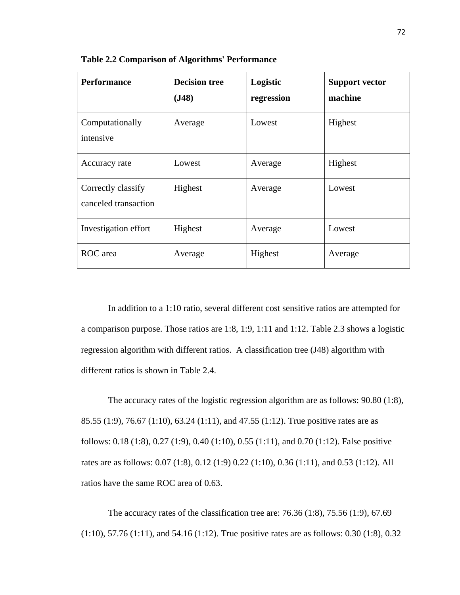| <b>Performance</b>                         | <b>Decision tree</b><br>(J48) | Logistic<br>regression | <b>Support vector</b><br>machine |
|--------------------------------------------|-------------------------------|------------------------|----------------------------------|
| Computationally<br>intensive               | Average                       | Lowest                 | Highest                          |
| Accuracy rate                              | Lowest                        | Average                | Highest                          |
| Correctly classify<br>canceled transaction | Highest                       | Average                | Lowest                           |
| Investigation effort                       | Highest                       | Average                | Lowest                           |
| ROC area                                   | Average                       | Highest                | Average                          |

**Table 2.2 Comparison of Algorithms' Performance** 

In addition to a 1:10 ratio, several different cost sensitive ratios are attempted for a comparison purpose. Those ratios are 1:8, 1:9, 1:11 and 1:12. Table 2.3 shows a logistic regression algorithm with different ratios. A classification tree (J48) algorithm with different ratios is shown in Table 2.4.

 The accuracy rates of the logistic regression algorithm are as follows: 90.80 (1:8), 85.55 (1:9), 76.67 (1:10), 63.24 (1:11), and 47.55 (1:12). True positive rates are as follows: 0.18 (1:8), 0.27 (1:9), 0.40 (1:10), 0.55 (1:11), and 0.70 (1:12). False positive rates are as follows: 0.07 (1:8), 0.12 (1:9) 0.22 (1:10), 0.36 (1:11), and 0.53 (1:12). All ratios have the same ROC area of 0.63.

The accuracy rates of the classification tree are: 76.36 (1:8), 75.56 (1:9), 67.69 (1:10), 57.76 (1:11), and 54.16 (1:12). True positive rates are as follows: 0.30 (1:8), 0.32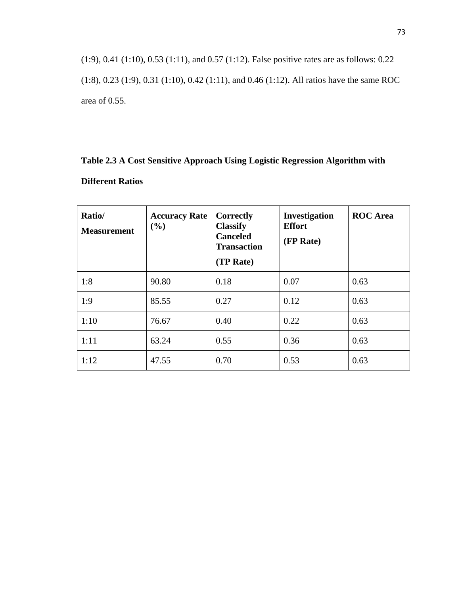(1:9), 0.41 (1:10), 0.53 (1:11), and 0.57 (1:12). False positive rates are as follows: 0.22 (1:8), 0.23 (1:9), 0.31 (1:10), 0.42 (1:11), and 0.46 (1:12). All ratios have the same ROC area of 0.55.

## **Table 2.3 A Cost Sensitive Approach Using Logistic Regression Algorithm with Different Ratios**

| Ratio/<br><b>Measurement</b> | <b>Accuracy Rate</b><br>(%) | Correctly<br><b>Classify</b><br><b>Canceled</b><br><b>Transaction</b><br>(TP Rate) | Investigation<br><b>Effort</b><br>(FP Rate) | <b>ROC</b> Area |
|------------------------------|-----------------------------|------------------------------------------------------------------------------------|---------------------------------------------|-----------------|
| 1:8                          | 90.80                       | 0.18                                                                               | 0.07                                        | 0.63            |
| 1:9                          | 85.55                       | 0.27                                                                               | 0.12                                        | 0.63            |
| 1:10                         | 76.67                       | 0.40                                                                               | 0.22                                        | 0.63            |
| 1:11                         | 63.24                       | 0.55                                                                               | 0.36                                        | 0.63            |
| 1:12                         | 47.55                       | 0.70                                                                               | 0.53                                        | 0.63            |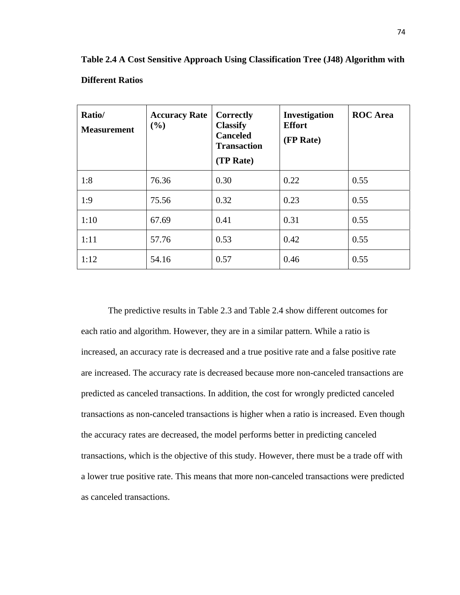| Ratio/<br><b>Measurement</b> | <b>Accuracy Rate</b><br>(%) | Correctly<br><b>Classify</b><br><b>Canceled</b><br><b>Transaction</b><br>(TP Rate) | Investigation<br><b>Effort</b><br>(FP Rate) | <b>ROC</b> Area |
|------------------------------|-----------------------------|------------------------------------------------------------------------------------|---------------------------------------------|-----------------|
| 1:8                          | 76.36                       | 0.30                                                                               | 0.22                                        | 0.55            |
| 1:9                          | 75.56                       | 0.32                                                                               | 0.23                                        | 0.55            |
| 1:10                         | 67.69                       | 0.41                                                                               | 0.31                                        | 0.55            |
| 1:11                         | 57.76                       | 0.53                                                                               | 0.42                                        | 0.55            |
| 1:12                         | 54.16                       | 0.57                                                                               | 0.46                                        | 0.55            |

**Table 2.4 A Cost Sensitive Approach Using Classification Tree (J48) Algorithm with Different Ratios** 

The predictive results in Table 2.3 and Table 2.4 show different outcomes for each ratio and algorithm. However, they are in a similar pattern. While a ratio is increased, an accuracy rate is decreased and a true positive rate and a false positive rate are increased. The accuracy rate is decreased because more non-canceled transactions are predicted as canceled transactions. In addition, the cost for wrongly predicted canceled transactions as non-canceled transactions is higher when a ratio is increased. Even though the accuracy rates are decreased, the model performs better in predicting canceled transactions, which is the objective of this study. However, there must be a trade off with a lower true positive rate. This means that more non-canceled transactions were predicted as canceled transactions.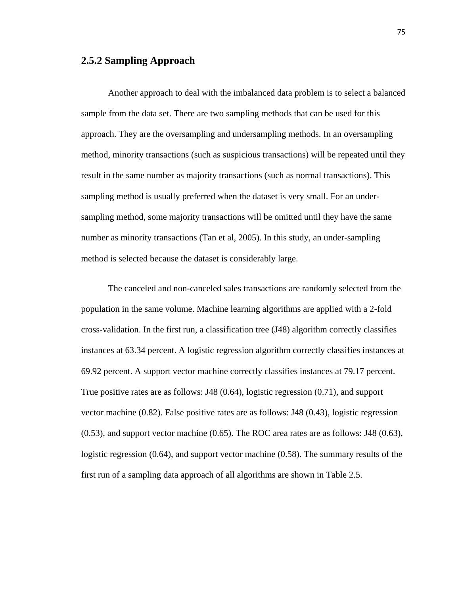#### **2.5.2 Sampling Approach**

Another approach to deal with the imbalanced data problem is to select a balanced sample from the data set. There are two sampling methods that can be used for this approach. They are the oversampling and undersampling methods. In an oversampling method, minority transactions (such as suspicious transactions) will be repeated until they result in the same number as majority transactions (such as normal transactions). This sampling method is usually preferred when the dataset is very small. For an undersampling method, some majority transactions will be omitted until they have the same number as minority transactions (Tan et al, 2005). In this study, an under-sampling method is selected because the dataset is considerably large.

The canceled and non-canceled sales transactions are randomly selected from the population in the same volume. Machine learning algorithms are applied with a 2-fold cross-validation. In the first run, a classification tree (J48) algorithm correctly classifies instances at 63.34 percent. A logistic regression algorithm correctly classifies instances at 69.92 percent. A support vector machine correctly classifies instances at 79.17 percent. True positive rates are as follows: J48 (0.64), logistic regression (0.71), and support vector machine (0.82). False positive rates are as follows: J48 (0.43), logistic regression (0.53), and support vector machine (0.65). The ROC area rates are as follows: J48 (0.63), logistic regression (0.64), and support vector machine (0.58). The summary results of the first run of a sampling data approach of all algorithms are shown in Table 2.5.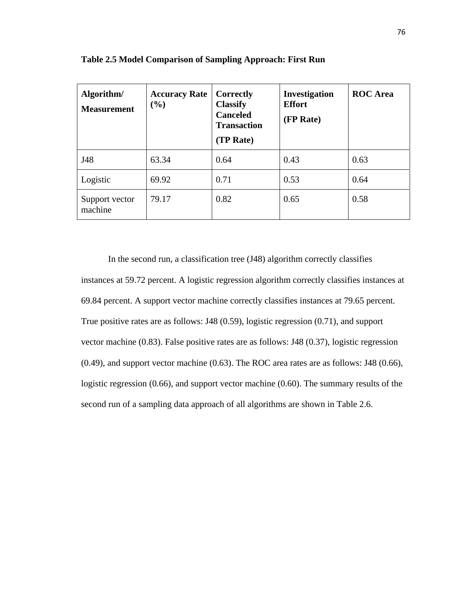| Algorithm/<br><b>Measurement</b> | <b>Accuracy Rate</b><br>(%) | Correctly<br><b>Classify</b><br><b>Canceled</b><br><b>Transaction</b><br>(TP Rate) | <b>Investigation</b><br><b>Effort</b><br>(FP Rate) | <b>ROC</b> Area |
|----------------------------------|-----------------------------|------------------------------------------------------------------------------------|----------------------------------------------------|-----------------|
| J48                              | 63.34                       | 0.64                                                                               | 0.43                                               | 0.63            |
| Logistic                         | 69.92                       | 0.71                                                                               | 0.53                                               | 0.64            |
| Support vector<br>machine        | 79.17                       | 0.82                                                                               | 0.65                                               | 0.58            |

**Table 2.5 Model Comparison of Sampling Approach: First Run**

In the second run, a classification tree (J48) algorithm correctly classifies instances at 59.72 percent. A logistic regression algorithm correctly classifies instances at 69.84 percent. A support vector machine correctly classifies instances at 79.65 percent. True positive rates are as follows: J48 (0.59), logistic regression (0.71), and support vector machine (0.83). False positive rates are as follows: J48 (0.37), logistic regression (0.49), and support vector machine (0.63). The ROC area rates are as follows: J48 (0.66), logistic regression (0.66), and support vector machine (0.60). The summary results of the second run of a sampling data approach of all algorithms are shown in Table 2.6.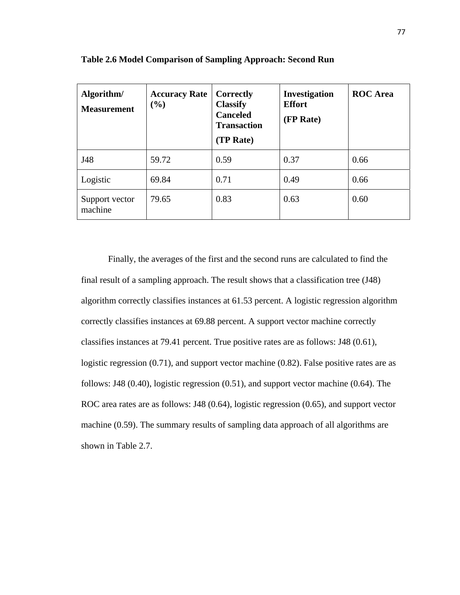| Algorithm/<br><b>Measurement</b> | <b>Accuracy Rate</b><br>(9/0) | Correctly<br><b>Classify</b><br><b>Canceled</b><br><b>Transaction</b><br>(TP Rate) | <b>Investigation</b><br><b>Effort</b><br>(FP Rate) | <b>ROC</b> Area |
|----------------------------------|-------------------------------|------------------------------------------------------------------------------------|----------------------------------------------------|-----------------|
| J48                              | 59.72                         | 0.59                                                                               | 0.37                                               | 0.66            |
| Logistic                         | 69.84                         | 0.71                                                                               | 0.49                                               | 0.66            |
| Support vector<br>machine        | 79.65                         | 0.83                                                                               | 0.63                                               | 0.60            |

**Table 2.6 Model Comparison of Sampling Approach: Second Run**

Finally, the averages of the first and the second runs are calculated to find the final result of a sampling approach. The result shows that a classification tree (J48) algorithm correctly classifies instances at 61.53 percent. A logistic regression algorithm correctly classifies instances at 69.88 percent. A support vector machine correctly classifies instances at 79.41 percent. True positive rates are as follows: J48 (0.61), logistic regression (0.71), and support vector machine (0.82). False positive rates are as follows: J48 (0.40), logistic regression (0.51), and support vector machine (0.64). The ROC area rates are as follows: J48 (0.64), logistic regression (0.65), and support vector machine (0.59). The summary results of sampling data approach of all algorithms are shown in Table 2.7.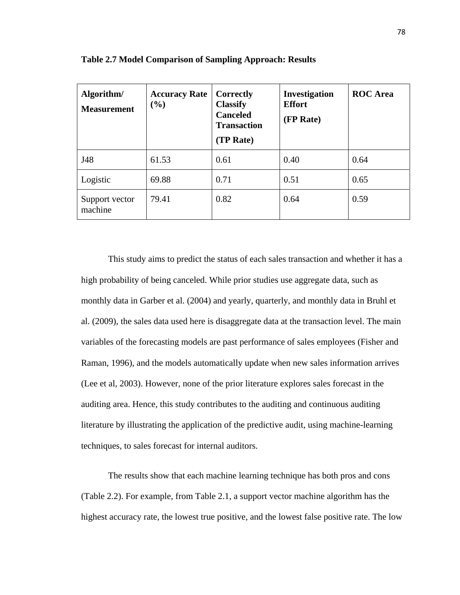| Algorithm/<br><b>Measurement</b> | <b>Accuracy Rate</b><br>$(\%)$ | Correctly<br><b>Classify</b><br><b>Canceled</b><br><b>Transaction</b><br>(TP Rate) | Investigation<br><b>Effort</b><br>(FP Rate) | <b>ROC</b> Area |
|----------------------------------|--------------------------------|------------------------------------------------------------------------------------|---------------------------------------------|-----------------|
| J48                              | 61.53                          | 0.61                                                                               | 0.40                                        | 0.64            |
| Logistic                         | 69.88                          | 0.71                                                                               | 0.51                                        | 0.65            |
| Support vector<br>machine        | 79.41                          | 0.82                                                                               | 0.64                                        | 0.59            |

**Table 2.7 Model Comparison of Sampling Approach: Results**

This study aims to predict the status of each sales transaction and whether it has a high probability of being canceled. While prior studies use aggregate data, such as monthly data in Garber et al. (2004) and yearly, quarterly, and monthly data in Bruhl et al. (2009), the sales data used here is disaggregate data at the transaction level. The main variables of the forecasting models are past performance of sales employees (Fisher and Raman, 1996), and the models automatically update when new sales information arrives (Lee et al, 2003). However, none of the prior literature explores sales forecast in the auditing area. Hence, this study contributes to the auditing and continuous auditing literature by illustrating the application of the predictive audit, using machine-learning techniques, to sales forecast for internal auditors.

The results show that each machine learning technique has both pros and cons (Table 2.2). For example, from Table 2.1, a support vector machine algorithm has the highest accuracy rate, the lowest true positive, and the lowest false positive rate. The low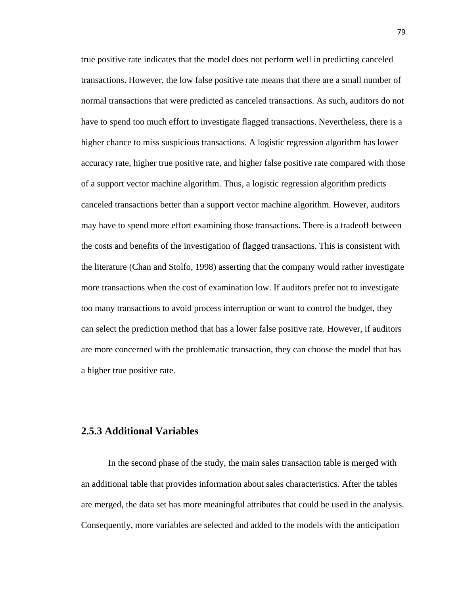true positive rate indicates that the model does not perform well in predicting canceled transactions. However, the low false positive rate means that there are a small number of normal transactions that were predicted as canceled transactions. As such, auditors do not have to spend too much effort to investigate flagged transactions. Nevertheless, there is a higher chance to miss suspicious transactions. A logistic regression algorithm has lower accuracy rate, higher true positive rate, and higher false positive rate compared with those of a support vector machine algorithm. Thus, a logistic regression algorithm predicts canceled transactions better than a support vector machine algorithm. However, auditors may have to spend more effort examining those transactions. There is a tradeoff between the costs and benefits of the investigation of flagged transactions. This is consistent with the literature (Chan and Stolfo, 1998) asserting that the company would rather investigate more transactions when the cost of examination low. If auditors prefer not to investigate too many transactions to avoid process interruption or want to control the budget, they can select the prediction method that has a lower false positive rate. However, if auditors are more concerned with the problematic transaction, they can choose the model that has a higher true positive rate.

## **2.5.3 Additional Variables**

In the second phase of the study, the main sales transaction table is merged with an additional table that provides information about sales characteristics. After the tables are merged, the data set has more meaningful attributes that could be used in the analysis. Consequently, more variables are selected and added to the models with the anticipation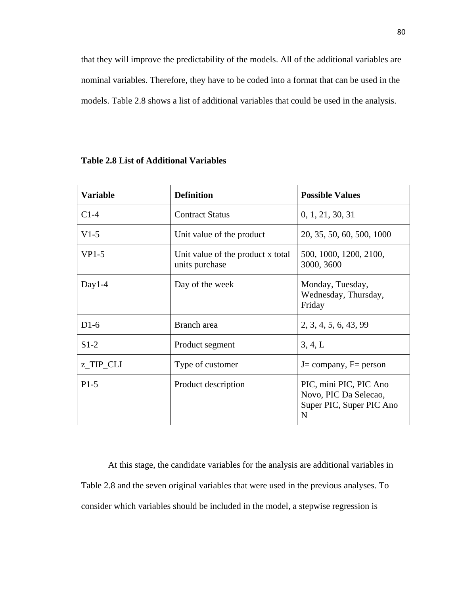that they will improve the predictability of the models. All of the additional variables are nominal variables. Therefore, they have to be coded into a format that can be used in the models. Table 2.8 shows a list of additional variables that could be used in the analysis.

| <b>Variable</b> | <b>Definition</b>                                   | <b>Possible Values</b>                                                           |
|-----------------|-----------------------------------------------------|----------------------------------------------------------------------------------|
| $C1-4$          | <b>Contract Status</b>                              | 0, 1, 21, 30, 31                                                                 |
| $V1-5$          | Unit value of the product                           | 20, 35, 50, 60, 500, 1000                                                        |
| $VP1-5$         | Unit value of the product x total<br>units purchase | 500, 1000, 1200, 2100,<br>3000, 3600                                             |
| Day1-4          | Day of the week                                     | Monday, Tuesday,<br>Wednesday, Thursday,<br>Friday                               |
| $D1-6$          | Branch area                                         | 2, 3, 4, 5, 6, 43, 99                                                            |
| $S1-2$          | Product segment                                     | 3, 4, L                                                                          |
| z_TIP_CLI       | Type of customer                                    | $J = company$ , $F = person$                                                     |
| $P1-5$          | Product description                                 | PIC, mini PIC, PIC Ano<br>Novo, PIC Da Selecao,<br>Super PIC, Super PIC Ano<br>N |

#### **Table 2.8 List of Additional Variables**

At this stage, the candidate variables for the analysis are additional variables in Table 2.8 and the seven original variables that were used in the previous analyses. To consider which variables should be included in the model, a stepwise regression is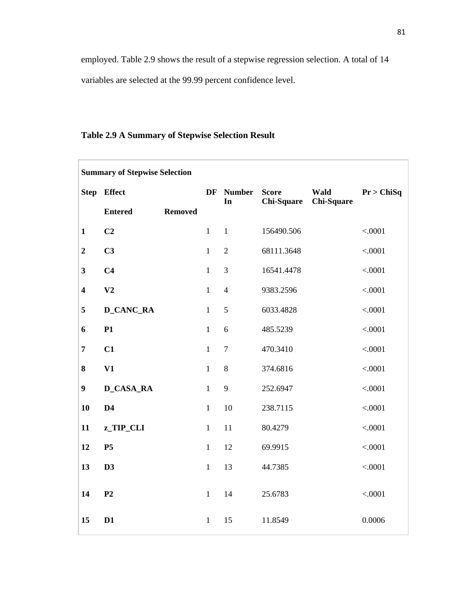employed. Table 2.9 shows the result of a stepwise regression selection. A total of 14 variables are selected at the 99.99 percent confidence level.

| <b>Summary of Stepwise Selection</b> |                  |                |              |                |                   |            |            |
|--------------------------------------|------------------|----------------|--------------|----------------|-------------------|------------|------------|
|                                      | Step Effect      |                | DF           | <b>Number</b>  | <b>Score</b>      | Wald       | Pr > ChiSq |
|                                      | <b>Entered</b>   | <b>Removed</b> |              | In             | <b>Chi-Square</b> | Chi-Square |            |
| $\mathbf{1}$                         | C <sub>2</sub>   |                | $\mathbf{1}$ | $\mathbf{1}$   | 156490.506        |            | < .0001    |
| $\overline{2}$                       | C <sub>3</sub>   |                | $\mathbf{1}$ | $\overline{2}$ | 68111.3648        |            | < .0001    |
| 3                                    | C <sub>4</sub>   |                | $\mathbf{1}$ | 3              | 16541.4478        |            | < .0001    |
| $\overline{\mathbf{4}}$              | V <sub>2</sub>   |                | $\mathbf{1}$ | $\overline{4}$ | 9383.2596         |            | < .0001    |
| 5                                    | <b>D_CANC_RA</b> |                | $\mathbf{1}$ | 5              | 6033.4828         |            | < .0001    |
| 6                                    | P1               |                | $\mathbf{1}$ | 6              | 485.5239          |            | < .0001    |
| $\overline{7}$                       | C1               |                | $\mathbf{1}$ | $\overline{7}$ | 470.3410          |            | < .0001    |
| 8                                    | V1               |                | $\mathbf{1}$ | 8              | 374.6816          |            | < .0001    |
| $\boldsymbol{9}$                     | <b>D_CASA_RA</b> |                | $\mathbf{1}$ | 9              | 252.6947          |            | < .0001    |
| 10                                   | D4               |                | $\mathbf{1}$ | 10             | 238.7115          |            | < .0001    |
| 11                                   | z_TIP_CLI        |                | $\mathbf{1}$ | 11             | 80.4279           |            | < .0001    |
| 12                                   | P <sub>5</sub>   |                | $\mathbf{1}$ | 12             | 69.9915           |            | < .0001    |
| 13                                   | D3               |                | $\mathbf{1}$ | 13             | 44.7385           |            | < .0001    |
| 14                                   | P <sub>2</sub>   |                | $\mathbf{1}$ | 14             | 25.6783           |            | < .0001    |
| 15                                   | D1               |                | $\mathbf{1}$ | 15             | 11.8549           |            | 0.0006     |

## **Table 2.9 A Summary of Stepwise Selection Result**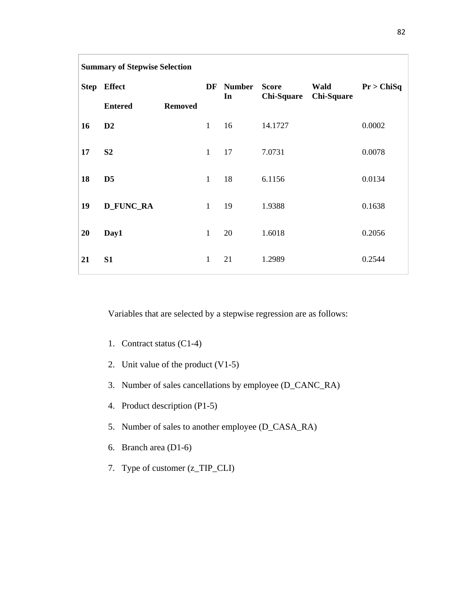| <b>Summary of Stepwise Selection</b> |                  |                |              |                     |                                   |                           |            |
|--------------------------------------|------------------|----------------|--------------|---------------------|-----------------------------------|---------------------------|------------|
|                                      | Step Effect      |                | DF           | <b>Number</b><br>In | <b>Score</b><br><b>Chi-Square</b> | Wald<br><b>Chi-Square</b> | Pr > ChiSq |
|                                      | <b>Entered</b>   | <b>Removed</b> |              |                     |                                   |                           |            |
| 16                                   | D2               |                | $\mathbf{1}$ | 16                  | 14.1727                           |                           | 0.0002     |
| 17                                   | S <sub>2</sub>   |                | $\mathbf{1}$ | 17                  | 7.0731                            |                           | 0.0078     |
| 18                                   | D <sub>5</sub>   |                | $\mathbf{1}$ | 18                  | 6.1156                            |                           | 0.0134     |
| 19                                   | <b>D_FUNC_RA</b> |                | $\mathbf{1}$ | 19                  | 1.9388                            |                           | 0.1638     |
| 20                                   | Day1             |                | $\mathbf{1}$ | 20                  | 1.6018                            |                           | 0.2056     |
| 21                                   | S1               |                | $\mathbf{1}$ | 21                  | 1.2989                            |                           | 0.2544     |

Variables that are selected by a stepwise regression are as follows:

- 1. Contract status (C1-4)
- 2. Unit value of the product (V1-5)
- 3. Number of sales cancellations by employee (D\_CANC\_RA)
- 4. Product description (P1-5)
- 5. Number of sales to another employee (D\_CASA\_RA)
- 6. Branch area (D1-6)
- 7. Type of customer (z\_TIP\_CLI)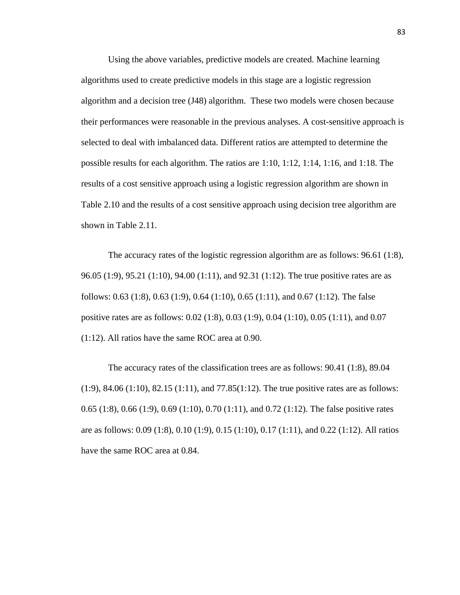Using the above variables, predictive models are created. Machine learning algorithms used to create predictive models in this stage are a logistic regression algorithm and a decision tree (J48) algorithm. These two models were chosen because their performances were reasonable in the previous analyses. A cost-sensitive approach is selected to deal with imbalanced data. Different ratios are attempted to determine the possible results for each algorithm. The ratios are 1:10, 1:12, 1:14, 1:16, and 1:18. The results of a cost sensitive approach using a logistic regression algorithm are shown in Table 2.10 and the results of a cost sensitive approach using decision tree algorithm are shown in Table 2.11.

The accuracy rates of the logistic regression algorithm are as follows: 96.61 (1:8), 96.05 (1:9), 95.21 (1:10), 94.00 (1:11), and 92.31 (1:12). The true positive rates are as follows: 0.63 (1:8), 0.63 (1:9), 0.64 (1:10), 0.65 (1:11), and 0.67 (1:12). The false positive rates are as follows: 0.02 (1:8), 0.03 (1:9), 0.04 (1:10), 0.05 (1:11), and 0.07 (1:12). All ratios have the same ROC area at 0.90.

The accuracy rates of the classification trees are as follows: 90.41 (1:8), 89.04  $(1:9)$ ,  $84.06$   $(1:10)$ ,  $82.15$   $(1:11)$ , and  $77.85(1:12)$ . The true positive rates are as follows: 0.65 (1:8), 0.66 (1:9), 0.69 (1:10), 0.70 (1:11), and 0.72 (1:12). The false positive rates are as follows: 0.09 (1:8), 0.10 (1:9), 0.15 (1:10), 0.17 (1:11), and 0.22 (1:12). All ratios have the same ROC area at 0.84.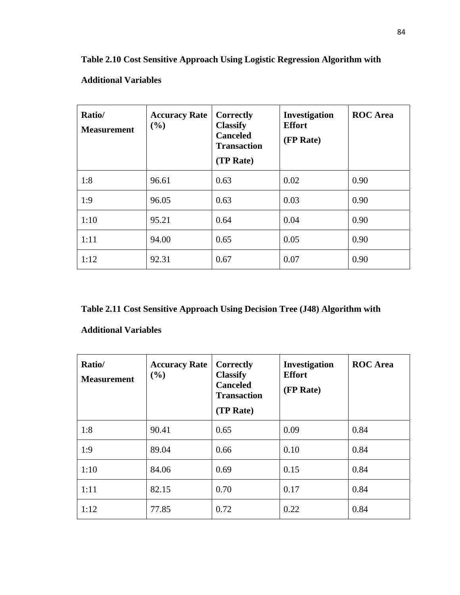| Ratio/<br><b>Measurement</b> | <b>Accuracy Rate</b><br>(%) | <b>Correctly</b><br><b>Classify</b><br><b>Canceled</b><br><b>Transaction</b><br>(TP Rate) | Investigation<br><b>Effort</b><br>(FP Rate) | <b>ROC</b> Area |
|------------------------------|-----------------------------|-------------------------------------------------------------------------------------------|---------------------------------------------|-----------------|
| 1:8                          | 96.61                       | 0.63                                                                                      | 0.02                                        | 0.90            |
| 1:9                          | 96.05                       | 0.63                                                                                      | 0.03                                        | 0.90            |
| 1:10                         | 95.21                       | 0.64                                                                                      | 0.04                                        | 0.90            |
| 1:11                         | 94.00                       | 0.65                                                                                      | 0.05                                        | 0.90            |
| 1:12                         | 92.31                       | 0.67                                                                                      | 0.07                                        | 0.90            |

## **Additional Variables**

**Table 2.11 Cost Sensitive Approach Using Decision Tree (J48) Algorithm with** 

## **Additional Variables**

| Ratio/<br><b>Measurement</b> | <b>Accuracy Rate</b><br>(%) | Correctly<br><b>Classify</b><br><b>Canceled</b><br><b>Transaction</b><br>(TP Rate) | <b>Investigation</b><br><b>Effort</b><br>(FP Rate) | <b>ROC</b> Area |
|------------------------------|-----------------------------|------------------------------------------------------------------------------------|----------------------------------------------------|-----------------|
| 1:8                          | 90.41                       | 0.65                                                                               | 0.09                                               | 0.84            |
| 1:9                          | 89.04                       | 0.66                                                                               | 0.10                                               | 0.84            |
| 1:10                         | 84.06                       | 0.69                                                                               | 0.15                                               | 0.84            |
| 1:11                         | 82.15                       | 0.70                                                                               | 0.17                                               | 0.84            |
| 1:12                         | 77.85                       | 0.72                                                                               | 0.22                                               | 0.84            |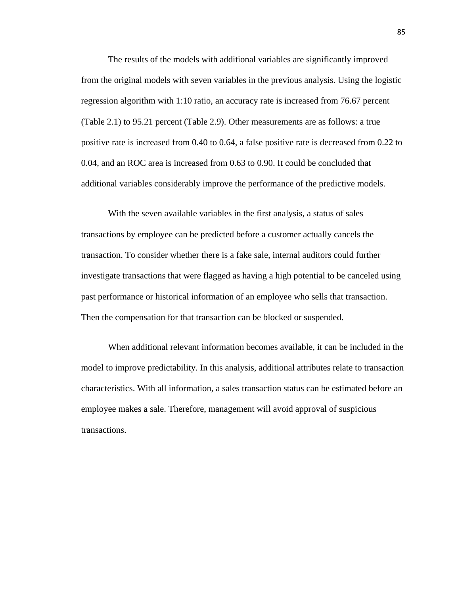The results of the models with additional variables are significantly improved from the original models with seven variables in the previous analysis. Using the logistic regression algorithm with 1:10 ratio, an accuracy rate is increased from 76.67 percent (Table 2.1) to 95.21 percent (Table 2.9). Other measurements are as follows: a true positive rate is increased from 0.40 to 0.64, a false positive rate is decreased from 0.22 to 0.04, and an ROC area is increased from 0.63 to 0.90. It could be concluded that additional variables considerably improve the performance of the predictive models.

With the seven available variables in the first analysis, a status of sales transactions by employee can be predicted before a customer actually cancels the transaction. To consider whether there is a fake sale, internal auditors could further investigate transactions that were flagged as having a high potential to be canceled using past performance or historical information of an employee who sells that transaction. Then the compensation for that transaction can be blocked or suspended.

When additional relevant information becomes available, it can be included in the model to improve predictability. In this analysis, additional attributes relate to transaction characteristics. With all information, a sales transaction status can be estimated before an employee makes a sale. Therefore, management will avoid approval of suspicious transactions.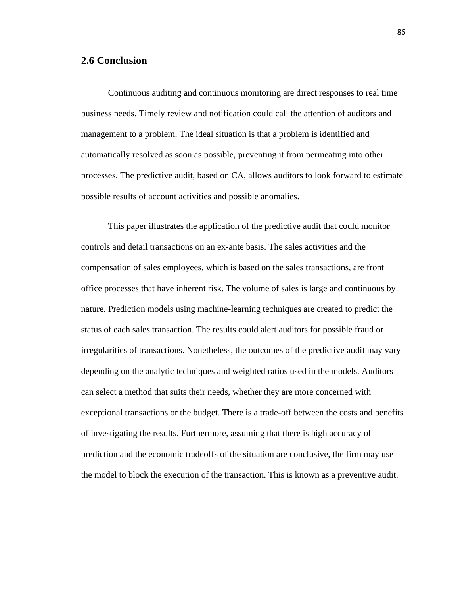## **2.6 Conclusion**

Continuous auditing and continuous monitoring are direct responses to real time business needs. Timely review and notification could call the attention of auditors and management to a problem. The ideal situation is that a problem is identified and automatically resolved as soon as possible, preventing it from permeating into other processes. The predictive audit, based on CA, allows auditors to look forward to estimate possible results of account activities and possible anomalies.

This paper illustrates the application of the predictive audit that could monitor controls and detail transactions on an ex-ante basis. The sales activities and the compensation of sales employees, which is based on the sales transactions, are front office processes that have inherent risk. The volume of sales is large and continuous by nature. Prediction models using machine-learning techniques are created to predict the status of each sales transaction. The results could alert auditors for possible fraud or irregularities of transactions. Nonetheless, the outcomes of the predictive audit may vary depending on the analytic techniques and weighted ratios used in the models. Auditors can select a method that suits their needs, whether they are more concerned with exceptional transactions or the budget. There is a trade-off between the costs and benefits of investigating the results. Furthermore, assuming that there is high accuracy of prediction and the economic tradeoffs of the situation are conclusive, the firm may use the model to block the execution of the transaction. This is known as a preventive audit.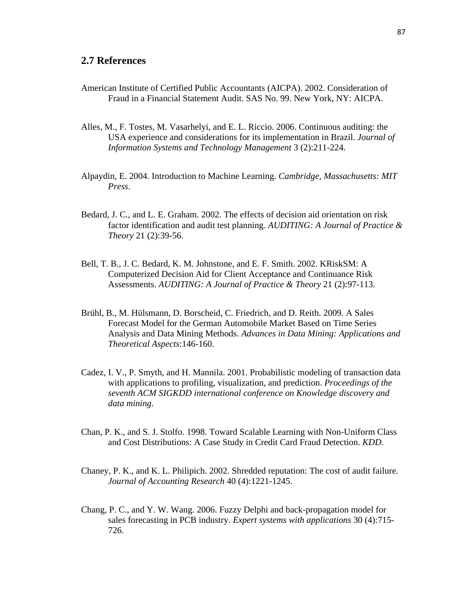## **2.7 References**

- American Institute of Certified Public Accountants (AICPA). 2002. Consideration of Fraud in a Financial Statement Audit. SAS No. 99. New York, NY: AICPA.
- Alles, M., F. Tostes, M. Vasarhelyi, and E. L. Riccio. 2006. Continuous auditing: the USA experience and considerations for its implementation in Brazil. *Journal of Information Systems and Technology Management* 3 (2):211-224.
- Alpaydin, E. 2004. Introduction to Machine Learning. *Cambridge, Massachusetts: MIT Press*.
- Bedard, J. C., and L. E. Graham. 2002. The effects of decision aid orientation on risk factor identification and audit test planning. *AUDITING: A Journal of Practice & Theory* 21 (2):39-56.
- Bell, T. B., J. C. Bedard, K. M. Johnstone, and E. F. Smith. 2002. KRiskSM: A Computerized Decision Aid for Client Acceptance and Continuance Risk Assessments. *AUDITING: A Journal of Practice & Theory* 21 (2):97-113.
- Brühl, B., M. Hülsmann, D. Borscheid, C. Friedrich, and D. Reith. 2009. A Sales Forecast Model for the German Automobile Market Based on Time Series Analysis and Data Mining Methods. *Advances in Data Mining: Applications and Theoretical Aspects*:146-160.
- Cadez, I. V., P. Smyth, and H. Mannila. 2001. Probabilistic modeling of transaction data with applications to profiling, visualization, and prediction. *Proceedings of the seventh ACM SIGKDD international conference on Knowledge discovery and data mining*.
- Chan, P. K., and S. J. Stolfo. 1998. Toward Scalable Learning with Non-Uniform Class and Cost Distributions: A Case Study in Credit Card Fraud Detection. *KDD*.
- Chaney, P. K., and K. L. Philipich. 2002. Shredded reputation: The cost of audit failure. *Journal of Accounting Research* 40 (4):1221-1245.
- Chang, P. C., and Y. W. Wang. 2006. Fuzzy Delphi and back-propagation model for sales forecasting in PCB industry. *Expert systems with applications* 30 (4):715- 726.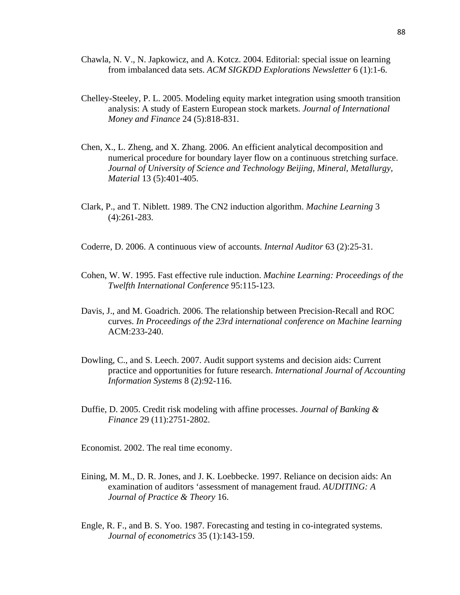- Chawla, N. V., N. Japkowicz, and A. Kotcz. 2004. Editorial: special issue on learning from imbalanced data sets. *ACM SIGKDD Explorations Newsletter* 6 (1):1-6.
- Chelley-Steeley, P. L. 2005. Modeling equity market integration using smooth transition analysis: A study of Eastern European stock markets. *Journal of International Money and Finance* 24 (5):818-831.
- Chen, X., L. Zheng, and X. Zhang. 2006. An efficient analytical decomposition and numerical procedure for boundary layer flow on a continuous stretching surface. *Journal of University of Science and Technology Beijing, Mineral, Metallurgy, Material* 13 (5):401-405.
- Clark, P., and T. Niblett. 1989. The CN2 induction algorithm. *Machine Learning* 3 (4):261-283.
- Coderre, D. 2006. A continuous view of accounts. *Internal Auditor* 63 (2):25-31.
- Cohen, W. W. 1995. Fast effective rule induction. *Machine Learning: Proceedings of the Twelfth International Conference* 95:115-123.
- Davis, J., and M. Goadrich. 2006. The relationship between Precision-Recall and ROC curves. *In Proceedings of the 23rd international conference on Machine learning* ACM:233-240.
- Dowling, C., and S. Leech. 2007. Audit support systems and decision aids: Current practice and opportunities for future research. *International Journal of Accounting Information Systems* 8 (2):92-116.
- Duffie, D. 2005. Credit risk modeling with affine processes. *Journal of Banking & Finance* 29 (11):2751-2802.
- Economist. 2002. The real time economy.
- Eining, M. M., D. R. Jones, and J. K. Loebbecke. 1997. Reliance on decision aids: An examination of auditors 'assessment of management fraud. *AUDITING: A Journal of Practice & Theory* 16.
- Engle, R. F., and B. S. Yoo. 1987. Forecasting and testing in co-integrated systems. *Journal of econometrics* 35 (1):143-159.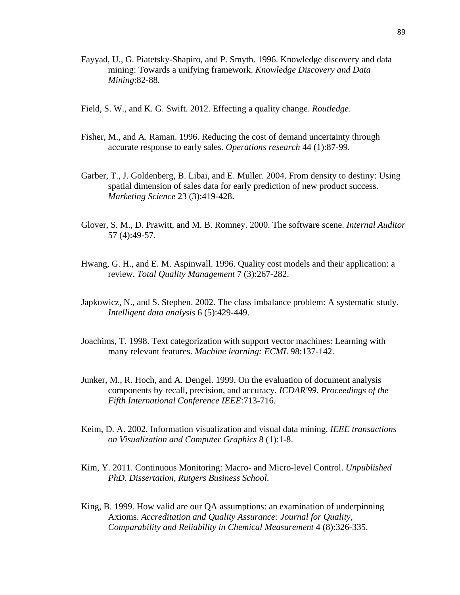- Fayyad, U., G. Piatetsky-Shapiro, and P. Smyth. 1996. Knowledge discovery and data mining: Towards a unifying framework. *Knowledge Discovery and Data Mining*:82-88.
- Field, S. W., and K. G. Swift. 2012. Effecting a quality change. *Routledge*.
- Fisher, M., and A. Raman. 1996. Reducing the cost of demand uncertainty through accurate response to early sales. *Operations research* 44 (1):87-99.
- Garber, T., J. Goldenberg, B. Libai, and E. Muller. 2004. From density to destiny: Using spatial dimension of sales data for early prediction of new product success. *Marketing Science* 23 (3):419-428.
- Glover, S. M., D. Prawitt, and M. B. Romney. 2000. The software scene. *Internal Auditor* 57 (4):49-57.
- Hwang, G. H., and E. M. Aspinwall. 1996. Quality cost models and their application: a review. *Total Quality Management* 7 (3):267-282.
- Japkowicz, N., and S. Stephen. 2002. The class imbalance problem: A systematic study. *Intelligent data analysis* 6 (5):429-449.
- Joachims, T. 1998. Text categorization with support vector machines: Learning with many relevant features. *Machine learning: ECML* 98:137-142.
- Junker, M., R. Hoch, and A. Dengel. 1999. On the evaluation of document analysis components by recall, precision, and accuracy. *ICDAR'99. Proceedings of the Fifth International Conference IEEE*:713-716.
- Keim, D. A. 2002. Information visualization and visual data mining. *IEEE transactions on Visualization and Computer Graphics* 8 (1):1-8.
- Kim, Y. 2011. Continuous Monitoring: Macro- and Micro-level Control. *Unpublished PhD. Dissertation, Rutgers Business School*.
- King, B. 1999. How valid are our QA assumptions: an examination of underpinning Axioms. *Accreditation and Quality Assurance: Journal for Quality, Comparability and Reliability in Chemical Measurement* 4 (8):326-335.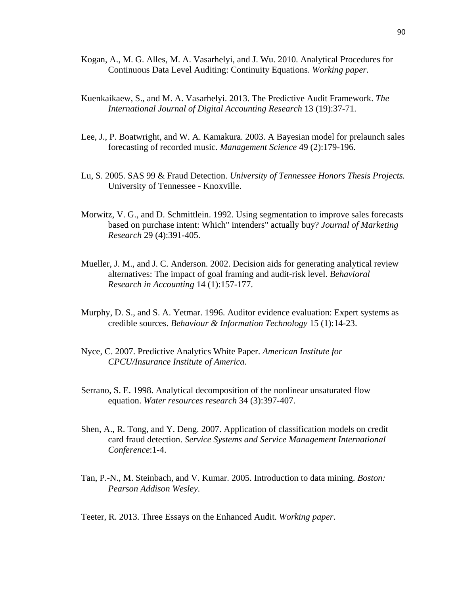- Kogan, A., M. G. Alles, M. A. Vasarhelyi, and J. Wu. 2010. Analytical Procedures for Continuous Data Level Auditing: Continuity Equations. *Working paper*.
- Kuenkaikaew, S., and M. A. Vasarhelyi. 2013. The Predictive Audit Framework. *The International Journal of Digital Accounting Research* 13 (19):37-71.
- Lee, J., P. Boatwright, and W. A. Kamakura. 2003. A Bayesian model for prelaunch sales forecasting of recorded music. *Management Science* 49 (2):179-196.
- Lu, S. 2005. SAS 99 & Fraud Detection. *University of Tennessee Honors Thesis Projects.* University of Tennessee - Knoxville.
- Morwitz, V. G., and D. Schmittlein. 1992. Using segmentation to improve sales forecasts based on purchase intent: Which" intenders" actually buy? *Journal of Marketing Research* 29 (4):391-405.
- Mueller, J. M., and J. C. Anderson. 2002. Decision aids for generating analytical review alternatives: The impact of goal framing and audit-risk level. *Behavioral Research in Accounting* 14 (1):157-177.
- Murphy, D. S., and S. A. Yetmar. 1996. Auditor evidence evaluation: Expert systems as credible sources. *Behaviour & Information Technology* 15 (1):14-23.
- Nyce, C. 2007. Predictive Analytics White Paper. *American Institute for CPCU/Insurance Institute of America*.
- Serrano, S. E. 1998. Analytical decomposition of the nonlinear unsaturated flow equation. *Water resources research* 34 (3):397-407.
- Shen, A., R. Tong, and Y. Deng. 2007. Application of classification models on credit card fraud detection. *Service Systems and Service Management International Conference*:1-4.
- Tan, P.-N., M. Steinbach, and V. Kumar. 2005. Introduction to data mining. *Boston: Pearson Addison Wesley*.

Teeter, R. 2013. Three Essays on the Enhanced Audit. *Working paper*.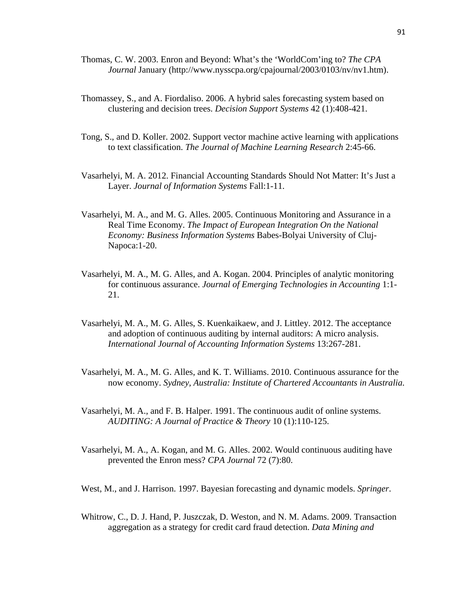- Thomas, C. W. 2003. Enron and Beyond: What's the 'WorldCom'ing to? *The CPA Journal* January (http://www.nysscpa.org/cpajournal/2003/0103/nv/nv1.htm).
- Thomassey, S., and A. Fiordaliso. 2006. A hybrid sales forecasting system based on clustering and decision trees. *Decision Support Systems* 42 (1):408-421.
- Tong, S., and D. Koller. 2002. Support vector machine active learning with applications to text classification. *The Journal of Machine Learning Research* 2:45-66.
- Vasarhelyi, M. A. 2012. Financial Accounting Standards Should Not Matter: It's Just a Layer. *Journal of Information Systems* Fall:1-11.
- Vasarhelyi, M. A., and M. G. Alles. 2005. Continuous Monitoring and Assurance in a Real Time Economy. *The Impact of European Integration On the National Economy: Business Information Systems* Babes-Bolyai University of Cluj-Napoca:1-20.
- Vasarhelyi, M. A., M. G. Alles, and A. Kogan. 2004. Principles of analytic monitoring for continuous assurance. *Journal of Emerging Technologies in Accounting* 1:1- 21.
- Vasarhelyi, M. A., M. G. Alles, S. Kuenkaikaew, and J. Littley. 2012. The acceptance and adoption of continuous auditing by internal auditors: A micro analysis. *International Journal of Accounting Information Systems* 13:267-281.
- Vasarhelyi, M. A., M. G. Alles, and K. T. Williams. 2010. Continuous assurance for the now economy. *Sydney, Australia: Institute of Chartered Accountants in Australia*.
- Vasarhelyi, M. A., and F. B. Halper. 1991. The continuous audit of online systems. *AUDITING: A Journal of Practice & Theory* 10 (1):110-125.
- Vasarhelyi, M. A., A. Kogan, and M. G. Alles. 2002. Would continuous auditing have prevented the Enron mess? *CPA Journal* 72 (7):80.
- West, M., and J. Harrison. 1997. Bayesian forecasting and dynamic models. *Springer*.
- Whitrow, C., D. J. Hand, P. Juszczak, D. Weston, and N. M. Adams. 2009. Transaction aggregation as a strategy for credit card fraud detection. *Data Mining and*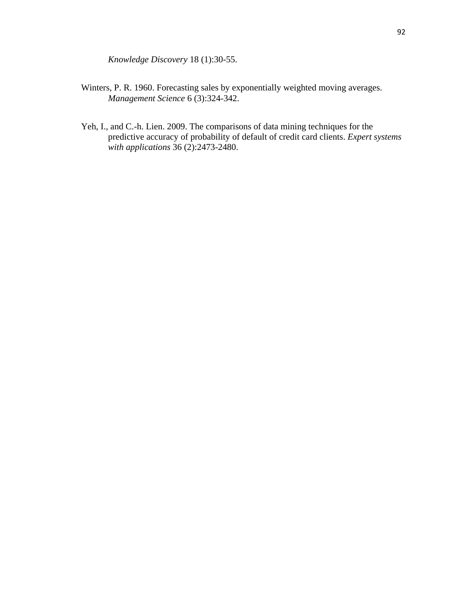*Knowledge Discovery* 18 (1):30-55.

- Winters, P. R. 1960. Forecasting sales by exponentially weighted moving averages. *Management Science* 6 (3):324-342.
- Yeh, I., and C.-h. Lien. 2009. The comparisons of data mining techniques for the predictive accuracy of probability of default of credit card clients. *Expert systems with applications* 36 (2):2473-2480.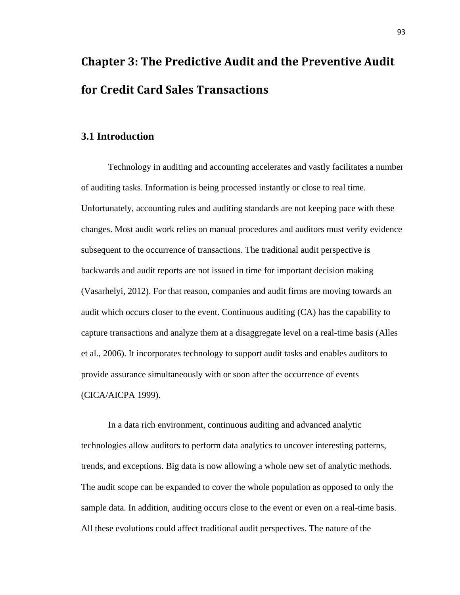# **Chapter 3: The Predictive Audit and the Preventive Audit for Credit Card Sales Transactions**

## **3.1 Introduction**

Technology in auditing and accounting accelerates and vastly facilitates a number of auditing tasks. Information is being processed instantly or close to real time. Unfortunately, accounting rules and auditing standards are not keeping pace with these changes. Most audit work relies on manual procedures and auditors must verify evidence subsequent to the occurrence of transactions. The traditional audit perspective is backwards and audit reports are not issued in time for important decision making (Vasarhelyi, 2012). For that reason, companies and audit firms are moving towards an audit which occurs closer to the event. Continuous auditing (CA) has the capability to capture transactions and analyze them at a disaggregate level on a real-time basis (Alles et al., 2006). It incorporates technology to support audit tasks and enables auditors to provide assurance simultaneously with or soon after the occurrence of events (CICA/AICPA 1999).

In a data rich environment, continuous auditing and advanced analytic technologies allow auditors to perform data analytics to uncover interesting patterns, trends, and exceptions. Big data is now allowing a whole new set of analytic methods. The audit scope can be expanded to cover the whole population as opposed to only the sample data. In addition, auditing occurs close to the event or even on a real-time basis. All these evolutions could affect traditional audit perspectives. The nature of the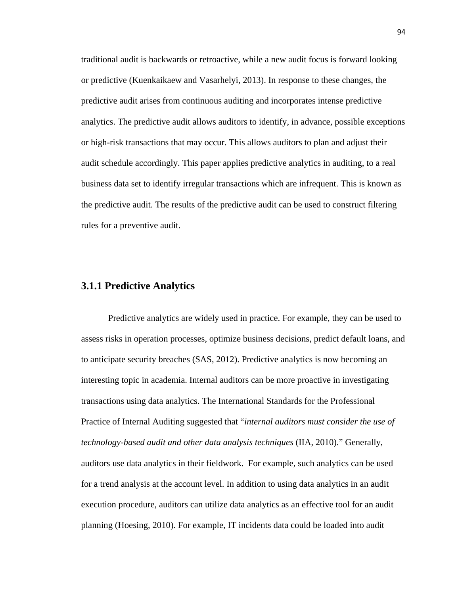traditional audit is backwards or retroactive, while a new audit focus is forward looking or predictive (Kuenkaikaew and Vasarhelyi, 2013). In response to these changes, the predictive audit arises from continuous auditing and incorporates intense predictive analytics. The predictive audit allows auditors to identify, in advance, possible exceptions or high-risk transactions that may occur. This allows auditors to plan and adjust their audit schedule accordingly. This paper applies predictive analytics in auditing, to a real business data set to identify irregular transactions which are infrequent. This is known as the predictive audit. The results of the predictive audit can be used to construct filtering rules for a preventive audit.

#### **3.1.1 Predictive Analytics**

Predictive analytics are widely used in practice. For example, they can be used to assess risks in operation processes, optimize business decisions, predict default loans, and to anticipate security breaches (SAS, 2012). Predictive analytics is now becoming an interesting topic in academia. Internal auditors can be more proactive in investigating transactions using data analytics. The International Standards for the Professional Practice of Internal Auditing suggested that "*internal auditors must consider the use of technology-based audit and other data analysis techniques* (IIA, 2010)." Generally, auditors use data analytics in their fieldwork. For example, such analytics can be used for a trend analysis at the account level. In addition to using data analytics in an audit execution procedure, auditors can utilize data analytics as an effective tool for an audit planning (Hoesing, 2010). For example, IT incidents data could be loaded into audit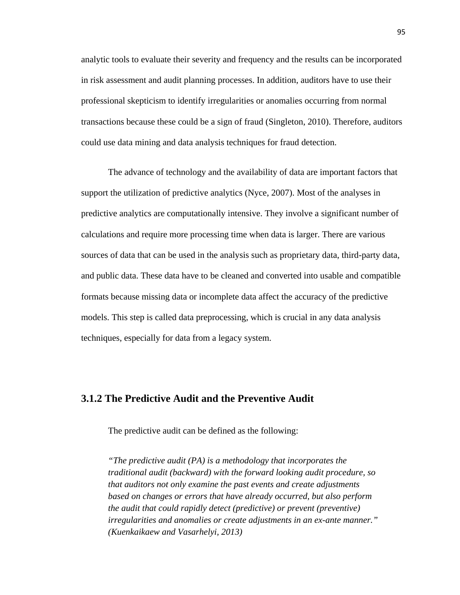analytic tools to evaluate their severity and frequency and the results can be incorporated in risk assessment and audit planning processes. In addition, auditors have to use their professional skepticism to identify irregularities or anomalies occurring from normal transactions because these could be a sign of fraud (Singleton, 2010). Therefore, auditors could use data mining and data analysis techniques for fraud detection.

The advance of technology and the availability of data are important factors that support the utilization of predictive analytics (Nyce, 2007). Most of the analyses in predictive analytics are computationally intensive. They involve a significant number of calculations and require more processing time when data is larger. There are various sources of data that can be used in the analysis such as proprietary data, third-party data, and public data. These data have to be cleaned and converted into usable and compatible formats because missing data or incomplete data affect the accuracy of the predictive models. This step is called data preprocessing, which is crucial in any data analysis techniques, especially for data from a legacy system.

## **3.1.2 The Predictive Audit and the Preventive Audit**

The predictive audit can be defined as the following:

*"The predictive audit (PA) is a methodology that incorporates the traditional audit (backward) with the forward looking audit procedure, so that auditors not only examine the past events and create adjustments based on changes or errors that have already occurred, but also perform the audit that could rapidly detect (predictive) or prevent (preventive) irregularities and anomalies or create adjustments in an ex-ante manner." (Kuenkaikaew and Vasarhelyi, 2013)*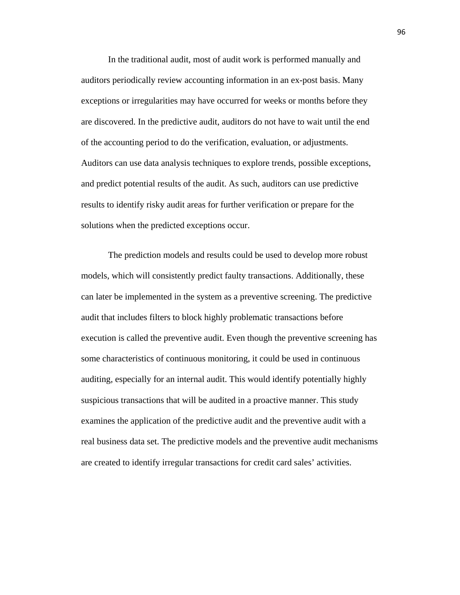In the traditional audit, most of audit work is performed manually and auditors periodically review accounting information in an ex-post basis. Many exceptions or irregularities may have occurred for weeks or months before they are discovered. In the predictive audit, auditors do not have to wait until the end of the accounting period to do the verification, evaluation, or adjustments. Auditors can use data analysis techniques to explore trends, possible exceptions, and predict potential results of the audit. As such, auditors can use predictive results to identify risky audit areas for further verification or prepare for the solutions when the predicted exceptions occur.

The prediction models and results could be used to develop more robust models, which will consistently predict faulty transactions. Additionally, these can later be implemented in the system as a preventive screening. The predictive audit that includes filters to block highly problematic transactions before execution is called the preventive audit. Even though the preventive screening has some characteristics of continuous monitoring, it could be used in continuous auditing, especially for an internal audit. This would identify potentially highly suspicious transactions that will be audited in a proactive manner. This study examines the application of the predictive audit and the preventive audit with a real business data set. The predictive models and the preventive audit mechanisms are created to identify irregular transactions for credit card sales' activities.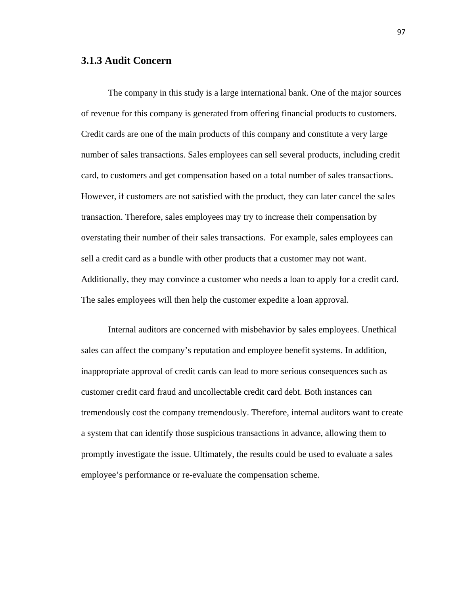#### **3.1.3 Audit Concern**

The company in this study is a large international bank. One of the major sources of revenue for this company is generated from offering financial products to customers. Credit cards are one of the main products of this company and constitute a very large number of sales transactions. Sales employees can sell several products, including credit card, to customers and get compensation based on a total number of sales transactions. However, if customers are not satisfied with the product, they can later cancel the sales transaction. Therefore, sales employees may try to increase their compensation by overstating their number of their sales transactions. For example, sales employees can sell a credit card as a bundle with other products that a customer may not want. Additionally, they may convince a customer who needs a loan to apply for a credit card. The sales employees will then help the customer expedite a loan approval.

 Internal auditors are concerned with misbehavior by sales employees. Unethical sales can affect the company's reputation and employee benefit systems. In addition, inappropriate approval of credit cards can lead to more serious consequences such as customer credit card fraud and uncollectable credit card debt. Both instances can tremendously cost the company tremendously. Therefore, internal auditors want to create a system that can identify those suspicious transactions in advance, allowing them to promptly investigate the issue. Ultimately, the results could be used to evaluate a sales employee's performance or re-evaluate the compensation scheme.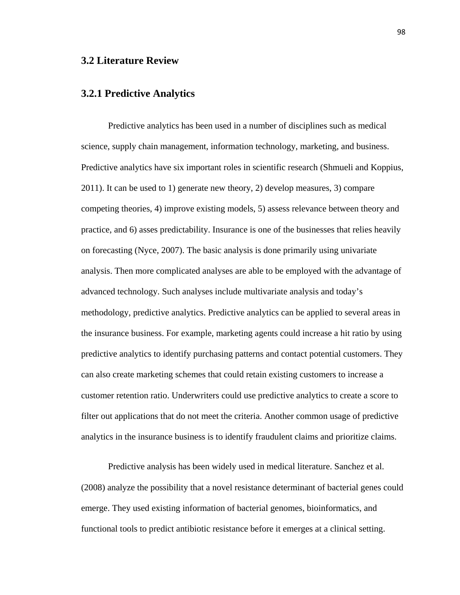#### **3.2 Literature Review**

#### **3.2.1 Predictive Analytics**

Predictive analytics has been used in a number of disciplines such as medical science, supply chain management, information technology, marketing, and business. Predictive analytics have six important roles in scientific research (Shmueli and Koppius, 2011). It can be used to 1) generate new theory, 2) develop measures, 3) compare competing theories, 4) improve existing models, 5) assess relevance between theory and practice, and 6) asses predictability. Insurance is one of the businesses that relies heavily on forecasting (Nyce, 2007). The basic analysis is done primarily using univariate analysis. Then more complicated analyses are able to be employed with the advantage of advanced technology. Such analyses include multivariate analysis and today's methodology, predictive analytics. Predictive analytics can be applied to several areas in the insurance business. For example, marketing agents could increase a hit ratio by using predictive analytics to identify purchasing patterns and contact potential customers. They can also create marketing schemes that could retain existing customers to increase a customer retention ratio. Underwriters could use predictive analytics to create a score to filter out applications that do not meet the criteria. Another common usage of predictive analytics in the insurance business is to identify fraudulent claims and prioritize claims.

Predictive analysis has been widely used in medical literature. Sanchez et al. (2008) analyze the possibility that a novel resistance determinant of bacterial genes could emerge. They used existing information of bacterial genomes, bioinformatics, and functional tools to predict antibiotic resistance before it emerges at a clinical setting.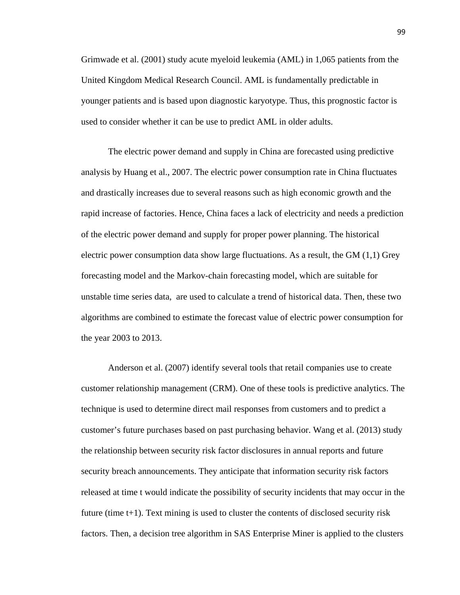Grimwade et al. (2001) study acute myeloid leukemia (AML) in 1,065 patients from the United Kingdom Medical Research Council. AML is fundamentally predictable in younger patients and is based upon diagnostic karyotype. Thus, this prognostic factor is used to consider whether it can be use to predict AML in older adults.

The electric power demand and supply in China are forecasted using predictive analysis by Huang et al., 2007. The electric power consumption rate in China fluctuates and drastically increases due to several reasons such as high economic growth and the rapid increase of factories. Hence, China faces a lack of electricity and needs a prediction of the electric power demand and supply for proper power planning. The historical electric power consumption data show large fluctuations. As a result, the GM (1,1) Grey forecasting model and the Markov-chain forecasting model, which are suitable for unstable time series data, are used to calculate a trend of historical data. Then, these two algorithms are combined to estimate the forecast value of electric power consumption for the year 2003 to 2013.

 Anderson et al. (2007) identify several tools that retail companies use to create customer relationship management (CRM). One of these tools is predictive analytics. The technique is used to determine direct mail responses from customers and to predict a customer's future purchases based on past purchasing behavior. Wang et al. (2013) study the relationship between security risk factor disclosures in annual reports and future security breach announcements. They anticipate that information security risk factors released at time t would indicate the possibility of security incidents that may occur in the future (time t+1). Text mining is used to cluster the contents of disclosed security risk factors. Then, a decision tree algorithm in SAS Enterprise Miner is applied to the clusters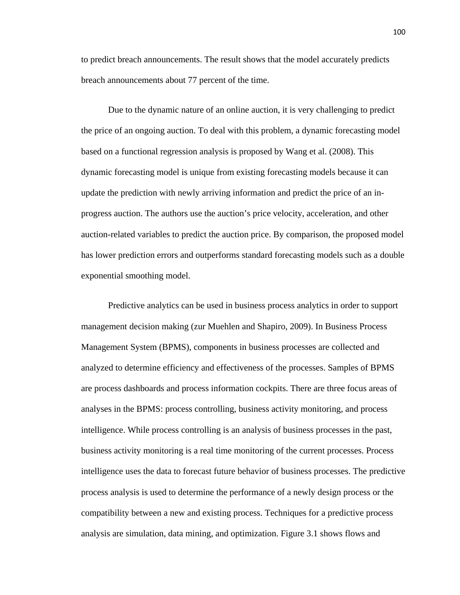to predict breach announcements. The result shows that the model accurately predicts breach announcements about 77 percent of the time.

Due to the dynamic nature of an online auction, it is very challenging to predict the price of an ongoing auction. To deal with this problem, a dynamic forecasting model based on a functional regression analysis is proposed by Wang et al. (2008). This dynamic forecasting model is unique from existing forecasting models because it can update the prediction with newly arriving information and predict the price of an inprogress auction. The authors use the auction's price velocity, acceleration, and other auction-related variables to predict the auction price. By comparison, the proposed model has lower prediction errors and outperforms standard forecasting models such as a double exponential smoothing model.

Predictive analytics can be used in business process analytics in order to support management decision making (zur Muehlen and Shapiro, 2009). In Business Process Management System (BPMS), components in business processes are collected and analyzed to determine efficiency and effectiveness of the processes. Samples of BPMS are process dashboards and process information cockpits. There are three focus areas of analyses in the BPMS: process controlling, business activity monitoring, and process intelligence. While process controlling is an analysis of business processes in the past, business activity monitoring is a real time monitoring of the current processes. Process intelligence uses the data to forecast future behavior of business processes. The predictive process analysis is used to determine the performance of a newly design process or the compatibility between a new and existing process. Techniques for a predictive process analysis are simulation, data mining, and optimization. Figure 3.1 shows flows and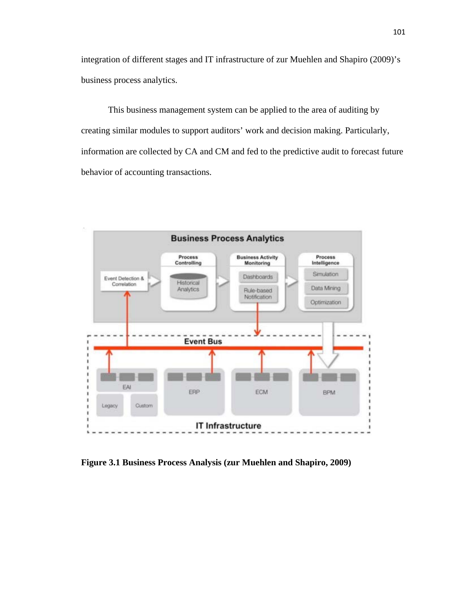integration of different stages and IT infrastructure of zur Muehlen and Shapiro (2009)'s business process analytics.

This business management system can be applied to the area of auditing by creating similar modules to support auditors' work and decision making. Particularly, information are collected by CA and CM and fed to the predictive audit to forecast future behavior of accounting transactions.



**Figure 3.1 Business Process Analysis (zur Muehlen and Shapiro, 2009)**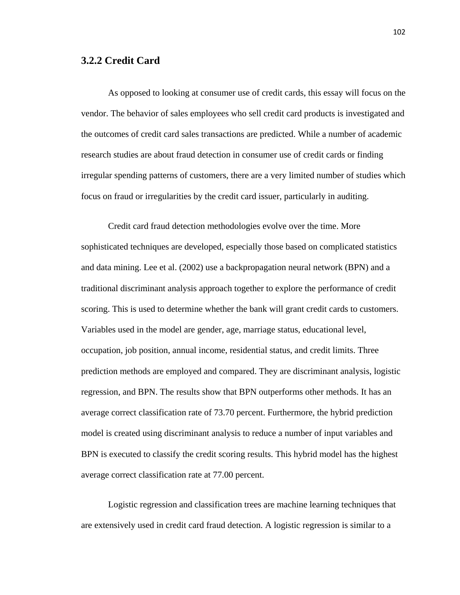## **3.2.2 Credit Card**

As opposed to looking at consumer use of credit cards, this essay will focus on the vendor. The behavior of sales employees who sell credit card products is investigated and the outcomes of credit card sales transactions are predicted. While a number of academic research studies are about fraud detection in consumer use of credit cards or finding irregular spending patterns of customers, there are a very limited number of studies which focus on fraud or irregularities by the credit card issuer, particularly in auditing.

Credit card fraud detection methodologies evolve over the time. More sophisticated techniques are developed, especially those based on complicated statistics and data mining. Lee et al. (2002) use a backpropagation neural network (BPN) and a traditional discriminant analysis approach together to explore the performance of credit scoring. This is used to determine whether the bank will grant credit cards to customers. Variables used in the model are gender, age, marriage status, educational level, occupation, job position, annual income, residential status, and credit limits. Three prediction methods are employed and compared. They are discriminant analysis, logistic regression, and BPN. The results show that BPN outperforms other methods. It has an average correct classification rate of 73.70 percent. Furthermore, the hybrid prediction model is created using discriminant analysis to reduce a number of input variables and BPN is executed to classify the credit scoring results. This hybrid model has the highest average correct classification rate at 77.00 percent.

Logistic regression and classification trees are machine learning techniques that are extensively used in credit card fraud detection. A logistic regression is similar to a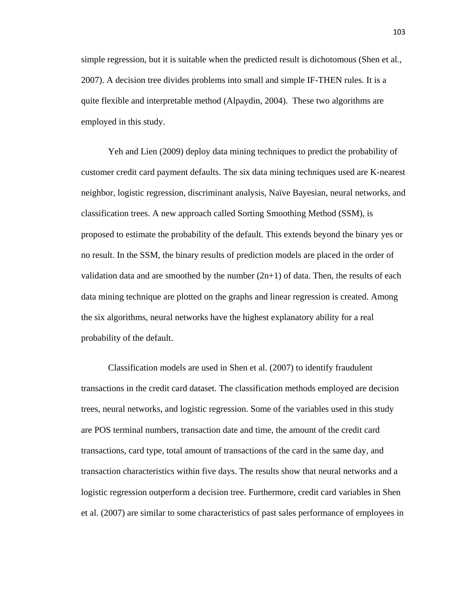simple regression, but it is suitable when the predicted result is dichotomous (Shen et al., 2007). A decision tree divides problems into small and simple IF-THEN rules. It is a quite flexible and interpretable method (Alpaydin, 2004). These two algorithms are employed in this study.

Yeh and Lien (2009) deploy data mining techniques to predict the probability of customer credit card payment defaults. The six data mining techniques used are K-nearest neighbor, logistic regression, discriminant analysis, Naïve Bayesian, neural networks, and classification trees. A new approach called Sorting Smoothing Method (SSM), is proposed to estimate the probability of the default. This extends beyond the binary yes or no result. In the SSM, the binary results of prediction models are placed in the order of validation data and are smoothed by the number  $(2n+1)$  of data. Then, the results of each data mining technique are plotted on the graphs and linear regression is created. Among the six algorithms, neural networks have the highest explanatory ability for a real probability of the default.

Classification models are used in Shen et al. (2007) to identify fraudulent transactions in the credit card dataset. The classification methods employed are decision trees, neural networks, and logistic regression. Some of the variables used in this study are POS terminal numbers, transaction date and time, the amount of the credit card transactions, card type, total amount of transactions of the card in the same day, and transaction characteristics within five days. The results show that neural networks and a logistic regression outperform a decision tree. Furthermore, credit card variables in Shen et al. (2007) are similar to some characteristics of past sales performance of employees in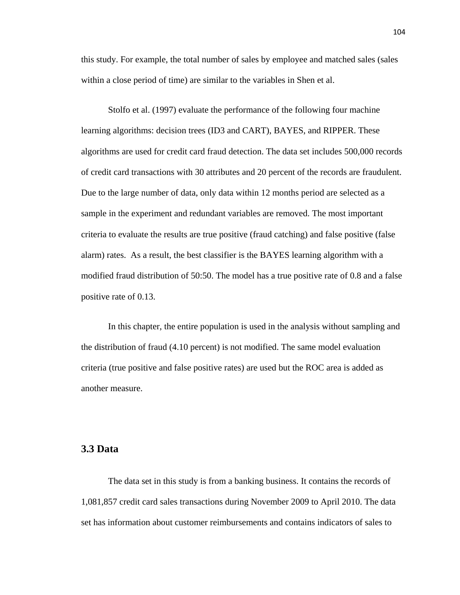this study. For example, the total number of sales by employee and matched sales (sales within a close period of time) are similar to the variables in Shen et al.

Stolfo et al. (1997) evaluate the performance of the following four machine learning algorithms: decision trees (ID3 and CART), BAYES, and RIPPER. These algorithms are used for credit card fraud detection. The data set includes 500,000 records of credit card transactions with 30 attributes and 20 percent of the records are fraudulent. Due to the large number of data, only data within 12 months period are selected as a sample in the experiment and redundant variables are removed. The most important criteria to evaluate the results are true positive (fraud catching) and false positive (false alarm) rates. As a result, the best classifier is the BAYES learning algorithm with a modified fraud distribution of 50:50. The model has a true positive rate of 0.8 and a false positive rate of 0.13.

In this chapter, the entire population is used in the analysis without sampling and the distribution of fraud (4.10 percent) is not modified. The same model evaluation criteria (true positive and false positive rates) are used but the ROC area is added as another measure.

# **3.3 Data**

The data set in this study is from a banking business. It contains the records of 1,081,857 credit card sales transactions during November 2009 to April 2010. The data set has information about customer reimbursements and contains indicators of sales to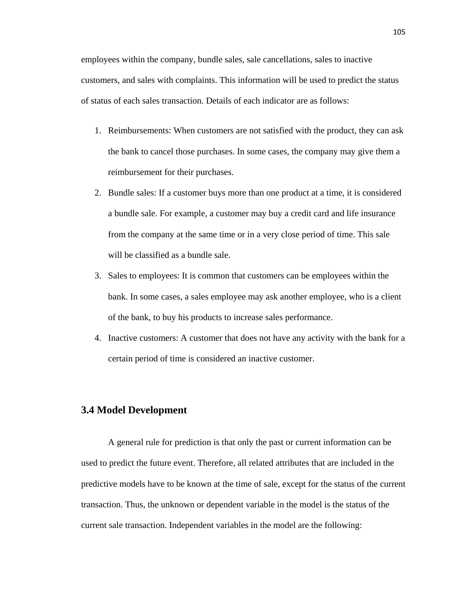employees within the company, bundle sales, sale cancellations, sales to inactive customers, and sales with complaints. This information will be used to predict the status of status of each sales transaction. Details of each indicator are as follows:

- 1. Reimbursements: When customers are not satisfied with the product, they can ask the bank to cancel those purchases. In some cases, the company may give them a reimbursement for their purchases.
- 2. Bundle sales: If a customer buys more than one product at a time, it is considered a bundle sale. For example, a customer may buy a credit card and life insurance from the company at the same time or in a very close period of time. This sale will be classified as a bundle sale.
- 3. Sales to employees: It is common that customers can be employees within the bank. In some cases, a sales employee may ask another employee, who is a client of the bank, to buy his products to increase sales performance.
- 4. Inactive customers: A customer that does not have any activity with the bank for a certain period of time is considered an inactive customer.

# **3.4 Model Development**

A general rule for prediction is that only the past or current information can be used to predict the future event. Therefore, all related attributes that are included in the predictive models have to be known at the time of sale, except for the status of the current transaction. Thus, the unknown or dependent variable in the model is the status of the current sale transaction. Independent variables in the model are the following: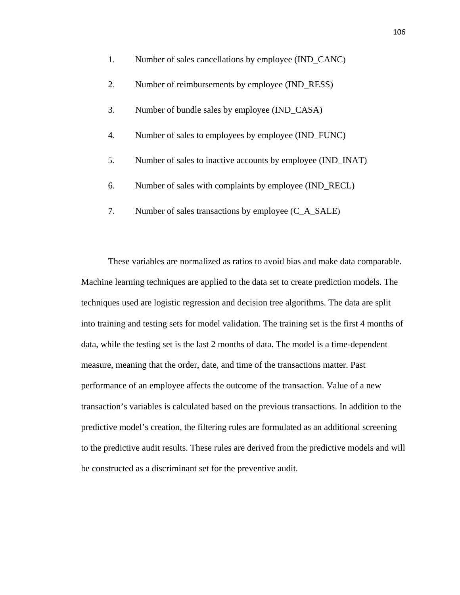1. Number of sales cancellations by employee (IND\_CANC) 2. Number of reimbursements by employee (IND\_RESS) 3. Number of bundle sales by employee (IND\_CASA) 4. Number of sales to employees by employee (IND\_FUNC) 5. Number of sales to inactive accounts by employee (IND\_INAT) 6. Number of sales with complaints by employee (IND\_RECL) 7. Number of sales transactions by employee (C\_A\_SALE)

These variables are normalized as ratios to avoid bias and make data comparable. Machine learning techniques are applied to the data set to create prediction models. The techniques used are logistic regression and decision tree algorithms. The data are split into training and testing sets for model validation. The training set is the first 4 months of data, while the testing set is the last 2 months of data. The model is a time-dependent measure, meaning that the order, date, and time of the transactions matter. Past performance of an employee affects the outcome of the transaction. Value of a new transaction's variables is calculated based on the previous transactions. In addition to the predictive model's creation, the filtering rules are formulated as an additional screening to the predictive audit results. These rules are derived from the predictive models and will be constructed as a discriminant set for the preventive audit.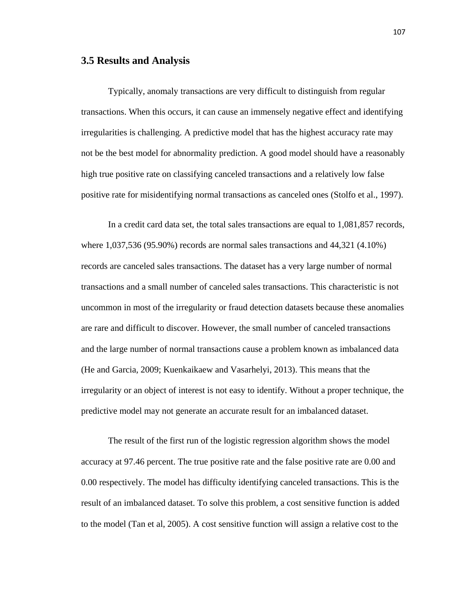#### **3.5 Results and Analysis**

Typically, anomaly transactions are very difficult to distinguish from regular transactions. When this occurs, it can cause an immensely negative effect and identifying irregularities is challenging. A predictive model that has the highest accuracy rate may not be the best model for abnormality prediction. A good model should have a reasonably high true positive rate on classifying canceled transactions and a relatively low false positive rate for misidentifying normal transactions as canceled ones (Stolfo et al., 1997).

In a credit card data set, the total sales transactions are equal to 1,081,857 records, where 1,037,536 (95.90%) records are normal sales transactions and 44,321 (4.10%) records are canceled sales transactions. The dataset has a very large number of normal transactions and a small number of canceled sales transactions. This characteristic is not uncommon in most of the irregularity or fraud detection datasets because these anomalies are rare and difficult to discover. However, the small number of canceled transactions and the large number of normal transactions cause a problem known as imbalanced data (He and Garcia, 2009; Kuenkaikaew and Vasarhelyi, 2013). This means that the irregularity or an object of interest is not easy to identify. Without a proper technique, the predictive model may not generate an accurate result for an imbalanced dataset.

 The result of the first run of the logistic regression algorithm shows the model accuracy at 97.46 percent. The true positive rate and the false positive rate are 0.00 and 0.00 respectively. The model has difficulty identifying canceled transactions. This is the result of an imbalanced dataset. To solve this problem, a cost sensitive function is added to the model (Tan et al, 2005). A cost sensitive function will assign a relative cost to the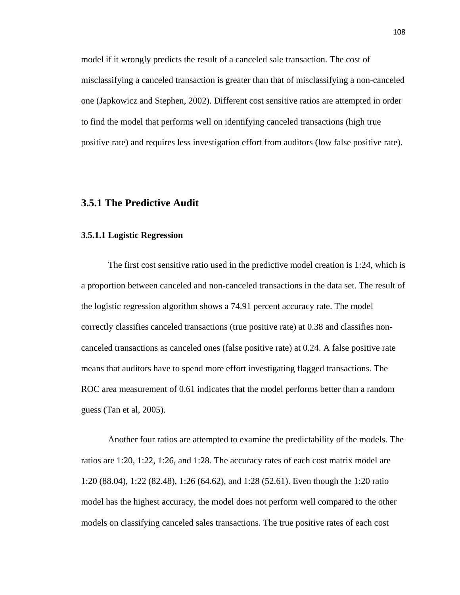model if it wrongly predicts the result of a canceled sale transaction. The cost of misclassifying a canceled transaction is greater than that of misclassifying a non-canceled one (Japkowicz and Stephen, 2002). Different cost sensitive ratios are attempted in order to find the model that performs well on identifying canceled transactions (high true positive rate) and requires less investigation effort from auditors (low false positive rate).

# **3.5.1 The Predictive Audit**

#### **3.5.1.1 Logistic Regression**

The first cost sensitive ratio used in the predictive model creation is 1:24, which is a proportion between canceled and non-canceled transactions in the data set. The result of the logistic regression algorithm shows a 74.91 percent accuracy rate. The model correctly classifies canceled transactions (true positive rate) at 0.38 and classifies noncanceled transactions as canceled ones (false positive rate) at 0.24. A false positive rate means that auditors have to spend more effort investigating flagged transactions. The ROC area measurement of 0.61 indicates that the model performs better than a random guess (Tan et al, 2005).

Another four ratios are attempted to examine the predictability of the models. The ratios are 1:20, 1:22, 1:26, and 1:28. The accuracy rates of each cost matrix model are 1:20 (88.04), 1:22 (82.48), 1:26 (64.62), and 1:28 (52.61). Even though the 1:20 ratio model has the highest accuracy, the model does not perform well compared to the other models on classifying canceled sales transactions. The true positive rates of each cost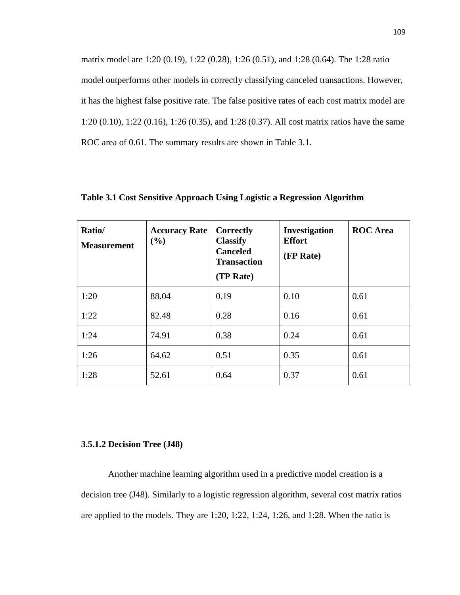matrix model are 1:20 (0.19), 1:22 (0.28), 1:26 (0.51), and 1:28 (0.64). The 1:28 ratio model outperforms other models in correctly classifying canceled transactions. However, it has the highest false positive rate. The false positive rates of each cost matrix model are 1:20 (0.10), 1:22 (0.16), 1:26 (0.35), and 1:28 (0.37). All cost matrix ratios have the same ROC area of 0.61. The summary results are shown in Table 3.1.

| Ratio/<br><b>Measurement</b> | <b>Accuracy Rate</b><br>(%) | Correctly<br><b>Classify</b><br><b>Canceled</b><br><b>Transaction</b><br>(TP Rate) | <b>Investigation</b><br><b>Effort</b><br>(FP Rate) | <b>ROC</b> Area |
|------------------------------|-----------------------------|------------------------------------------------------------------------------------|----------------------------------------------------|-----------------|
| 1:20                         | 88.04                       | 0.19                                                                               | 0.10                                               | 0.61            |
| 1:22                         | 82.48                       | 0.28                                                                               | 0.16                                               | 0.61            |
| 1:24                         | 74.91                       | 0.38                                                                               | 0.24                                               | 0.61            |
| 1:26                         | 64.62                       | 0.51                                                                               | 0.35                                               | 0.61            |
| 1:28                         | 52.61                       | 0.64                                                                               | 0.37                                               | 0.61            |

**Table 3.1 Cost Sensitive Approach Using Logistic a Regression Algorithm**

#### **3.5.1.2 Decision Tree (J48)**

 Another machine learning algorithm used in a predictive model creation is a decision tree (J48). Similarly to a logistic regression algorithm, several cost matrix ratios are applied to the models. They are 1:20, 1:22, 1:24, 1:26, and 1:28. When the ratio is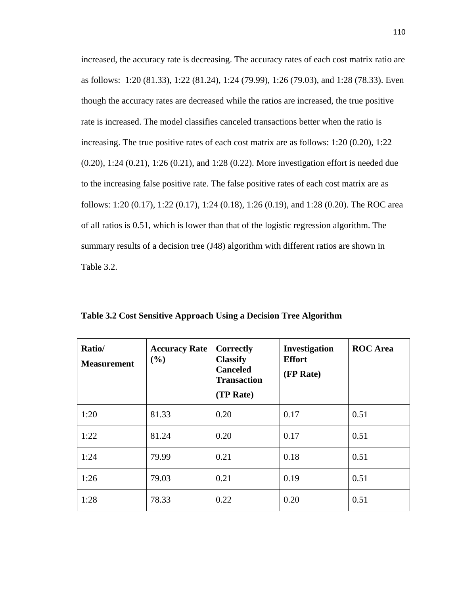increased, the accuracy rate is decreasing. The accuracy rates of each cost matrix ratio are as follows: 1:20 (81.33), 1:22 (81.24), 1:24 (79.99), 1:26 (79.03), and 1:28 (78.33). Even though the accuracy rates are decreased while the ratios are increased, the true positive rate is increased. The model classifies canceled transactions better when the ratio is increasing. The true positive rates of each cost matrix are as follows: 1:20 (0.20), 1:22 (0.20), 1:24 (0.21), 1:26 (0.21), and 1:28 (0.22). More investigation effort is needed due to the increasing false positive rate. The false positive rates of each cost matrix are as follows: 1:20 (0.17), 1:22 (0.17), 1:24 (0.18), 1:26 (0.19), and 1:28 (0.20). The ROC area of all ratios is 0.51, which is lower than that of the logistic regression algorithm. The summary results of a decision tree (J48) algorithm with different ratios are shown in Table 3.2.

| Ratio/<br><b>Measurement</b> | <b>Accuracy Rate</b><br>(%) | Correctly<br><b>Classify</b><br><b>Canceled</b><br><b>Transaction</b><br>(TP Rate) | <b>Investigation</b><br><b>Effort</b><br>(FP Rate) | <b>ROC</b> Area |
|------------------------------|-----------------------------|------------------------------------------------------------------------------------|----------------------------------------------------|-----------------|
| 1:20                         | 81.33                       | 0.20                                                                               | 0.17                                               | 0.51            |
| 1:22                         | 81.24                       | 0.20                                                                               | 0.17                                               | 0.51            |
| 1:24                         | 79.99                       | 0.21                                                                               | 0.18                                               | 0.51            |
| 1:26                         | 79.03                       | 0.21                                                                               | 0.19                                               | 0.51            |
| 1:28                         | 78.33                       | 0.22                                                                               | 0.20                                               | 0.51            |

**Table 3.2 Cost Sensitive Approach Using a Decision Tree Algorithm**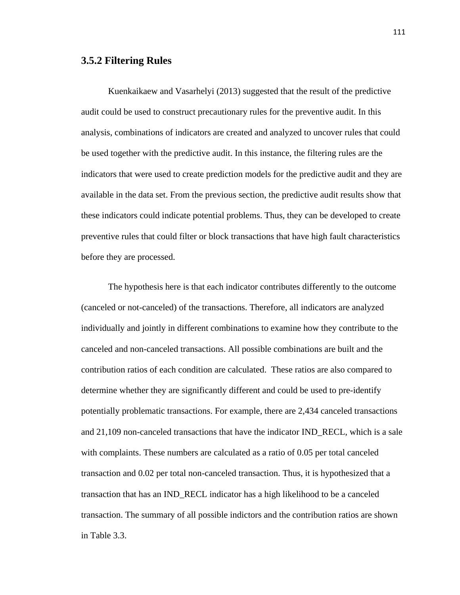# **3.5.2 Filtering Rules**

Kuenkaikaew and Vasarhelyi (2013) suggested that the result of the predictive audit could be used to construct precautionary rules for the preventive audit. In this analysis, combinations of indicators are created and analyzed to uncover rules that could be used together with the predictive audit. In this instance, the filtering rules are the indicators that were used to create prediction models for the predictive audit and they are available in the data set. From the previous section, the predictive audit results show that these indicators could indicate potential problems. Thus, they can be developed to create preventive rules that could filter or block transactions that have high fault characteristics before they are processed.

The hypothesis here is that each indicator contributes differently to the outcome (canceled or not-canceled) of the transactions. Therefore, all indicators are analyzed individually and jointly in different combinations to examine how they contribute to the canceled and non-canceled transactions. All possible combinations are built and the contribution ratios of each condition are calculated. These ratios are also compared to determine whether they are significantly different and could be used to pre-identify potentially problematic transactions. For example, there are 2,434 canceled transactions and 21,109 non-canceled transactions that have the indicator IND\_RECL, which is a sale with complaints. These numbers are calculated as a ratio of 0.05 per total canceled transaction and 0.02 per total non-canceled transaction. Thus, it is hypothesized that a transaction that has an IND\_RECL indicator has a high likelihood to be a canceled transaction. The summary of all possible indictors and the contribution ratios are shown in Table 3.3.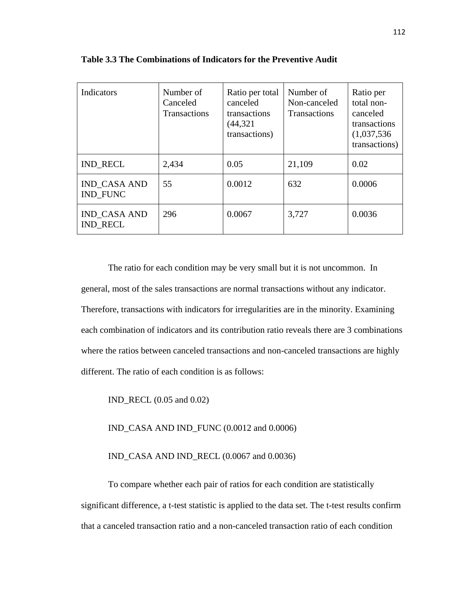| Indicators                             | Number of<br>Canceled<br><b>Transactions</b> | Ratio per total<br>canceled<br>transactions<br>(44, 321)<br>transactions) | Number of<br>Non-canceled<br><b>Transactions</b> | Ratio per<br>total non-<br>canceled<br>transactions<br>(1,037,536)<br>transactions) |
|----------------------------------------|----------------------------------------------|---------------------------------------------------------------------------|--------------------------------------------------|-------------------------------------------------------------------------------------|
| <b>IND RECL</b>                        | 2,434                                        | 0.05                                                                      | 21,109                                           | 0.02                                                                                |
| <b>IND CASA AND</b><br><b>IND FUNC</b> | 55                                           | 0.0012                                                                    | 632                                              | 0.0006                                                                              |
| <b>IND CASA AND</b><br><b>IND RECL</b> | 296                                          | 0.0067                                                                    | 3,727                                            | 0.0036                                                                              |

**Table 3.3 The Combinations of Indicators for the Preventive Audit** 

The ratio for each condition may be very small but it is not uncommon. In general, most of the sales transactions are normal transactions without any indicator. Therefore, transactions with indicators for irregularities are in the minority. Examining each combination of indicators and its contribution ratio reveals there are 3 combinations where the ratios between canceled transactions and non-canceled transactions are highly different. The ratio of each condition is as follows:

IND\_RECL (0.05 and 0.02)

IND\_CASA AND IND\_FUNC (0.0012 and 0.0006)

IND\_CASA AND IND\_RECL (0.0067 and 0.0036)

To compare whether each pair of ratios for each condition are statistically significant difference, a t-test statistic is applied to the data set. The t-test results confirm that a canceled transaction ratio and a non-canceled transaction ratio of each condition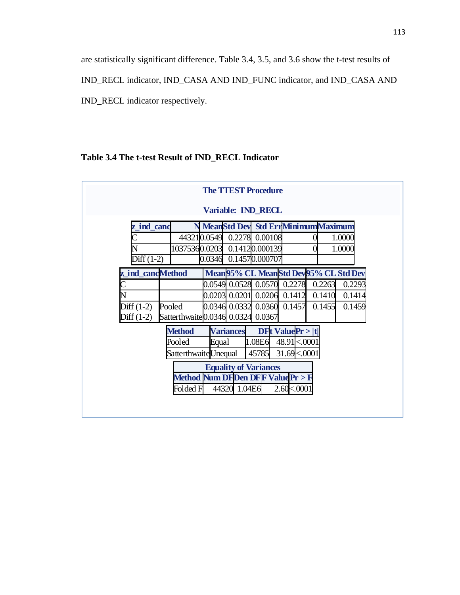are statistically significant difference. Table 3.4, 3.5, and 3.6 show the t-test results of IND\_RECL indicator, IND\_CASA AND IND\_FUNC indicator, and IND\_CASA AND

IND\_RECL indicator respectively.

# **Table 3.4 The t-test Result of IND\_RECL Indicator**

| <b>Variable: IND RECL</b><br>N MeanStd Dev Std ErrMinimumMaximum<br>z ind canc<br>443210.0549<br>0.00108<br>1.0000<br>0.2278<br>10375360.0203<br>0.14120.000139<br>1.0000<br>0.14570.000707<br>Diff (1-2)<br>0.0346<br>Mean 95% CL Mean Std Dev 95% CL Std Dev<br>z ind candMethod<br>0.0549 0.0528 0.0570 0.2278<br>0.2263<br>$0.0203$ 0.0201 0.0206<br>0.1412<br>0.1410<br>Diff $(1-2)$<br>$0.0346$ $0.0332$ $0.0360$ $0.1457$<br>0.1455<br>Pooled |              | <b>The TTEST Procedure</b> |  |        |
|------------------------------------------------------------------------------------------------------------------------------------------------------------------------------------------------------------------------------------------------------------------------------------------------------------------------------------------------------------------------------------------------------------------------------------------------------|--------------|----------------------------|--|--------|
|                                                                                                                                                                                                                                                                                                                                                                                                                                                      |              |                            |  |        |
|                                                                                                                                                                                                                                                                                                                                                                                                                                                      |              |                            |  |        |
|                                                                                                                                                                                                                                                                                                                                                                                                                                                      |              |                            |  |        |
|                                                                                                                                                                                                                                                                                                                                                                                                                                                      |              |                            |  |        |
|                                                                                                                                                                                                                                                                                                                                                                                                                                                      |              |                            |  |        |
|                                                                                                                                                                                                                                                                                                                                                                                                                                                      |              |                            |  |        |
|                                                                                                                                                                                                                                                                                                                                                                                                                                                      |              |                            |  | 0.2293 |
|                                                                                                                                                                                                                                                                                                                                                                                                                                                      |              |                            |  | 0.1414 |
|                                                                                                                                                                                                                                                                                                                                                                                                                                                      |              |                            |  | 0.1459 |
| Satterthwaite 0.0346 0.0324 0.0367                                                                                                                                                                                                                                                                                                                                                                                                                   | Diff $(1-2)$ |                            |  |        |
| $DFt$ Value $Pr$ >  t <br><b>Method</b><br><b>Variances</b>                                                                                                                                                                                                                                                                                                                                                                                          |              |                            |  |        |
| 1.08E6<br>48.91 <.0001<br>Pooled<br>Equal                                                                                                                                                                                                                                                                                                                                                                                                            |              |                            |  |        |
| SatterthwaiteUnequal<br>45785<br>31.69 < 0001                                                                                                                                                                                                                                                                                                                                                                                                        |              |                            |  |        |
| <b>Equality of Variances</b>                                                                                                                                                                                                                                                                                                                                                                                                                         |              |                            |  |        |
| Method Num DFDen DFF Value Pr > F                                                                                                                                                                                                                                                                                                                                                                                                                    |              |                            |  |        |
| 44320 1.04E6<br>Folded F<br>$2.60 \times 0001$                                                                                                                                                                                                                                                                                                                                                                                                       |              |                            |  |        |
|                                                                                                                                                                                                                                                                                                                                                                                                                                                      |              |                            |  |        |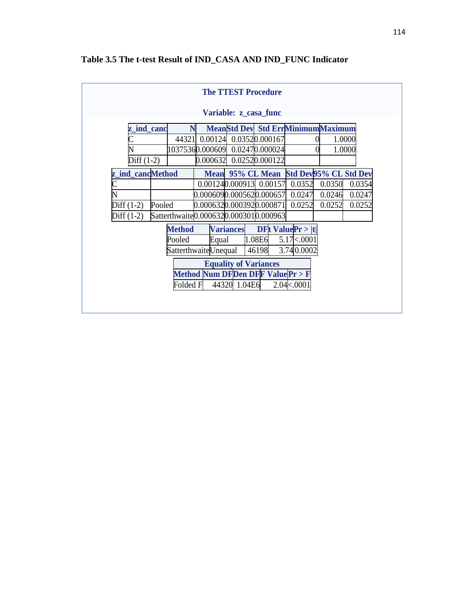|                        |                                                |                            |                  | <b>The TTEST Procedure</b>               |                    |                       |        |  |
|------------------------|------------------------------------------------|----------------------------|------------------|------------------------------------------|--------------------|-----------------------|--------|--|
|                        |                                                |                            |                  | Variable: z_casa_func                    |                    |                       |        |  |
| <b>z</b> _ind_canc     | N                                              |                            |                  | <b>MeanStd Dev Std ErrMinimumMaximum</b> |                    |                       |        |  |
|                        | 44321                                          |                            |                  | 0.00124 0.03520.000167                   |                    |                       | 1.0000 |  |
|                        |                                                |                            |                  |                                          |                    |                       | 1.0000 |  |
| Diff $(1-2)$           |                                                | 0.000632                   |                  | 0.02520.000122                           |                    |                       |        |  |
| z ind cancMethod       |                                                |                            |                  | Mean 95% CL Mean                         |                    | Std Dev95% CL Std Dev |        |  |
|                        |                                                |                            |                  | 0.00124 0.000913 0.00157                 | 0.0352             | 0.0350                | 0.0354 |  |
|                        |                                                | 0.0006090.0005620.000657   |                  |                                          | 0.0247             | 0.0246                | 0.0247 |  |
| Diff $(1-2)$<br>Pooled |                                                | 0.000632 0.000392 0.000871 |                  |                                          | 0.0252             | 0.0252                | 0.0252 |  |
| Diff $(1-2)$           | Satterthwaite 0.000632 0.000301 0.000963       |                            |                  |                                          |                    |                       |        |  |
|                        | <b>Method</b>                                  |                            | <b>Variances</b> | DFt ValuePr >  t                         |                    |                       |        |  |
|                        | Pooled                                         | Equal                      |                  | 1.08E6                                   | $5.17 \times 0001$ |                       |        |  |
|                        |                                                | SatterthwaiteUnequal       |                  | 46198                                    | 3.74 0.0002        |                       |        |  |
|                        | <b>Equality of Variances</b>                   |                            |                  |                                          |                    |                       |        |  |
|                        | <b>Method Num DFDen DFF Value Pr &gt; F</b>    |                            |                  |                                          |                    |                       |        |  |
|                        | 44320 1.04E6<br>Folded F<br>$2.04 \times 0001$ |                            |                  |                                          |                    |                       |        |  |
|                        |                                                |                            |                  |                                          |                    |                       |        |  |
|                        |                                                |                            |                  |                                          |                    |                       |        |  |

# **Table 3.5 The t-test Result of IND\_CASA AND IND\_FUNC Indicator**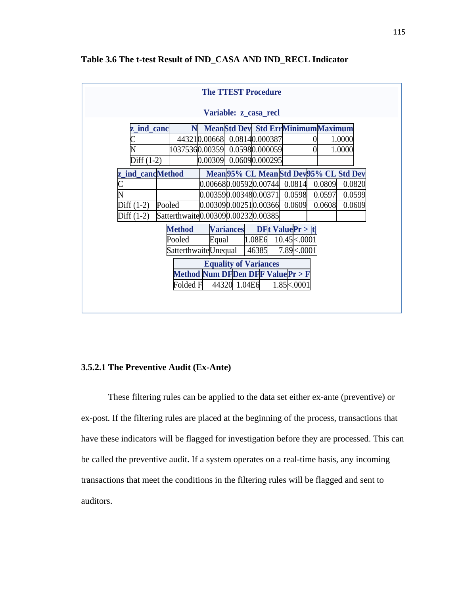| <b>The TTEST Procedure</b>                     |                                                  |  |                         |                                          |                        |        |                                         |  |  |
|------------------------------------------------|--------------------------------------------------|--|-------------------------|------------------------------------------|------------------------|--------|-----------------------------------------|--|--|
|                                                | Variable: z_casa_recl                            |  |                         |                                          |                        |        |                                         |  |  |
| ind_canc<br>z                                  |                                                  |  |                         | <b>MeanStd Dev Std ErrMinimumMaximum</b> |                        |        |                                         |  |  |
|                                                |                                                  |  |                         | 443210.00668 0.08140.000387              |                        |        | 1.0000                                  |  |  |
|                                                |                                                  |  |                         | 10375360.00359 0.05980.000059            |                        |        | 1.0000                                  |  |  |
| Diff $(1-2)$                                   |                                                  |  |                         | $[0.00309]$ 0.0609 $[0.000295]$          |                        |        |                                         |  |  |
| z ind cancMethod                               |                                                  |  |                         |                                          |                        |        | Mean 95% CL Mean Std Dev 95% CL Std Dev |  |  |
|                                                |                                                  |  |                         | $0.006680.005920.00744$ 0.0814           |                        | 0.0809 | 0.0820                                  |  |  |
|                                                |                                                  |  | [0.003590.003480.00371] |                                          | 0.0598                 | 0.0597 | 0.0599                                  |  |  |
| Diff $(1-2)$                                   | Pooled                                           |  |                         | $[0.003090.002510.00366]$ 0.0609         |                        | 0.0608 | 0.0609                                  |  |  |
| Diff $(1-2)$                                   | Satterthwaite 0.00309 0.00232 0.00385            |  |                         |                                          |                        |        |                                         |  |  |
|                                                | <b>Method</b>                                    |  | <b>Variances</b>        |                                          | $DFt$ Value $Pr >  t $ |        |                                         |  |  |
|                                                | $10.45 \times 0001$<br>Pooled<br>1.08E6<br>Equal |  |                         |                                          |                        |        |                                         |  |  |
| SatterthwaiteUnequal<br>7.89 <.0001<br>46385   |                                                  |  |                         |                                          |                        |        |                                         |  |  |
| <b>Equality of Variances</b>                   |                                                  |  |                         |                                          |                        |        |                                         |  |  |
| <b>Method Num DFDen DFF Value Pr &gt; F</b>    |                                                  |  |                         |                                          |                        |        |                                         |  |  |
| 44320 1.04E6<br>$1.85 \times 0001$<br>Folded F |                                                  |  |                         |                                          |                        |        |                                         |  |  |
|                                                |                                                  |  |                         |                                          |                        |        |                                         |  |  |
|                                                |                                                  |  |                         |                                          |                        |        |                                         |  |  |

# **Table 3.6 The t-test Result of IND\_CASA AND IND\_RECL Indicator**

#### **3.5.2.1 The Preventive Audit (Ex-Ante)**

These filtering rules can be applied to the data set either ex-ante (preventive) or ex-post. If the filtering rules are placed at the beginning of the process, transactions that have these indicators will be flagged for investigation before they are processed. This can be called the preventive audit. If a system operates on a real-time basis, any incoming transactions that meet the conditions in the filtering rules will be flagged and sent to auditors.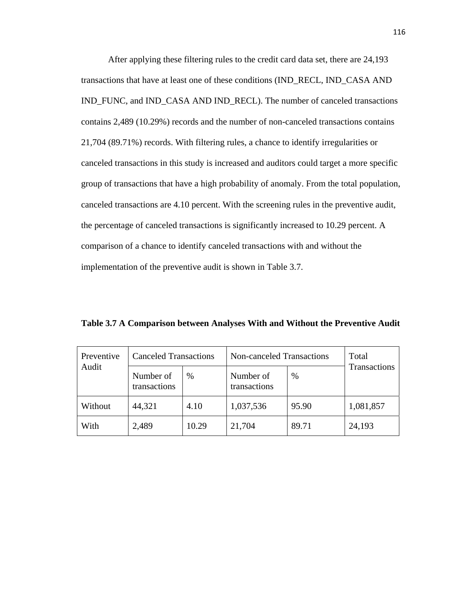After applying these filtering rules to the credit card data set, there are 24,193 transactions that have at least one of these conditions (IND\_RECL, IND\_CASA AND IND\_FUNC, and IND\_CASA AND IND\_RECL). The number of canceled transactions contains 2,489 (10.29%) records and the number of non-canceled transactions contains 21,704 (89.71%) records. With filtering rules, a chance to identify irregularities or canceled transactions in this study is increased and auditors could target a more specific group of transactions that have a high probability of anomaly. From the total population, canceled transactions are 4.10 percent. With the screening rules in the preventive audit, the percentage of canceled transactions is significantly increased to 10.29 percent. A comparison of a chance to identify canceled transactions with and without the implementation of the preventive audit is shown in Table 3.7.

**Table 3.7 A Comparison between Analyses With and Without the Preventive Audit**

| Preventive | <b>Canceled Transactions</b>                                   |       | Non-canceled Transactions | Total<br>Transactions |           |
|------------|----------------------------------------------------------------|-------|---------------------------|-----------------------|-----------|
| Audit      | Number of<br>Number of<br>$\%$<br>transactions<br>transactions |       | $\%$                      |                       |           |
| Without    | 44,321                                                         | 4.10  | 1,037,536                 | 95.90                 | 1,081,857 |
| With       | 2,489                                                          | 10.29 | 21,704                    | 89.71                 | 24,193    |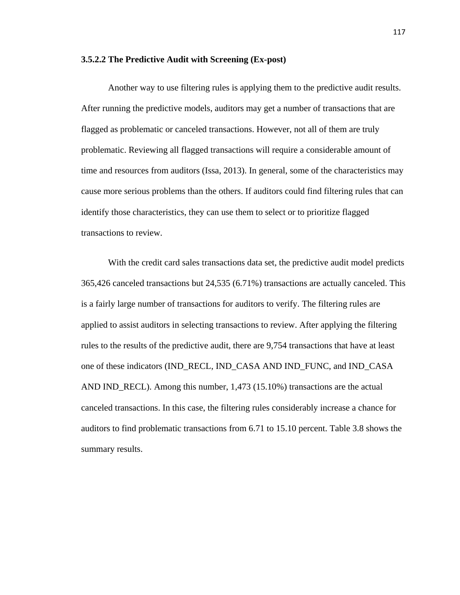#### **3.5.2.2 The Predictive Audit with Screening (Ex-post)**

 Another way to use filtering rules is applying them to the predictive audit results. After running the predictive models, auditors may get a number of transactions that are flagged as problematic or canceled transactions. However, not all of them are truly problematic. Reviewing all flagged transactions will require a considerable amount of time and resources from auditors (Issa, 2013). In general, some of the characteristics may cause more serious problems than the others. If auditors could find filtering rules that can identify those characteristics, they can use them to select or to prioritize flagged transactions to review.

 With the credit card sales transactions data set, the predictive audit model predicts 365,426 canceled transactions but 24,535 (6.71%) transactions are actually canceled. This is a fairly large number of transactions for auditors to verify. The filtering rules are applied to assist auditors in selecting transactions to review. After applying the filtering rules to the results of the predictive audit, there are 9,754 transactions that have at least one of these indicators (IND\_RECL, IND\_CASA AND IND\_FUNC, and IND\_CASA AND IND\_RECL). Among this number, 1,473 (15.10%) transactions are the actual canceled transactions. In this case, the filtering rules considerably increase a chance for auditors to find problematic transactions from 6.71 to 15.10 percent. Table 3.8 shows the summary results.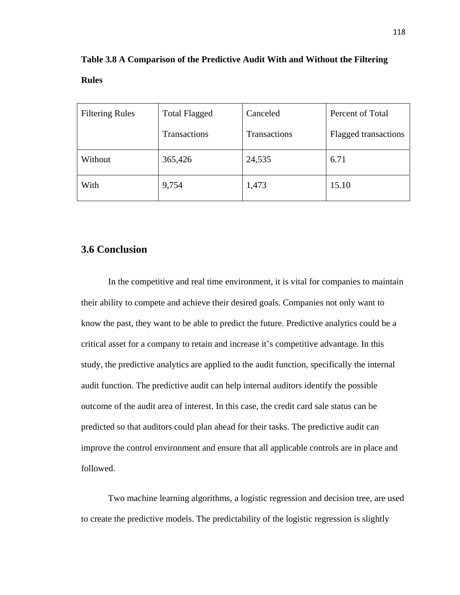| <b>Filtering Rules</b> | <b>Total Flagged</b> | Canceled     | Percent of Total            |
|------------------------|----------------------|--------------|-----------------------------|
|                        | Transactions         | Transactions | <b>Flagged transactions</b> |
| Without                | 365,426              | 24,535       | 6.71                        |
| With                   | 9,754                | 1,473        | 15.10                       |

**Table 3.8 A Comparison of the Predictive Audit With and Without the Filtering** 

# **Rules**

# **3.6 Conclusion**

In the competitive and real time environment, it is vital for companies to maintain their ability to compete and achieve their desired goals. Companies not only want to know the past, they want to be able to predict the future. Predictive analytics could be a critical asset for a company to retain and increase it's competitive advantage. In this study, the predictive analytics are applied to the audit function, specifically the internal audit function. The predictive audit can help internal auditors identify the possible outcome of the audit area of interest. In this case, the credit card sale status can be predicted so that auditors could plan ahead for their tasks. The predictive audit can improve the control environment and ensure that all applicable controls are in place and followed.

Two machine learning algorithms, a logistic regression and decision tree, are used to create the predictive models. The predictability of the logistic regression is slightly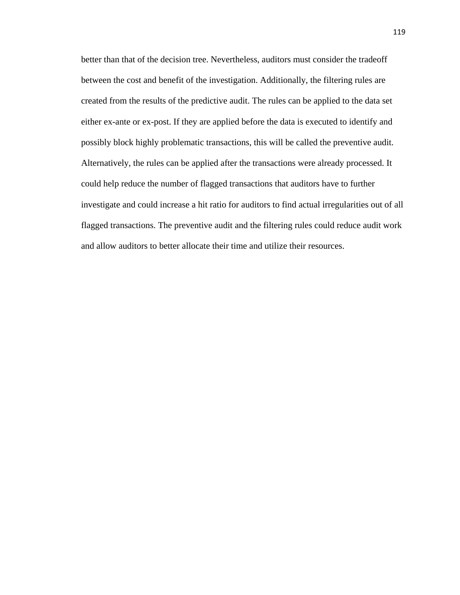better than that of the decision tree. Nevertheless, auditors must consider the tradeoff between the cost and benefit of the investigation. Additionally, the filtering rules are created from the results of the predictive audit. The rules can be applied to the data set either ex-ante or ex-post. If they are applied before the data is executed to identify and possibly block highly problematic transactions, this will be called the preventive audit. Alternatively, the rules can be applied after the transactions were already processed. It could help reduce the number of flagged transactions that auditors have to further investigate and could increase a hit ratio for auditors to find actual irregularities out of all flagged transactions. The preventive audit and the filtering rules could reduce audit work and allow auditors to better allocate their time and utilize their resources.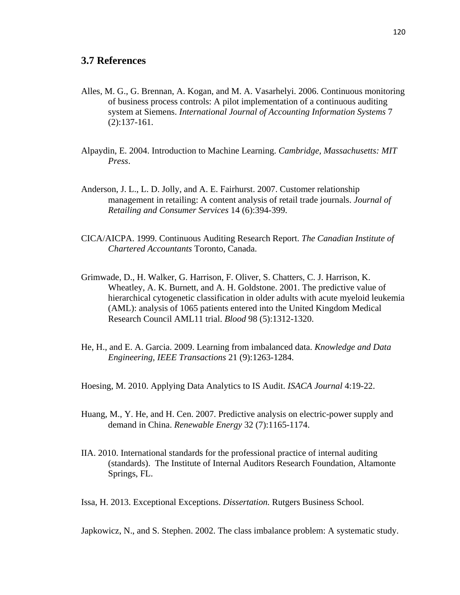- Alles, M. G., G. Brennan, A. Kogan, and M. A. Vasarhelyi. 2006. Continuous monitoring of business process controls: A pilot implementation of a continuous auditing system at Siemens. *International Journal of Accounting Information Systems* 7 (2):137-161.
- Alpaydin, E. 2004. Introduction to Machine Learning. *Cambridge, Massachusetts: MIT Press*.
- Anderson, J. L., L. D. Jolly, and A. E. Fairhurst. 2007. Customer relationship management in retailing: A content analysis of retail trade journals. *Journal of Retailing and Consumer Services* 14 (6):394-399.
- CICA/AICPA. 1999. Continuous Auditing Research Report. *The Canadian Institute of Chartered Accountants* Toronto, Canada.
- Grimwade, D., H. Walker, G. Harrison, F. Oliver, S. Chatters, C. J. Harrison, K. Wheatley, A. K. Burnett, and A. H. Goldstone. 2001. The predictive value of hierarchical cytogenetic classification in older adults with acute myeloid leukemia (AML): analysis of 1065 patients entered into the United Kingdom Medical Research Council AML11 trial. *Blood* 98 (5):1312-1320.
- He, H., and E. A. Garcia. 2009. Learning from imbalanced data. *Knowledge and Data Engineering, IEEE Transactions* 21 (9):1263-1284.

Hoesing, M. 2010. Applying Data Analytics to IS Audit. *ISACA Journal* 4:19-22.

- Huang, M., Y. He, and H. Cen. 2007. Predictive analysis on electric-power supply and demand in China. *Renewable Energy* 32 (7):1165-1174.
- IIA. 2010. International standards for the professional practice of internal auditing (standards). The Institute of Internal Auditors Research Foundation, Altamonte Springs, FL.

Issa, H. 2013. Exceptional Exceptions. *Dissertation.* Rutgers Business School.

Japkowicz, N., and S. Stephen. 2002. The class imbalance problem: A systematic study.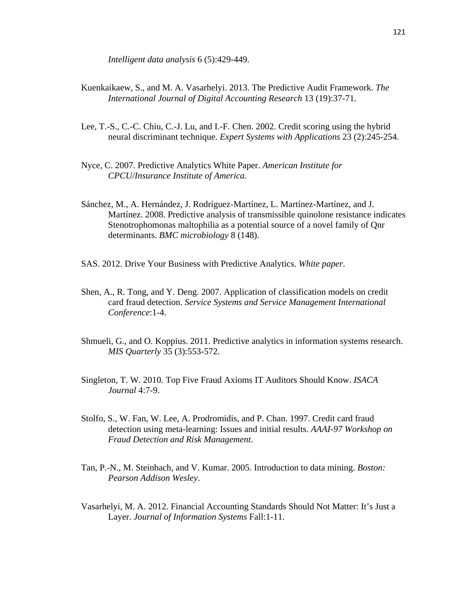*Intelligent data analysis* 6 (5):429-449.

- Kuenkaikaew, S., and M. A. Vasarhelyi. 2013. The Predictive Audit Framework. *The International Journal of Digital Accounting Research* 13 (19):37-71.
- Lee, T.-S., C.-C. Chiu, C.-J. Lu, and I.-F. Chen. 2002. Credit scoring using the hybrid neural discriminant technique. *Expert Systems with Applications* 23 (2):245-254.
- Nyce, C. 2007. Predictive Analytics White Paper. *American Institute for CPCU/Insurance Institute of America*.
- Sánchez, M., A. Hernández, J. Rodríguez-Martínez, L. Martínez-Martínez, and J. Martínez. 2008. Predictive analysis of transmissible quinolone resistance indicates Stenotrophomonas maltophilia as a potential source of a novel family of Qnr determinants. *BMC microbiology* 8 (148).
- SAS. 2012. Drive Your Business with Predictive Analytics. *White paper*.
- Shen, A., R. Tong, and Y. Deng. 2007. Application of classification models on credit card fraud detection. *Service Systems and Service Management International Conference*:1-4.
- Shmueli, G., and O. Koppius. 2011. Predictive analytics in information systems research. *MIS Quarterly* 35 (3):553-572.
- Singleton, T. W. 2010. Top Five Fraud Axioms IT Auditors Should Know. *ISACA Journal* 4:7-9.
- Stolfo, S., W. Fan, W. Lee, A. Prodromidis, and P. Chan. 1997. Credit card fraud detection using meta-learning: Issues and initial results. *AAAI-97 Workshop on Fraud Detection and Risk Management*.
- Tan, P.-N., M. Steinbach, and V. Kumar. 2005. Introduction to data mining. *Boston: Pearson Addison Wesley*.
- Vasarhelyi, M. A. 2012. Financial Accounting Standards Should Not Matter: It's Just a Layer. *Journal of Information Systems* Fall:1-11.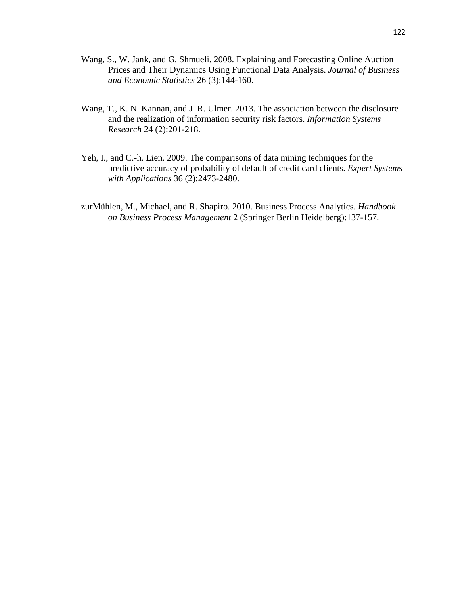- Wang, S., W. Jank, and G. Shmueli. 2008. Explaining and Forecasting Online Auction Prices and Their Dynamics Using Functional Data Analysis. *Journal of Business and Economic Statistics* 26 (3):144-160.
- Wang, T., K. N. Kannan, and J. R. Ulmer. 2013. The association between the disclosure and the realization of information security risk factors. *Information Systems Research* 24 (2):201-218.
- Yeh, I., and C.-h. Lien. 2009. The comparisons of data mining techniques for the predictive accuracy of probability of default of credit card clients. *Expert Systems with Applications* 36 (2):2473-2480.
- zurMühlen, M., Michael, and R. Shapiro. 2010. Business Process Analytics. *Handbook on Business Process Management* 2 (Springer Berlin Heidelberg):137-157.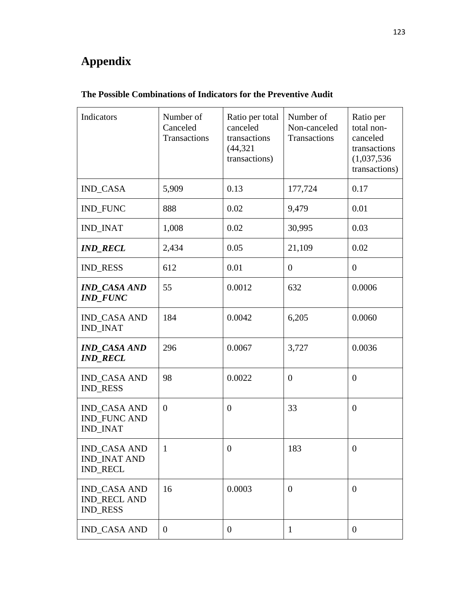# **Appendix**

| Indicators                                                    | Number of<br>Canceled<br>Transactions | Ratio per total<br>canceled<br>transactions<br>(44, 321)<br>transactions) | Number of<br>Non-canceled<br>Transactions | Ratio per<br>total non-<br>canceled<br>transactions<br>(1,037,536)<br>transactions) |
|---------------------------------------------------------------|---------------------------------------|---------------------------------------------------------------------------|-------------------------------------------|-------------------------------------------------------------------------------------|
| <b>IND_CASA</b>                                               | 5,909                                 | 0.13                                                                      | 177,724                                   | 0.17                                                                                |
| <b>IND_FUNC</b>                                               | 888                                   | 0.02                                                                      | 9,479                                     | 0.01                                                                                |
| <b>IND_INAT</b>                                               | 1,008                                 | 0.02                                                                      | 30,995                                    | 0.03                                                                                |
| <b>IND_RECL</b>                                               | 2,434                                 | 0.05                                                                      | 21,109                                    | 0.02                                                                                |
| <b>IND_RESS</b>                                               | 612                                   | 0.01                                                                      | $\overline{0}$                            | $\overline{0}$                                                                      |
| <b>IND CASA AND</b><br><b>IND FUNC</b>                        | 55                                    | 0.0012                                                                    | 632                                       | 0.0006                                                                              |
| <b>IND CASA AND</b><br><b>IND_INAT</b>                        | 184                                   | 0.0042                                                                    | 6,205                                     | 0.0060                                                                              |
| <b>IND_CASA AND</b><br><b>IND_RECL</b>                        | 296                                   | 0.0067                                                                    | 3,727                                     | 0.0036                                                                              |
| <b>IND_CASA AND</b><br><b>IND_RESS</b>                        | 98                                    | 0.0022                                                                    | $\overline{0}$                            | $\overline{0}$                                                                      |
| <b>IND CASA AND</b><br><b>IND_FUNC AND</b><br><b>IND INAT</b> | $\overline{0}$                        | $\overline{0}$                                                            | 33                                        | $\overline{0}$                                                                      |
| <b>IND_CASA AND</b><br><b>IND_INAT AND</b><br><b>IND RECL</b> | 1                                     | $\theta$                                                                  | 183                                       | $\theta$                                                                            |
| <b>IND_CASA AND</b><br><b>IND_RECL AND</b><br><b>IND_RESS</b> | 16                                    | 0.0003                                                                    | $\theta$                                  | $\overline{0}$                                                                      |
| <b>IND_CASA AND</b>                                           | $\overline{0}$                        | $\overline{0}$                                                            | $\mathbf{1}$                              | $\overline{0}$                                                                      |

# **The Possible Combinations of Indicators for the Preventive Audit**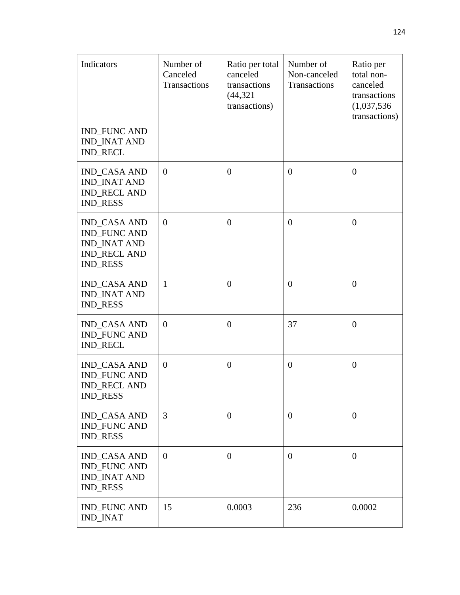| Indicators                                                                                                  | Number of<br>Canceled<br><b>Transactions</b> | Ratio per total<br>canceled<br>transactions<br>(44, 321)<br>transactions) | Number of<br>Non-canceled<br><b>Transactions</b> | Ratio per<br>total non-<br>canceled<br>transactions<br>(1,037,536)<br>transactions) |
|-------------------------------------------------------------------------------------------------------------|----------------------------------------------|---------------------------------------------------------------------------|--------------------------------------------------|-------------------------------------------------------------------------------------|
| <b>IND_FUNC AND</b><br><b>IND INAT AND</b><br><b>IND_RECL</b>                                               |                                              |                                                                           |                                                  |                                                                                     |
| <b>IND_CASA AND</b><br><b>IND_INAT AND</b><br><b>IND_RECL AND</b><br><b>IND_RESS</b>                        | $\boldsymbol{0}$                             | $\overline{0}$                                                            | $\overline{0}$                                   | $\overline{0}$                                                                      |
| <b>IND CASA AND</b><br><b>IND_FUNC AND</b><br><b>IND INAT AND</b><br><b>IND_RECL AND</b><br><b>IND_RESS</b> | $\overline{0}$                               | $\overline{0}$                                                            | $\overline{0}$                                   | $\overline{0}$                                                                      |
| <b>IND_CASA AND</b><br><b>IND_INAT AND</b><br><b>IND_RESS</b>                                               | $\mathbf{1}$                                 | $\overline{0}$                                                            | $\overline{0}$                                   | $\overline{0}$                                                                      |
| <b>IND_CASA AND</b><br><b>IND_FUNC AND</b><br><b>IND_RECL</b>                                               | $\theta$                                     | $\theta$                                                                  | 37                                               | $\overline{0}$                                                                      |
| <b>IND CASA AND</b><br><b>IND_FUNC AND</b><br><b>IND_RECL AND</b><br><b>IND_RESS</b>                        | $\theta$                                     | $\theta$                                                                  | $\overline{0}$                                   | $\overline{0}$                                                                      |
| <b>IND_CASA AND</b><br><b>IND FUNC AND</b><br><b>IND RESS</b>                                               | 3                                            | $\overline{0}$                                                            | $\overline{0}$                                   | $\overline{0}$                                                                      |
| <b>IND_CASA AND</b><br><b>IND FUNC AND</b><br><b>IND_INAT AND</b><br><b>IND_RESS</b>                        | $\theta$                                     | $\overline{0}$                                                            | $\overline{0}$                                   | $\overline{0}$                                                                      |
| <b>IND_FUNC AND</b><br><b>IND_INAT</b>                                                                      | 15                                           | 0.0003                                                                    | 236                                              | 0.0002                                                                              |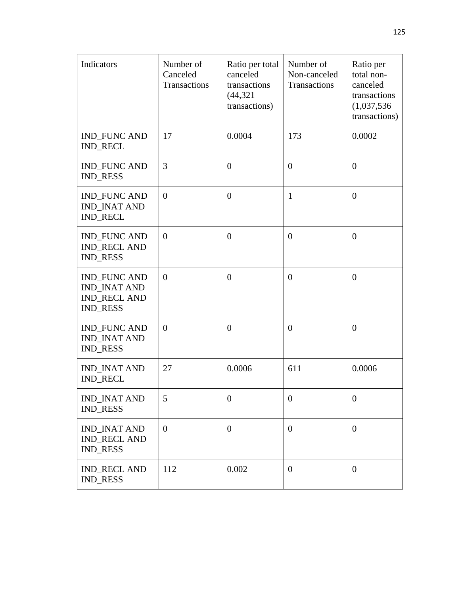| Indicators                                                                           | Number of<br>Canceled<br>Transactions | Ratio per total<br>canceled<br>transactions<br>(44, 321)<br>transactions) | Number of<br>Non-canceled<br>Transactions | Ratio per<br>total non-<br>canceled<br>transactions<br>(1,037,536)<br>transactions) |
|--------------------------------------------------------------------------------------|---------------------------------------|---------------------------------------------------------------------------|-------------------------------------------|-------------------------------------------------------------------------------------|
| <b>IND_FUNC AND</b><br><b>IND_RECL</b>                                               | 17                                    | 0.0004                                                                    | 173                                       | 0.0002                                                                              |
| <b>IND_FUNC AND</b><br><b>IND_RESS</b>                                               | 3                                     | $\overline{0}$                                                            | $\overline{0}$                            | $\overline{0}$                                                                      |
| <b>IND_FUNC AND</b><br><b>IND INAT AND</b><br><b>IND_RECL</b>                        | $\overline{0}$                        | $\overline{0}$                                                            | $\mathbf{1}$                              | $\overline{0}$                                                                      |
| <b>IND_FUNC AND</b><br><b>IND_RECL AND</b><br><b>IND_RESS</b>                        | $\theta$                              | $\theta$                                                                  | $\overline{0}$                            | $\overline{0}$                                                                      |
| <b>IND FUNC AND</b><br><b>IND_INAT AND</b><br><b>IND_RECL AND</b><br><b>IND_RESS</b> | $\overline{0}$                        | $\overline{0}$                                                            | $\overline{0}$                            | $\overline{0}$                                                                      |
| <b>IND_FUNC AND</b><br><b>IND_INAT AND</b><br><b>IND_RESS</b>                        | $\overline{0}$                        | $\overline{0}$                                                            | $\overline{0}$                            | $\overline{0}$                                                                      |
| <b>IND_INAT AND</b><br><b>IND_RECL</b>                                               | 27                                    | 0.0006                                                                    | 611                                       | 0.0006                                                                              |
| <b>IND_INAT AND</b><br><b>IND_RESS</b>                                               | 5                                     | $\theta$                                                                  | $\theta$                                  | $\boldsymbol{0}$                                                                    |
| <b>IND_INAT AND</b><br><b>IND_RECL AND</b><br><b>IND_RESS</b>                        | $\overline{0}$                        | $\overline{0}$                                                            | $\overline{0}$                            | $\boldsymbol{0}$                                                                    |
| <b>IND_RECL AND</b><br><b>IND_RESS</b>                                               | 112                                   | 0.002                                                                     | $\mathbf{0}$                              | $\overline{0}$                                                                      |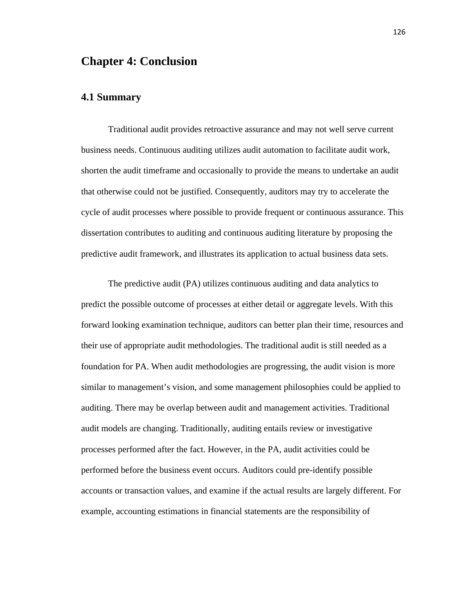# **Chapter 4: Conclusion**

## **4.1 Summary**

Traditional audit provides retroactive assurance and may not well serve current business needs. Continuous auditing utilizes audit automation to facilitate audit work, shorten the audit timeframe and occasionally to provide the means to undertake an audit that otherwise could not be justified. Consequently, auditors may try to accelerate the cycle of audit processes where possible to provide frequent or continuous assurance. This dissertation contributes to auditing and continuous auditing literature by proposing the predictive audit framework, and illustrates its application to actual business data sets.

The predictive audit (PA) utilizes continuous auditing and data analytics to predict the possible outcome of processes at either detail or aggregate levels. With this forward looking examination technique, auditors can better plan their time, resources and their use of appropriate audit methodologies. The traditional audit is still needed as a foundation for PA. When audit methodologies are progressing, the audit vision is more similar to management's vision, and some management philosophies could be applied to auditing. There may be overlap between audit and management activities. Traditional audit models are changing. Traditionally, auditing entails review or investigative processes performed after the fact. However, in the PA, audit activities could be performed before the business event occurs. Auditors could pre-identify possible accounts or transaction values, and examine if the actual results are largely different. For example, accounting estimations in financial statements are the responsibility of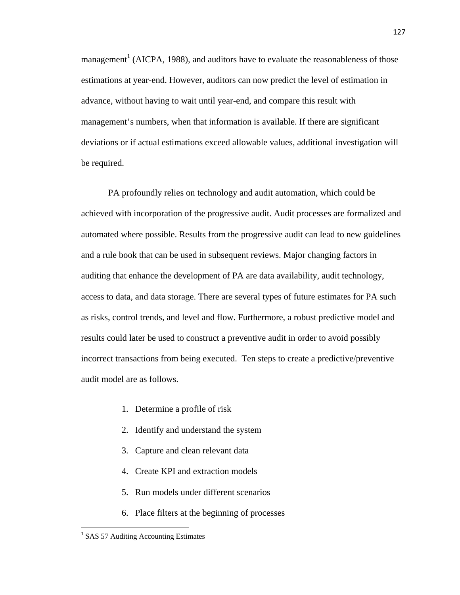management<sup>1</sup> (AICPA, 1988), and auditors have to evaluate the reasonableness of those estimations at year-end. However, auditors can now predict the level of estimation in advance, without having to wait until year-end, and compare this result with management's numbers, when that information is available. If there are significant deviations or if actual estimations exceed allowable values, additional investigation will be required.

PA profoundly relies on technology and audit automation, which could be achieved with incorporation of the progressive audit. Audit processes are formalized and automated where possible. Results from the progressive audit can lead to new guidelines and a rule book that can be used in subsequent reviews. Major changing factors in auditing that enhance the development of PA are data availability, audit technology, access to data, and data storage. There are several types of future estimates for PA such as risks, control trends, and level and flow. Furthermore, a robust predictive model and results could later be used to construct a preventive audit in order to avoid possibly incorrect transactions from being executed. Ten steps to create a predictive/preventive audit model are as follows.

- 1. Determine a profile of risk
- 2. Identify and understand the system
- 3. Capture and clean relevant data
- 4. Create KPI and extraction models
- 5. Run models under different scenarios
- 6. Place filters at the beginning of processes

<sup>&</sup>lt;sup>1</sup> SAS 57 Auditing Accounting Estimates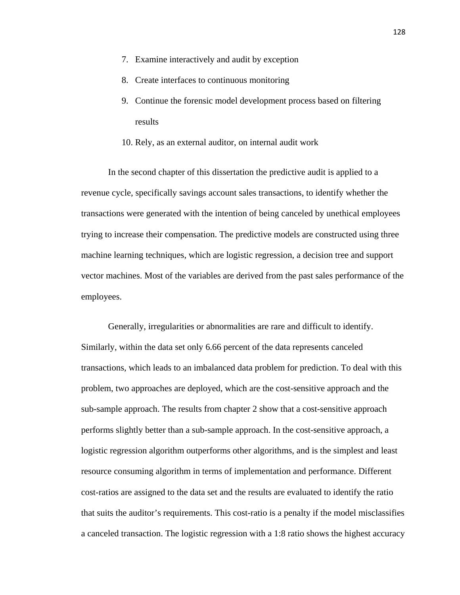- 7. Examine interactively and audit by exception
- 8. Create interfaces to continuous monitoring
- 9. Continue the forensic model development process based on filtering results
- 10. Rely, as an external auditor, on internal audit work

In the second chapter of this dissertation the predictive audit is applied to a revenue cycle, specifically savings account sales transactions, to identify whether the transactions were generated with the intention of being canceled by unethical employees trying to increase their compensation. The predictive models are constructed using three machine learning techniques, which are logistic regression, a decision tree and support vector machines. Most of the variables are derived from the past sales performance of the employees.

Generally, irregularities or abnormalities are rare and difficult to identify. Similarly, within the data set only 6.66 percent of the data represents canceled transactions, which leads to an imbalanced data problem for prediction. To deal with this problem, two approaches are deployed, which are the cost-sensitive approach and the sub-sample approach. The results from chapter 2 show that a cost-sensitive approach performs slightly better than a sub-sample approach. In the cost-sensitive approach, a logistic regression algorithm outperforms other algorithms, and is the simplest and least resource consuming algorithm in terms of implementation and performance. Different cost-ratios are assigned to the data set and the results are evaluated to identify the ratio that suits the auditor's requirements. This cost-ratio is a penalty if the model misclassifies a canceled transaction. The logistic regression with a 1:8 ratio shows the highest accuracy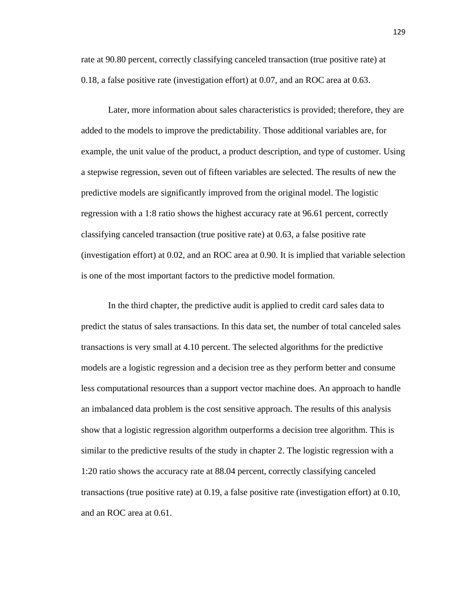rate at 90.80 percent, correctly classifying canceled transaction (true positive rate) at 0.18, a false positive rate (investigation effort) at 0.07, and an ROC area at 0.63.

Later, more information about sales characteristics is provided; therefore, they are added to the models to improve the predictability. Those additional variables are, for example, the unit value of the product, a product description, and type of customer. Using a stepwise regression, seven out of fifteen variables are selected. The results of new the predictive models are significantly improved from the original model. The logistic regression with a 1:8 ratio shows the highest accuracy rate at 96.61 percent, correctly classifying canceled transaction (true positive rate) at 0.63, a false positive rate (investigation effort) at 0.02, and an ROC area at 0.90. It is implied that variable selection is one of the most important factors to the predictive model formation.

In the third chapter, the predictive audit is applied to credit card sales data to predict the status of sales transactions. In this data set, the number of total canceled sales transactions is very small at 4.10 percent. The selected algorithms for the predictive models are a logistic regression and a decision tree as they perform better and consume less computational resources than a support vector machine does. An approach to handle an imbalanced data problem is the cost sensitive approach. The results of this analysis show that a logistic regression algorithm outperforms a decision tree algorithm. This is similar to the predictive results of the study in chapter 2. The logistic regression with a 1:20 ratio shows the accuracy rate at 88.04 percent, correctly classifying canceled transactions (true positive rate) at 0.19, a false positive rate (investigation effort) at 0.10, and an ROC area at 0.61.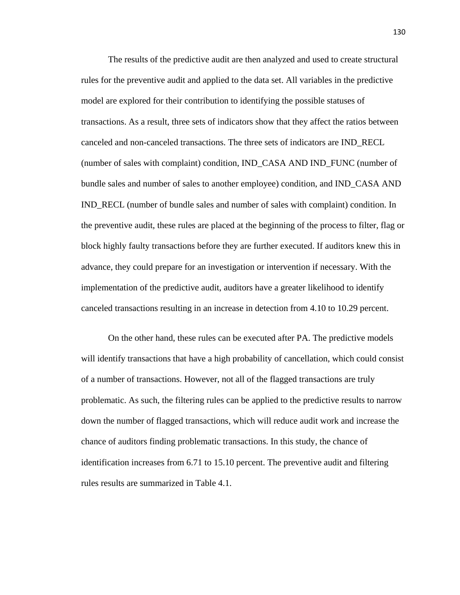The results of the predictive audit are then analyzed and used to create structural rules for the preventive audit and applied to the data set. All variables in the predictive model are explored for their contribution to identifying the possible statuses of transactions. As a result, three sets of indicators show that they affect the ratios between canceled and non-canceled transactions. The three sets of indicators are IND\_RECL (number of sales with complaint) condition, IND\_CASA AND IND\_FUNC (number of bundle sales and number of sales to another employee) condition, and IND\_CASA AND IND\_RECL (number of bundle sales and number of sales with complaint) condition. In the preventive audit, these rules are placed at the beginning of the process to filter, flag or block highly faulty transactions before they are further executed. If auditors knew this in advance, they could prepare for an investigation or intervention if necessary. With the implementation of the predictive audit, auditors have a greater likelihood to identify canceled transactions resulting in an increase in detection from 4.10 to 10.29 percent.

On the other hand, these rules can be executed after PA. The predictive models will identify transactions that have a high probability of cancellation, which could consist of a number of transactions. However, not all of the flagged transactions are truly problematic. As such, the filtering rules can be applied to the predictive results to narrow down the number of flagged transactions, which will reduce audit work and increase the chance of auditors finding problematic transactions. In this study, the chance of identification increases from 6.71 to 15.10 percent. The preventive audit and filtering rules results are summarized in Table 4.1.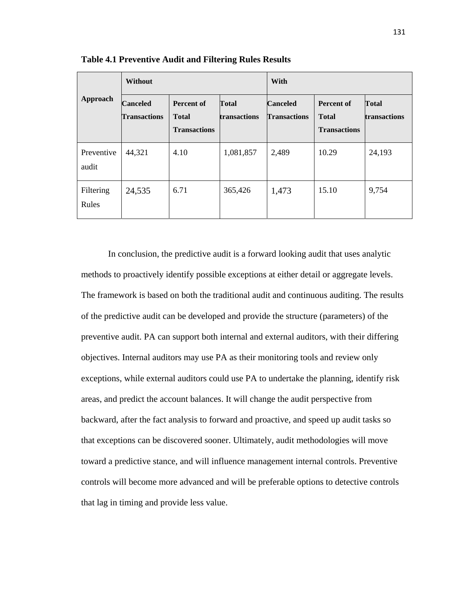|                     | <b>Without</b>                         |                                                          |                              | With                                   |                                                          |                              |  |
|---------------------|----------------------------------------|----------------------------------------------------------|------------------------------|----------------------------------------|----------------------------------------------------------|------------------------------|--|
| Approach            | <b>Canceled</b><br><b>Transactions</b> | <b>Percent of</b><br><b>Total</b><br><b>Transactions</b> | <b>Total</b><br>transactions | <b>Canceled</b><br><b>Transactions</b> | <b>Percent of</b><br><b>Total</b><br><b>Transactions</b> | <b>Total</b><br>transactions |  |
| Preventive<br>audit | 44,321                                 | 4.10                                                     | 1,081,857                    | 2,489                                  | 10.29                                                    | 24,193                       |  |
| Filtering<br>Rules  | 24,535                                 | 6.71                                                     | 365,426                      | 1,473                                  | 15.10                                                    | 9,754                        |  |

**Table 4.1 Preventive Audit and Filtering Rules Results** 

In conclusion, the predictive audit is a forward looking audit that uses analytic methods to proactively identify possible exceptions at either detail or aggregate levels. The framework is based on both the traditional audit and continuous auditing. The results of the predictive audit can be developed and provide the structure (parameters) of the preventive audit. PA can support both internal and external auditors, with their differing objectives. Internal auditors may use PA as their monitoring tools and review only exceptions, while external auditors could use PA to undertake the planning, identify risk areas, and predict the account balances. It will change the audit perspective from backward, after the fact analysis to forward and proactive, and speed up audit tasks so that exceptions can be discovered sooner. Ultimately, audit methodologies will move toward a predictive stance, and will influence management internal controls. Preventive controls will become more advanced and will be preferable options to detective controls that lag in timing and provide less value.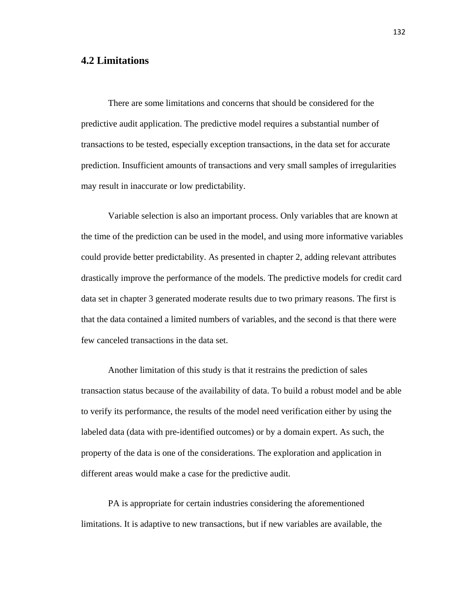# **4.2 Limitations**

There are some limitations and concerns that should be considered for the predictive audit application. The predictive model requires a substantial number of transactions to be tested, especially exception transactions, in the data set for accurate prediction. Insufficient amounts of transactions and very small samples of irregularities may result in inaccurate or low predictability.

Variable selection is also an important process. Only variables that are known at the time of the prediction can be used in the model, and using more informative variables could provide better predictability. As presented in chapter 2, adding relevant attributes drastically improve the performance of the models. The predictive models for credit card data set in chapter 3 generated moderate results due to two primary reasons. The first is that the data contained a limited numbers of variables, and the second is that there were few canceled transactions in the data set.

Another limitation of this study is that it restrains the prediction of sales transaction status because of the availability of data. To build a robust model and be able to verify its performance, the results of the model need verification either by using the labeled data (data with pre-identified outcomes) or by a domain expert. As such, the property of the data is one of the considerations. The exploration and application in different areas would make a case for the predictive audit.

PA is appropriate for certain industries considering the aforementioned limitations. It is adaptive to new transactions, but if new variables are available, the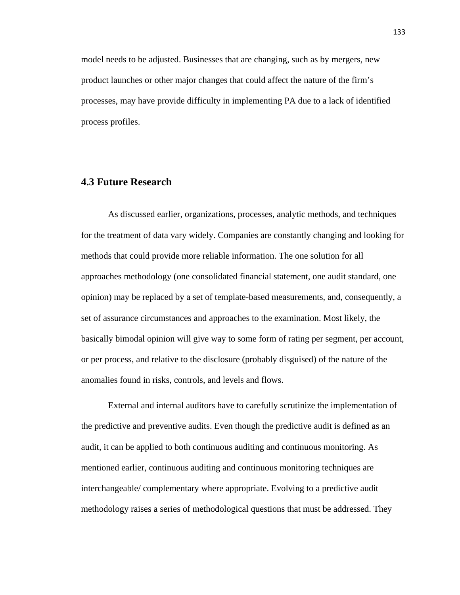model needs to be adjusted. Businesses that are changing, such as by mergers, new product launches or other major changes that could affect the nature of the firm's processes, may have provide difficulty in implementing PA due to a lack of identified process profiles.

# **4.3 Future Research**

As discussed earlier, organizations, processes, analytic methods, and techniques for the treatment of data vary widely. Companies are constantly changing and looking for methods that could provide more reliable information. The one solution for all approaches methodology (one consolidated financial statement, one audit standard, one opinion) may be replaced by a set of template-based measurements, and, consequently, a set of assurance circumstances and approaches to the examination. Most likely, the basically bimodal opinion will give way to some form of rating per segment, per account, or per process, and relative to the disclosure (probably disguised) of the nature of the anomalies found in risks, controls, and levels and flows.

External and internal auditors have to carefully scrutinize the implementation of the predictive and preventive audits. Even though the predictive audit is defined as an audit, it can be applied to both continuous auditing and continuous monitoring. As mentioned earlier, continuous auditing and continuous monitoring techniques are interchangeable/ complementary where appropriate. Evolving to a predictive audit methodology raises a series of methodological questions that must be addressed. They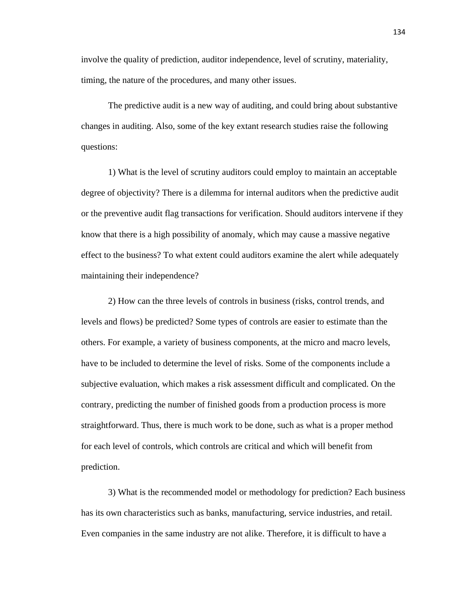involve the quality of prediction, auditor independence, level of scrutiny, materiality, timing, the nature of the procedures, and many other issues.

The predictive audit is a new way of auditing, and could bring about substantive changes in auditing. Also, some of the key extant research studies raise the following questions:

1) What is the level of scrutiny auditors could employ to maintain an acceptable degree of objectivity? There is a dilemma for internal auditors when the predictive audit or the preventive audit flag transactions for verification. Should auditors intervene if they know that there is a high possibility of anomaly, which may cause a massive negative effect to the business? To what extent could auditors examine the alert while adequately maintaining their independence?

2) How can the three levels of controls in business (risks, control trends, and levels and flows) be predicted? Some types of controls are easier to estimate than the others. For example, a variety of business components, at the micro and macro levels, have to be included to determine the level of risks. Some of the components include a subjective evaluation, which makes a risk assessment difficult and complicated. On the contrary, predicting the number of finished goods from a production process is more straightforward. Thus, there is much work to be done, such as what is a proper method for each level of controls, which controls are critical and which will benefit from prediction.

3) What is the recommended model or methodology for prediction? Each business has its own characteristics such as banks, manufacturing, service industries, and retail. Even companies in the same industry are not alike. Therefore, it is difficult to have a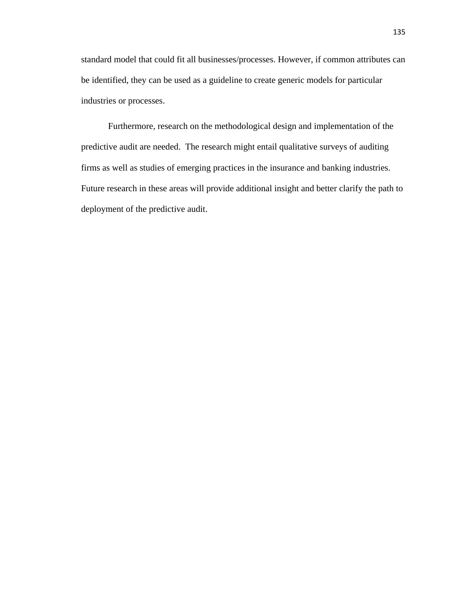standard model that could fit all businesses/processes. However, if common attributes can be identified, they can be used as a guideline to create generic models for particular industries or processes.

Furthermore, research on the methodological design and implementation of the predictive audit are needed. The research might entail qualitative surveys of auditing firms as well as studies of emerging practices in the insurance and banking industries. Future research in these areas will provide additional insight and better clarify the path to deployment of the predictive audit.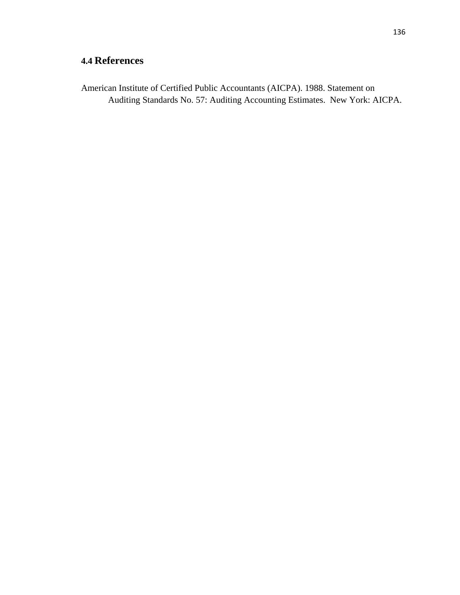## **4.4 References**

American Institute of Certified Public Accountants (AICPA). 1988. Statement on Auditing Standards No. 57: Auditing Accounting Estimates. New York: AICPA.